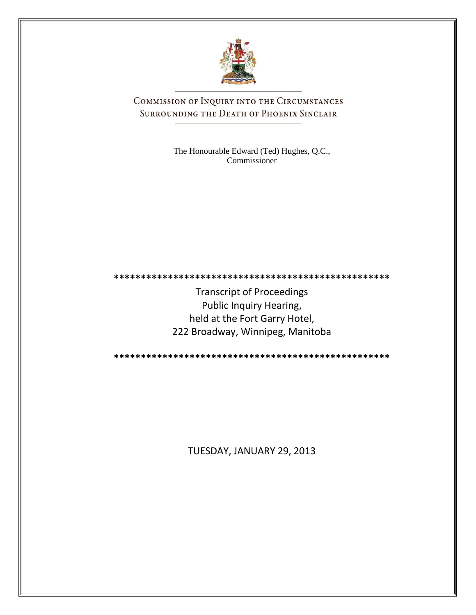

COMMISSION OF INQUIRY INTO THE CIRCUMSTANCES SURROUNDING THE DEATH OF PHOENIX SINCLAIR

> The Honourable Edward (Ted) Hughes, Q.C., Commissioner

**\*\*\*\*\*\*\*\*\*\*\*\*\*\*\*\*\*\*\*\*\*\*\*\*\*\*\*\*\*\*\*\*\*\*\*\*\*\*\*\*\*\*\*\*\*\*\*\*\*\*\***

Transcript of Proceedings Public Inquiry Hearing, held at the Fort Garry Hotel, 222 Broadway, Winnipeg, Manitoba

**\*\*\*\*\*\*\*\*\*\*\*\*\*\*\*\*\*\*\*\*\*\*\*\*\*\*\*\*\*\*\*\*\*\*\*\*\*\*\*\*\*\*\*\*\*\*\*\*\*\*\***

TUESDAY, JANUARY 29, 2013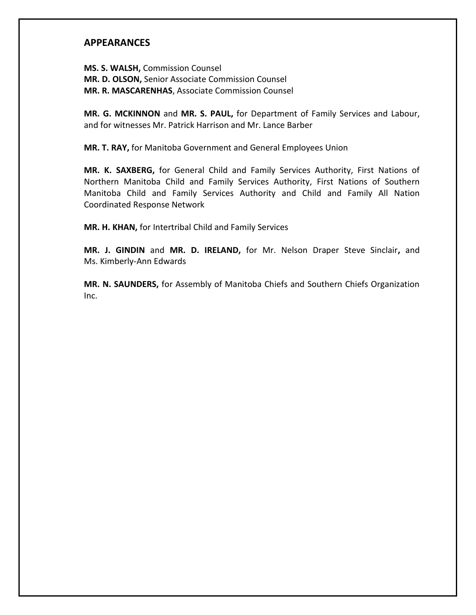## **APPEARANCES**

**MS. S. WALSH,** Commission Counsel **MR. D. OLSON,** Senior Associate Commission Counsel **MR. R. MASCARENHAS**, Associate Commission Counsel

**MR. G. MCKINNON** and **MR. S. PAUL,** for Department of Family Services and Labour, and for witnesses Mr. Patrick Harrison and Mr. Lance Barber

**MR. T. RAY,** for Manitoba Government and General Employees Union

**MR. K. SAXBERG,** for General Child and Family Services Authority, First Nations of Northern Manitoba Child and Family Services Authority, First Nations of Southern Manitoba Child and Family Services Authority and Child and Family All Nation Coordinated Response Network

**MR. H. KHAN,** for Intertribal Child and Family Services

**MR. J. GINDIN** and **MR. D. IRELAND,** for Mr. Nelson Draper Steve Sinclair**,** and Ms. Kimberly-Ann Edwards

**MR. N. SAUNDERS,** for Assembly of Manitoba Chiefs and Southern Chiefs Organization Inc.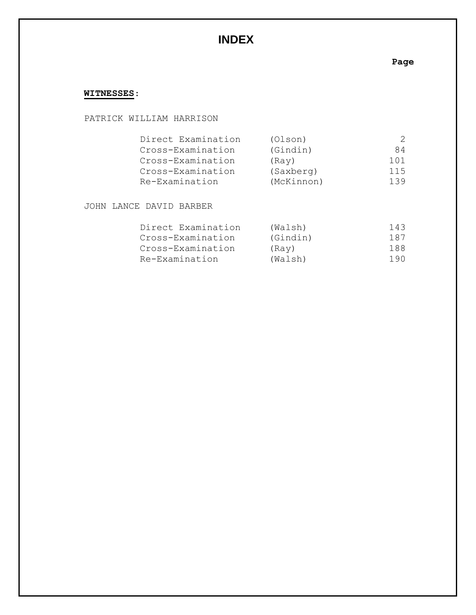# **INDEX**

## **Page**

## **WITNESSES**:

#### PATRICK WILLIAM HARRISON

| Direct Examination | (Olson)    |     |
|--------------------|------------|-----|
| Cross-Examination  | (Gindin)   | 84  |
| Cross-Examination  | (Ray)      | 101 |
| Cross-Examination  | (Saxberg)  | 115 |
| Re-Examination     | (McKinnon) | 139 |

JOHN LANCE DAVID BARBER

| Direct Examination | (Walsh)  | 143 |
|--------------------|----------|-----|
| Cross-Examination  | (Gindin) | 187 |
| Cross-Examination  | (Ray)    | 188 |
| Re-Examination     | (Walsh)  | 190 |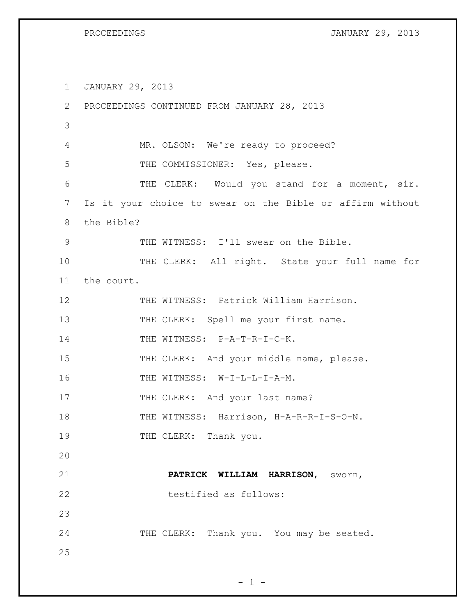PROCEEDINGS **FROCEEDINGS EXECUTES EXECUTES EXECUTES EXECUTES EXECUTES EXECUTES EXECUTES EXECUTES EXECUTES** 

1 JANUARY 29, 2013 2 PROCEEDINGS CONTINUED FROM JANUARY 28, 2013 3 4 MR. OLSON: We're ready to proceed? 5 THE COMMISSIONER: Yes, please. 6 THE CLERK: Would you stand for a moment, sir. 7 Is it your choice to swear on the Bible or affirm without 8 the Bible? 9 THE WITNESS: I'll swear on the Bible. 10 THE CLERK: All right. State your full name for 11 the court. 12 THE WITNESS: Patrick William Harrison. 13 THE CLERK: Spell me your first name. 14 THE WITNESS: P-A-T-R-I-C-K. 15 THE CLERK: And your middle name, please. 16 THE WITNESS: W-I-L-L-I-A-M. 17 THE CLERK: And your last name? 18 THE WITNESS: Harrison, H-A-R-R-I-S-O-N. 19 THE CLERK: Thank you. 20 21 **PATRICK WILLIAM HARRISON**, sworn, 22 testified as follows: 23 24 THE CLERK: Thank you. You may be seated. 25

```
- 1 -
```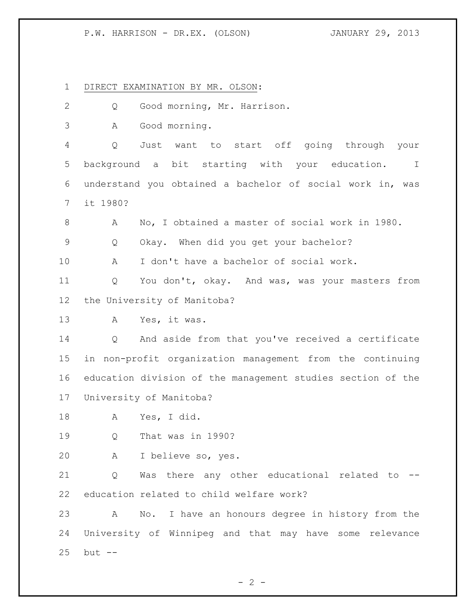DIRECT EXAMINATION BY MR. OLSON:

 Q Good morning, Mr. Harrison. A Good morning. Q Just want to start off going through your background a bit starting with your education. I understand you obtained a bachelor of social work in, was it 1980? A No, I obtained a master of social work in 1980. Q Okay. When did you get your bachelor? A I don't have a bachelor of social work. Q You don't, okay. And was, was your masters from the University of Manitoba? A Yes, it was. Q And aside from that you've received a certificate in non-profit organization management from the continuing education division of the management studies section of the University of Manitoba? A Yes, I did. Q That was in 1990? A I believe so, yes. Q Was there any other educational related to -- education related to child welfare work? A No. I have an honours degree in history from the University of Winnipeg and that may have some relevance

but --

 $- 2 -$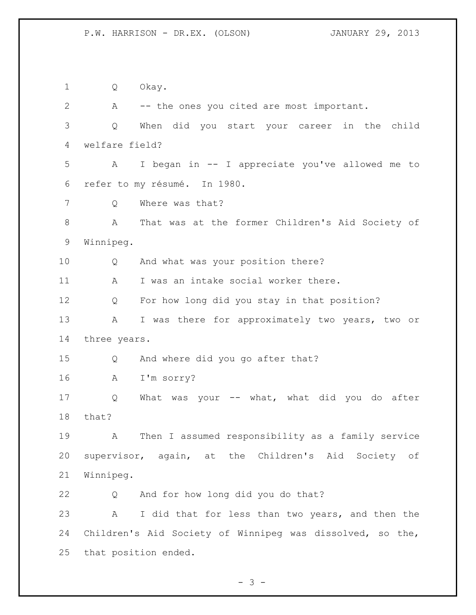Q Okay. A -- the ones you cited are most important. Q When did you start your career in the child welfare field? A I began in -- I appreciate you've allowed me to refer to my résumé. In 1980. Q Where was that? A That was at the former Children's Aid Society of Winnipeg. Q And what was your position there? 11 A I was an intake social worker there. Q For how long did you stay in that position? A I was there for approximately two years, two or three years. Q And where did you go after that? A I'm sorry? Q What was your -- what, what did you do after that? A Then I assumed responsibility as a family service supervisor, again, at the Children's Aid Society of Winnipeg. Q And for how long did you do that? A I did that for less than two years, and then the Children's Aid Society of Winnipeg was dissolved, so the, that position ended.

 $- 3 -$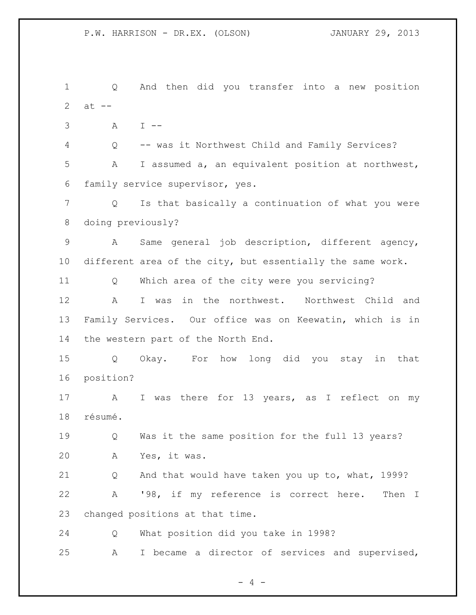Q And then did you transfer into a new position 2  $at --$  A I -- Q -- was it Northwest Child and Family Services? A I assumed a, an equivalent position at northwest, family service supervisor, yes. Q Is that basically a continuation of what you were doing previously? A Same general job description, different agency, different area of the city, but essentially the same work. Q Which area of the city were you servicing? A I was in the northwest. Northwest Child and Family Services. Our office was on Keewatin, which is in the western part of the North End. Q Okay. For how long did you stay in that position? 17 A I was there for 13 years, as I reflect on my résumé. Q Was it the same position for the full 13 years? A Yes, it was. Q And that would have taken you up to, what, 1999? A '98, if my reference is correct here. Then I changed positions at that time. Q What position did you take in 1998? A I became a director of services and supervised,

 $- 4 -$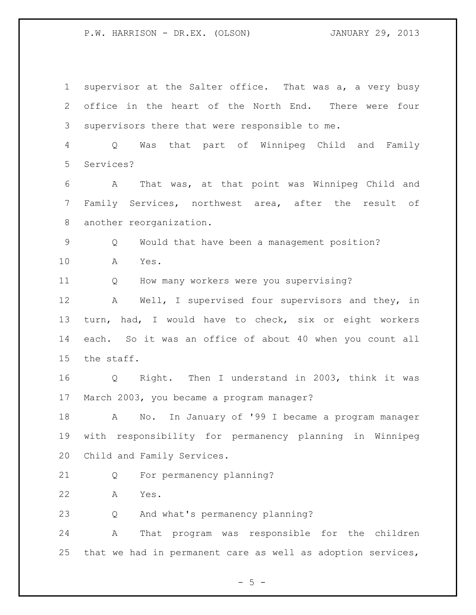supervisor at the Salter office. That was a, a very busy office in the heart of the North End. There were four supervisors there that were responsible to me. Q Was that part of Winnipeg Child and Family Services? A That was, at that point was Winnipeg Child and Family Services, northwest area, after the result of another reorganization. Q Would that have been a management position? A Yes. Q How many workers were you supervising? A Well, I supervised four supervisors and they, in turn, had, I would have to check, six or eight workers each. So it was an office of about 40 when you count all the staff. Q Right. Then I understand in 2003, think it was March 2003, you became a program manager? A No. In January of '99 I became a program manager with responsibility for permanency planning in Winnipeg Child and Family Services. Q For permanency planning? A Yes. Q And what's permanency planning? A That program was responsible for the children that we had in permanent care as well as adoption services,

 $- 5 -$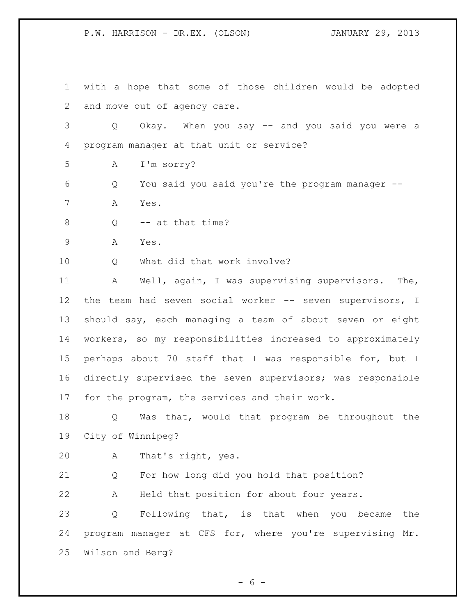with a hope that some of those children would be adopted and move out of agency care. Q Okay. When you say -- and you said you were a program manager at that unit or service? A I'm sorry? Q You said you said you're the program manager -- A Yes. 8 Q -- at that time? A Yes. Q What did that work involve? A Well, again, I was supervising supervisors. The, 12 the team had seven social worker -- seven supervisors, I should say, each managing a team of about seven or eight workers, so my responsibilities increased to approximately perhaps about 70 staff that I was responsible for, but I directly supervised the seven supervisors; was responsible for the program, the services and their work. Q Was that, would that program be throughout the City of Winnipeg? A That's right, yes. Q For how long did you hold that position? A Held that position for about four years. Q Following that, is that when you became the program manager at CFS for, where you're supervising Mr. Wilson and Berg?

 $- 6 -$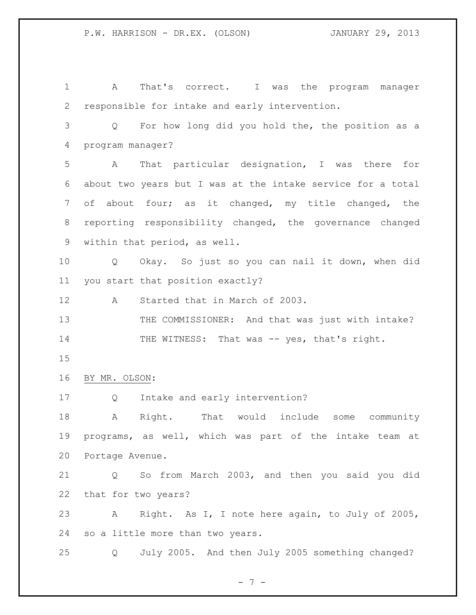A That's correct. I was the program manager responsible for intake and early intervention. Q For how long did you hold the, the position as a program manager? A That particular designation, I was there for about two years but I was at the intake service for a total of about four; as it changed, my title changed, the reporting responsibility changed, the governance changed within that period, as well. Q Okay. So just so you can nail it down, when did you start that position exactly? A Started that in March of 2003. 13 THE COMMISSIONER: And that was just with intake? 14 THE WITNESS: That was -- yes, that's right. BY MR. OLSON: Q Intake and early intervention? A Right. That would include some community programs, as well, which was part of the intake team at Portage Avenue. Q So from March 2003, and then you said you did that for two years? A Right. As I, I note here again, to July of 2005, so a little more than two years. Q July 2005. And then July 2005 something changed?

 $- 7 -$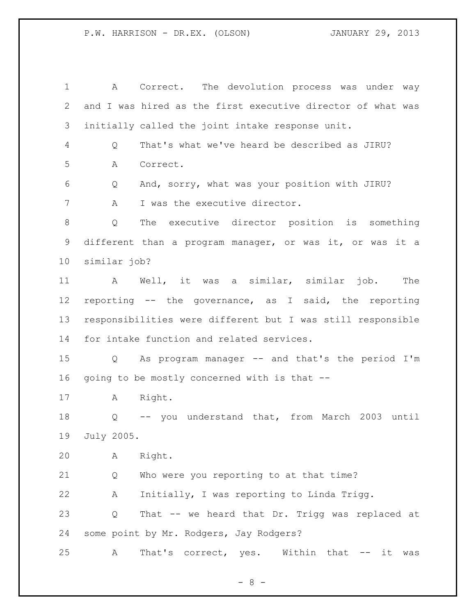A Correct. The devolution process was under way and I was hired as the first executive director of what was initially called the joint intake response unit. Q That's what we've heard be described as JIRU? A Correct. Q And, sorry, what was your position with JIRU? A I was the executive director. Q The executive director position is something different than a program manager, or was it, or was it a similar job? A Well, it was a similar, similar job. The reporting -- the governance, as I said, the reporting responsibilities were different but I was still responsible for intake function and related services. Q As program manager -- and that's the period I'm going to be mostly concerned with is that -- A Right. Q -- you understand that, from March 2003 until July 2005. A Right. Q Who were you reporting to at that time? A Initially, I was reporting to Linda Trigg. Q That -- we heard that Dr. Trigg was replaced at some point by Mr. Rodgers, Jay Rodgers? 25 A That's correct, yes. Within that -- it was

- 8 -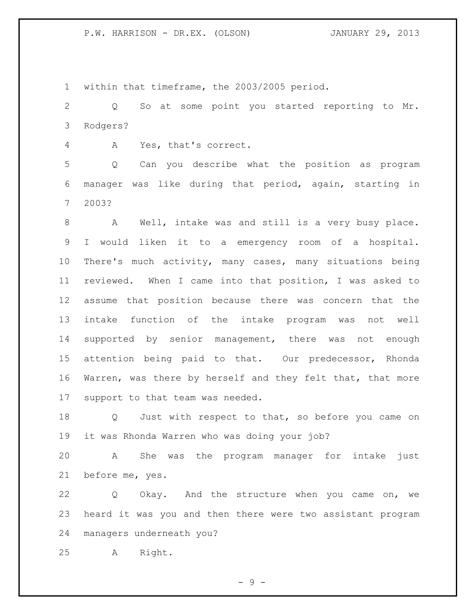within that timeframe, the 2003/2005 period.

 Q So at some point you started reporting to Mr. Rodgers?

A Yes, that's correct.

 Q Can you describe what the position as program manager was like during that period, again, starting in 2003?

 A Well, intake was and still is a very busy place. I would liken it to a emergency room of a hospital. There's much activity, many cases, many situations being reviewed. When I came into that position, I was asked to assume that position because there was concern that the intake function of the intake program was not well supported by senior management, there was not enough attention being paid to that. Our predecessor, Rhonda Warren, was there by herself and they felt that, that more support to that team was needed.

18 Q Just with respect to that, so before you came on it was Rhonda Warren who was doing your job?

 A She was the program manager for intake just before me, yes.

 Q Okay. And the structure when you came on, we heard it was you and then there were two assistant program managers underneath you?

A Right.

- 9 -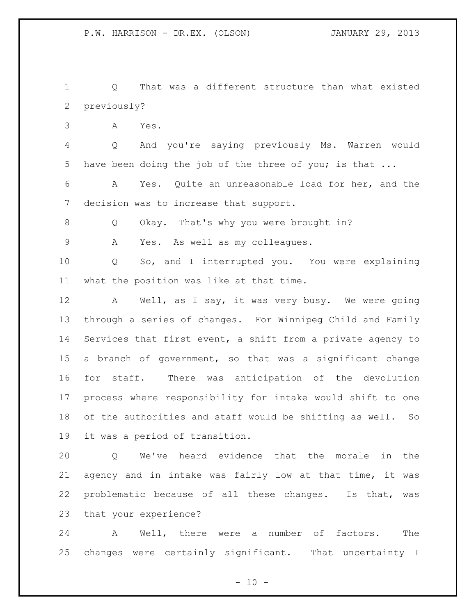Q That was a different structure than what existed previously?

A Yes.

 Q And you're saying previously Ms. Warren would have been doing the job of the three of you; is that ...

 A Yes. Quite an unreasonable load for her, and the decision was to increase that support.

Q Okay. That's why you were brought in?

A Yes. As well as my colleagues.

 Q So, and I interrupted you. You were explaining what the position was like at that time.

 A Well, as I say, it was very busy. We were going through a series of changes. For Winnipeg Child and Family Services that first event, a shift from a private agency to a branch of government, so that was a significant change for staff. There was anticipation of the devolution process where responsibility for intake would shift to one of the authorities and staff would be shifting as well. So it was a period of transition.

 Q We've heard evidence that the morale in the agency and in intake was fairly low at that time, it was problematic because of all these changes. Is that, was that your experience?

 A Well, there were a number of factors. The changes were certainly significant. That uncertainty I

 $- 10 -$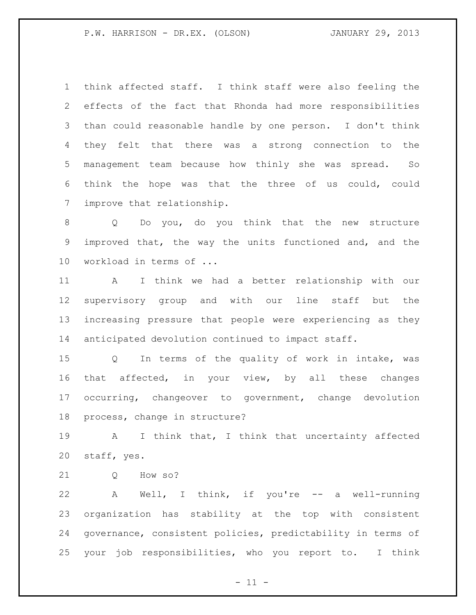think affected staff. I think staff were also feeling the effects of the fact that Rhonda had more responsibilities than could reasonable handle by one person. I don't think they felt that there was a strong connection to the management team because how thinly she was spread. So think the hope was that the three of us could, could improve that relationship.

 Q Do you, do you think that the new structure improved that, the way the units functioned and, and the workload in terms of ...

 A I think we had a better relationship with our supervisory group and with our line staff but the increasing pressure that people were experiencing as they anticipated devolution continued to impact staff.

 Q In terms of the quality of work in intake, was that affected, in your view, by all these changes occurring, changeover to government, change devolution process, change in structure?

 A I think that, I think that uncertainty affected staff, yes.

21 O How so?

 A Well, I think, if you're -- a well-running organization has stability at the top with consistent governance, consistent policies, predictability in terms of your job responsibilities, who you report to. I think

 $- 11 -$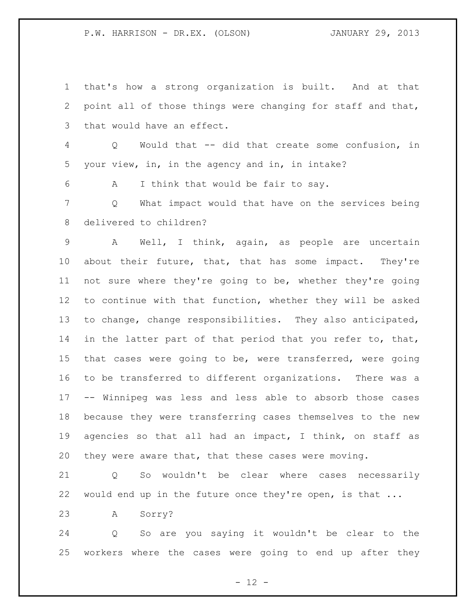that's how a strong organization is built. And at that point all of those things were changing for staff and that, that would have an effect.

 Q Would that -- did that create some confusion, in your view, in, in the agency and in, in intake?

A I think that would be fair to say.

 Q What impact would that have on the services being delivered to children?

 A Well, I think, again, as people are uncertain about their future, that, that has some impact. They're not sure where they're going to be, whether they're going to continue with that function, whether they will be asked to change, change responsibilities. They also anticipated, 14 in the latter part of that period that you refer to, that, that cases were going to be, were transferred, were going to be transferred to different organizations. There was a -- Winnipeg was less and less able to absorb those cases because they were transferring cases themselves to the new agencies so that all had an impact, I think, on staff as they were aware that, that these cases were moving.

 Q So wouldn't be clear where cases necessarily would end up in the future once they're open, is that ...

A Sorry?

 Q So are you saying it wouldn't be clear to the workers where the cases were going to end up after they

 $- 12 -$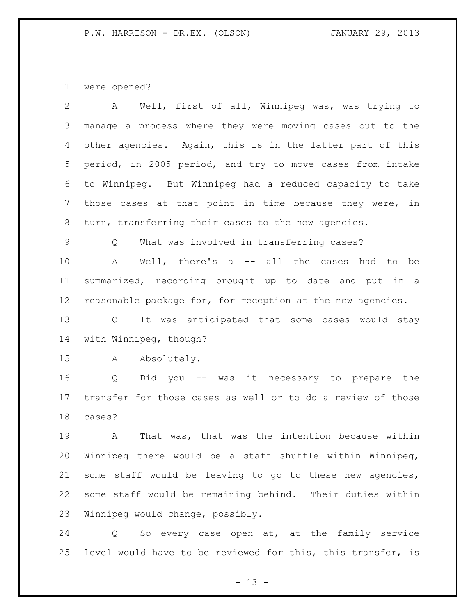were opened?

| 2  | Well, first of all, Winnipeg was, was trying to<br>A               |
|----|--------------------------------------------------------------------|
| 3  | manage a process where they were moving cases out to the           |
| 4  | other agencies. Again, this is in the latter part of this          |
| 5  | period, in 2005 period, and try to move cases from intake          |
| 6  | to Winnipeg. But Winnipeg had a reduced capacity to take           |
| 7  | those cases at that point in time because they were, in            |
| 8  | turn, transferring their cases to the new agencies.                |
| 9  | What was involved in transferring cases?<br>Q                      |
| 10 | Well, there's a -- all the cases had to be<br>$\mathbb{A}$         |
| 11 | summarized, recording brought up to date and put in a              |
| 12 | reasonable package for, for reception at the new agencies.         |
| 13 | It was anticipated that some cases would stay<br>$Q \qquad \qquad$ |
| 14 | with Winnipeg, though?                                             |
| 15 | Absolutely.<br>A                                                   |
| 16 | Did you -- was it necessary to prepare the<br>Q                    |
| 17 | transfer for those cases as well or to do a review of those        |
| 18 | cases?                                                             |
| 19 | That was, that was the intention because within<br>A               |
| 20 | Winnipeg there would be a staff shuffle within Winnipeg,           |
| 21 | some staff would be leaving to go to these new agencies,           |
| 22 | some staff would be remaining behind. Their duties within          |
| 23 | Winnipeg would change, possibly.                                   |

 Q So every case open at, at the family service level would have to be reviewed for this, this transfer, is

- 13 -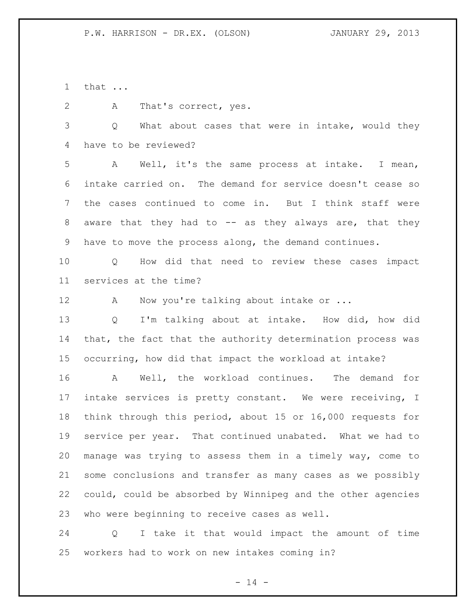that ...

A That's correct, yes.

3 Q What about cases that were in intake, would they have to be reviewed?

 A Well, it's the same process at intake. I mean, intake carried on. The demand for service doesn't cease so the cases continued to come in. But I think staff were aware that they had to -- as they always are, that they have to move the process along, the demand continues.

 Q How did that need to review these cases impact services at the time?

12 A Now you're talking about intake or ...

 Q I'm talking about at intake. How did, how did that, the fact that the authority determination process was occurring, how did that impact the workload at intake?

 A Well, the workload continues. The demand for intake services is pretty constant. We were receiving, I think through this period, about 15 or 16,000 requests for service per year. That continued unabated. What we had to manage was trying to assess them in a timely way, come to some conclusions and transfer as many cases as we possibly could, could be absorbed by Winnipeg and the other agencies who were beginning to receive cases as well.

 Q I take it that would impact the amount of time workers had to work on new intakes coming in?

 $- 14 -$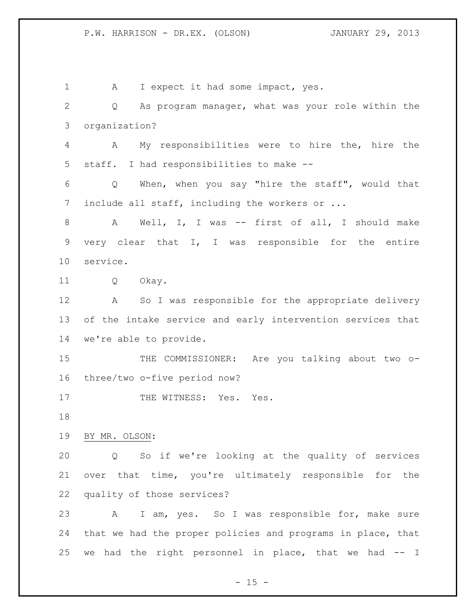1 A I expect it had some impact, yes. Q As program manager, what was your role within the organization? A My responsibilities were to hire the, hire the staff. I had responsibilities to make -- Q When, when you say "hire the staff", would that 7 include all staff, including the workers or ... A Well, I, I was -- first of all, I should make very clear that I, I was responsible for the entire service. Q Okay. A So I was responsible for the appropriate delivery of the intake service and early intervention services that we're able to provide. 15 THE COMMISSIONER: Are you talking about two o- three/two o-five period now? 17 THE WITNESS: Yes. Yes. BY MR. OLSON: Q So if we're looking at the quality of services over that time, you're ultimately responsible for the quality of those services? A I am, yes. So I was responsible for, make sure that we had the proper policies and programs in place, that we had the right personnel in place, that we had -- I

 $- 15 -$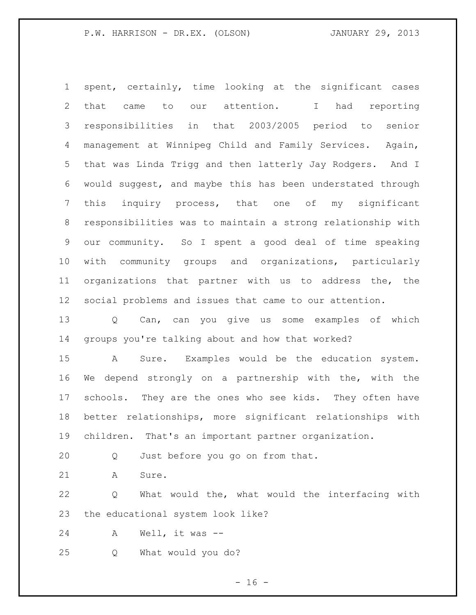spent, certainly, time looking at the significant cases that came to our attention. I had reporting responsibilities in that 2003/2005 period to senior management at Winnipeg Child and Family Services. Again, that was Linda Trigg and then latterly Jay Rodgers. And I would suggest, and maybe this has been understated through this inquiry process, that one of my significant responsibilities was to maintain a strong relationship with our community. So I spent a good deal of time speaking with community groups and organizations, particularly organizations that partner with us to address the, the social problems and issues that came to our attention. Q Can, can you give us some examples of which groups you're talking about and how that worked?

 A Sure. Examples would be the education system. We depend strongly on a partnership with the, with the schools. They are the ones who see kids. They often have better relationships, more significant relationships with children. That's an important partner organization.

Q Just before you go on from that.

21 A Sure.

 Q What would the, what would the interfacing with the educational system look like?

A Well, it was --

Q What would you do?

 $- 16 -$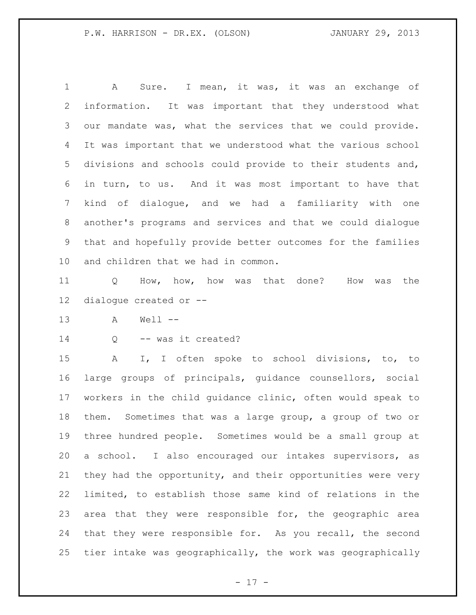A Sure. I mean, it was, it was an exchange of information. It was important that they understood what our mandate was, what the services that we could provide. It was important that we understood what the various school divisions and schools could provide to their students and, in turn, to us. And it was most important to have that kind of dialogue, and we had a familiarity with one another's programs and services and that we could dialogue that and hopefully provide better outcomes for the families and children that we had in common.

 Q How, how, how was that done? How was the dialogue created or --

A Well --

Q -- was it created?

 A I, I often spoke to school divisions, to, to large groups of principals, guidance counsellors, social workers in the child guidance clinic, often would speak to them. Sometimes that was a large group, a group of two or three hundred people. Sometimes would be a small group at a school. I also encouraged our intakes supervisors, as they had the opportunity, and their opportunities were very limited, to establish those same kind of relations in the area that they were responsible for, the geographic area that they were responsible for. As you recall, the second tier intake was geographically, the work was geographically

 $- 17 -$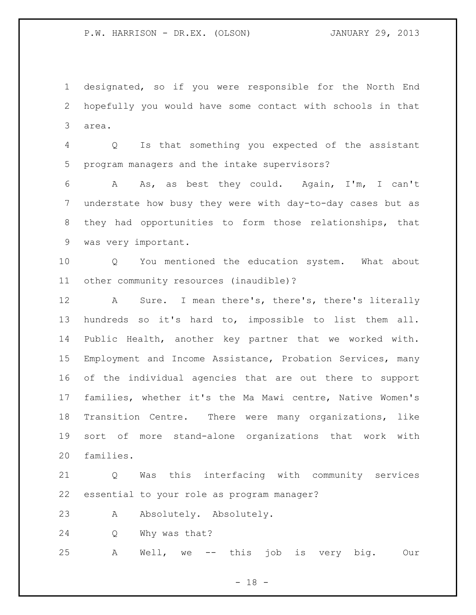designated, so if you were responsible for the North End hopefully you would have some contact with schools in that area.

 Q Is that something you expected of the assistant program managers and the intake supervisors?

 A As, as best they could. Again, I'm, I can't understate how busy they were with day-to-day cases but as they had opportunities to form those relationships, that was very important.

 Q You mentioned the education system. What about other community resources (inaudible)?

 A Sure. I mean there's, there's, there's literally hundreds so it's hard to, impossible to list them all. Public Health, another key partner that we worked with. Employment and Income Assistance, Probation Services, many of the individual agencies that are out there to support families, whether it's the Ma Mawi centre, Native Women's Transition Centre. There were many organizations, like sort of more stand-alone organizations that work with families.

 Q Was this interfacing with community services essential to your role as program manager?

23 A Absolutely. Absolutely.

Q Why was that?

A Well, we -- this job is very big. Our

 $- 18 -$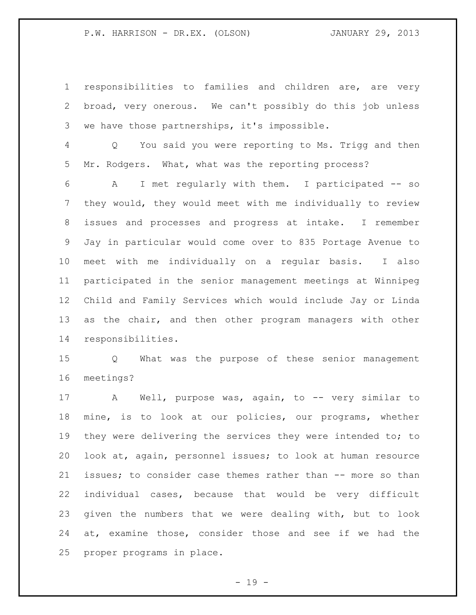responsibilities to families and children are, are very broad, very onerous. We can't possibly do this job unless we have those partnerships, it's impossible.

 Q You said you were reporting to Ms. Trigg and then Mr. Rodgers. What, what was the reporting process?

 A I met regularly with them. I participated -- so they would, they would meet with me individually to review issues and processes and progress at intake. I remember Jay in particular would come over to 835 Portage Avenue to meet with me individually on a regular basis. I also participated in the senior management meetings at Winnipeg Child and Family Services which would include Jay or Linda as the chair, and then other program managers with other responsibilities.

 Q What was the purpose of these senior management meetings?

17 A Well, purpose was, again, to -- very similar to mine, is to look at our policies, our programs, whether 19 they were delivering the services they were intended to; to look at, again, personnel issues; to look at human resource issues; to consider case themes rather than -- more so than individual cases, because that would be very difficult given the numbers that we were dealing with, but to look at, examine those, consider those and see if we had the proper programs in place.

 $- 19 -$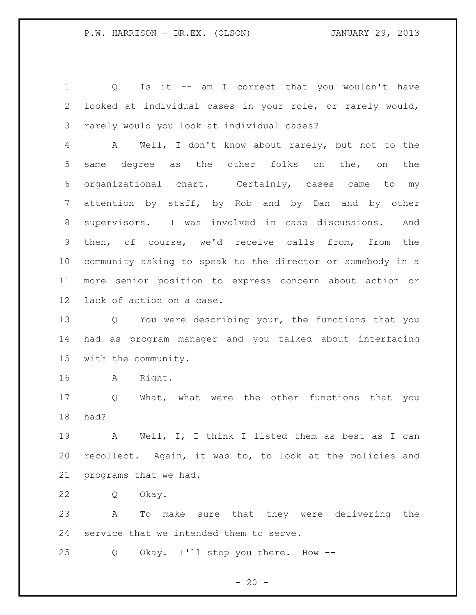Q Is it -- am I correct that you wouldn't have looked at individual cases in your role, or rarely would, rarely would you look at individual cases?

 A Well, I don't know about rarely, but not to the same degree as the other folks on the, on the organizational chart. Certainly, cases came to my attention by staff, by Rob and by Dan and by other supervisors. I was involved in case discussions. And then, of course, we'd receive calls from, from the community asking to speak to the director or somebody in a more senior position to express concern about action or lack of action on a case.

 Q You were describing your, the functions that you had as program manager and you talked about interfacing with the community.

A Right.

 Q What, what were the other functions that you had?

 A Well, I, I think I listed them as best as I can recollect. Again, it was to, to look at the policies and programs that we had.

Q Okay.

 A To make sure that they were delivering the service that we intended them to serve.

Q Okay. I'll stop you there. How --

 $- 20 -$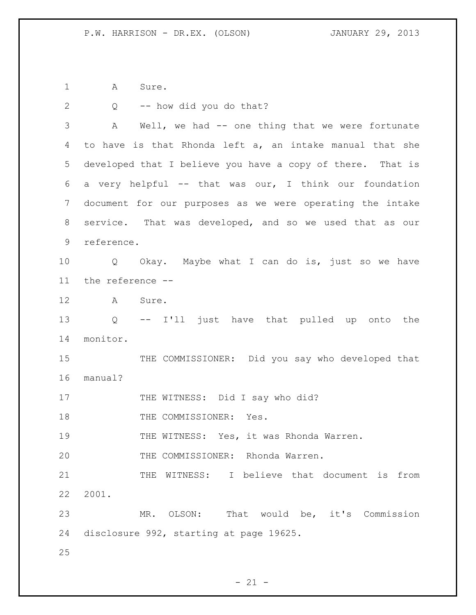A Sure.

| $\mathbf{2}$    | -- how did you do that?<br>$Q \qquad \qquad$                   |
|-----------------|----------------------------------------------------------------|
| 3               | Well, we had -- one thing that we were fortunate<br>A          |
| 4               | to have is that Rhonda left a, an intake manual that she       |
| 5               | developed that I believe you have a copy of there. That is     |
| 6               | a very helpful -- that was our, I think our foundation         |
| 7               | document for our purposes as we were operating the intake      |
| 8               | service. That was developed, and so we used that as our        |
| 9               | reference.                                                     |
| 10              | Q Okay. Maybe what I can do is, just so we have                |
| 11              | the reference --                                               |
| 12 <sup>°</sup> | $\mathbf{A}$<br>Sure.                                          |
| 13              | -- I'll just have that pulled up onto the<br>$Q \qquad \qquad$ |
| 14              | monitor.                                                       |
| 15              | THE COMMISSIONER: Did you say who developed that               |
| 16              | manual?                                                        |
| 17              | THE WITNESS: Did I say who did?                                |
| 18              | THE COMMISSIONER: Yes.                                         |
| 19              | THE WITNESS: Yes, it was Rhonda Warren.                        |
| 20              | THE COMMISSIONER: Rhonda Warren.                               |
| 21              | I believe that document is from<br>THE<br>WITNESS:             |
| 22              | 2001.                                                          |
| 23              | That would be, it's Commission<br>OLSON:<br>MR.                |
| 24              | disclosure 992, starting at page 19625.                        |
| 25              |                                                                |

- 21 -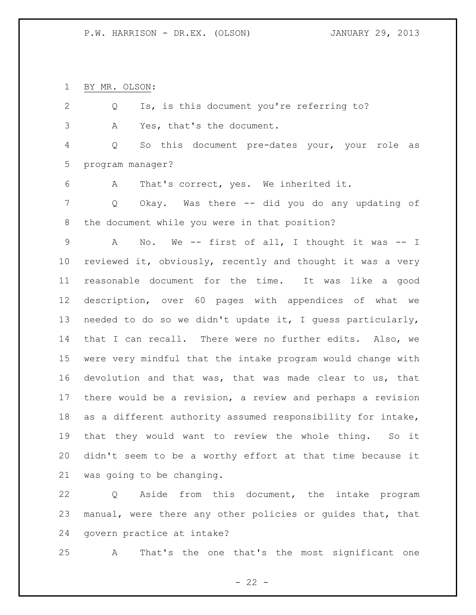BY MR. OLSON:

 Q Is, is this document you're referring to? A Yes, that's the document. Q So this document pre-dates your, your role as program manager? A That's correct, yes. We inherited it. Q Okay. Was there -- did you do any updating of the document while you were in that position? A No. We -- first of all, I thought it was -- I reviewed it, obviously, recently and thought it was a very reasonable document for the time. It was like a good description, over 60 pages with appendices of what we needed to do so we didn't update it, I guess particularly, that I can recall. There were no further edits. Also, we were very mindful that the intake program would change with devolution and that was, that was made clear to us, that there would be a revision, a review and perhaps a revision as a different authority assumed responsibility for intake, that they would want to review the whole thing. So it didn't seem to be a worthy effort at that time because it was going to be changing.

 Q Aside from this document, the intake program manual, were there any other policies or guides that, that govern practice at intake?

A That's the one that's the most significant one

 $- 22 -$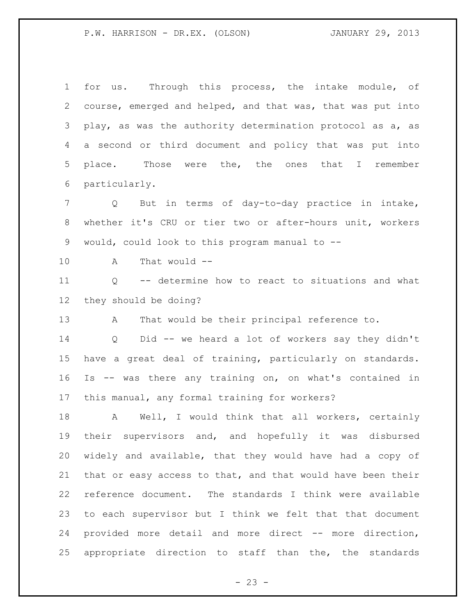for us. Through this process, the intake module, of course, emerged and helped, and that was, that was put into play, as was the authority determination protocol as a, as a second or third document and policy that was put into place. Those were the, the ones that I remember particularly.

 Q But in terms of day-to-day practice in intake, whether it's CRU or tier two or after-hours unit, workers would, could look to this program manual to --

A That would --

 Q -- determine how to react to situations and what they should be doing?

A That would be their principal reference to.

 Q Did -- we heard a lot of workers say they didn't have a great deal of training, particularly on standards. Is -- was there any training on, on what's contained in this manual, any formal training for workers?

18 A Well, I would think that all workers, certainly their supervisors and, and hopefully it was disbursed widely and available, that they would have had a copy of that or easy access to that, and that would have been their reference document. The standards I think were available to each supervisor but I think we felt that that document provided more detail and more direct -- more direction, appropriate direction to staff than the, the standards

 $- 23 -$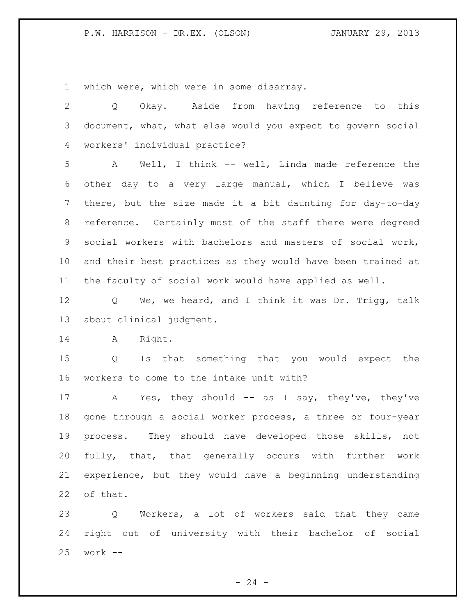which were, which were in some disarray.

 Q Okay. Aside from having reference to this document, what, what else would you expect to govern social workers' individual practice? A Well, I think -- well, Linda made reference the other day to a very large manual, which I believe was there, but the size made it a bit daunting for day-to-day reference. Certainly most of the staff there were degreed social workers with bachelors and masters of social work, and their best practices as they would have been trained at the faculty of social work would have applied as well. Q We, we heard, and I think it was Dr. Trigg, talk about clinical judgment. A Right. Q Is that something that you would expect the workers to come to the intake unit with? 17 A Yes, they should -- as I say, they've, they've gone through a social worker process, a three or four-year process. They should have developed those skills, not fully, that, that generally occurs with further work experience, but they would have a beginning understanding of that. Q Workers, a lot of workers said that they came

 right out of university with their bachelor of social work --

 $- 24 -$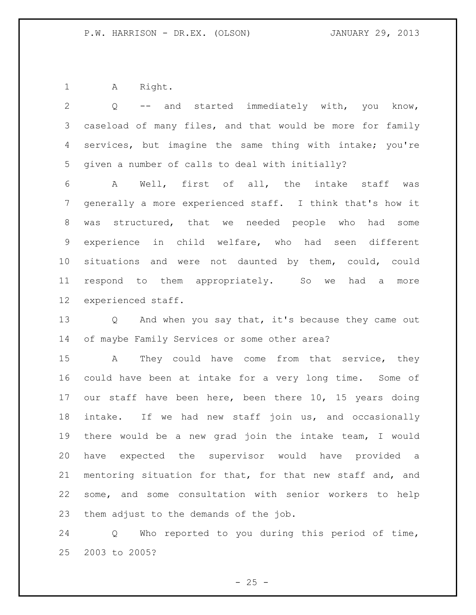1 A Right.

 Q -- and started immediately with, you know, caseload of many files, and that would be more for family services, but imagine the same thing with intake; you're given a number of calls to deal with initially? A Well, first of all, the intake staff was generally a more experienced staff. I think that's how it was structured, that we needed people who had some experience in child welfare, who had seen different situations and were not daunted by them, could, could respond to them appropriately. So we had a more experienced staff. 13 Q And when you say that, it's because they came out of maybe Family Services or some other area? A They could have come from that service, they could have been at intake for a very long time. Some of our staff have been here, been there 10, 15 years doing intake. If we had new staff join us, and occasionally there would be a new grad join the intake team, I would have expected the supervisor would have provided a mentoring situation for that, for that new staff and, and some, and some consultation with senior workers to help

them adjust to the demands of the job.

 Q Who reported to you during this period of time, 2003 to 2005?

 $- 25 -$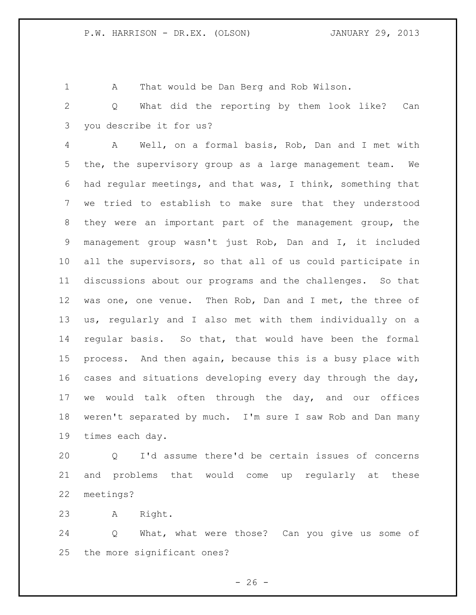A That would be Dan Berg and Rob Wilson.

 Q What did the reporting by them look like? Can you describe it for us?

 A Well, on a formal basis, Rob, Dan and I met with the, the supervisory group as a large management team. We had regular meetings, and that was, I think, something that we tried to establish to make sure that they understood they were an important part of the management group, the management group wasn't just Rob, Dan and I, it included all the supervisors, so that all of us could participate in discussions about our programs and the challenges. So that 12 was one, one venue. Then Rob, Dan and I met, the three of us, regularly and I also met with them individually on a regular basis. So that, that would have been the formal process. And then again, because this is a busy place with cases and situations developing every day through the day, we would talk often through the day, and our offices weren't separated by much. I'm sure I saw Rob and Dan many times each day.

 Q I'd assume there'd be certain issues of concerns and problems that would come up regularly at these meetings?

A Right.

 Q What, what were those? Can you give us some of the more significant ones?

 $- 26 -$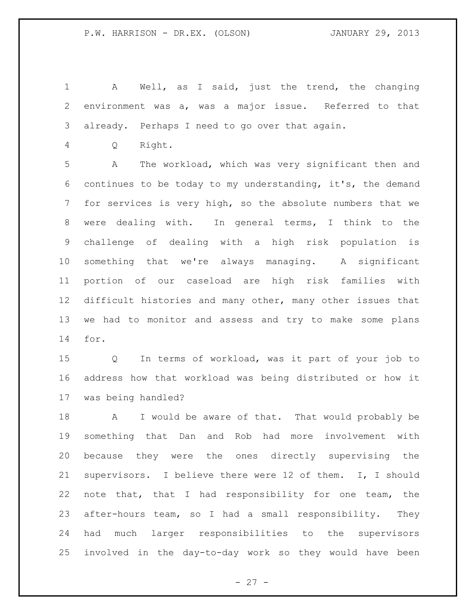A Well, as I said, just the trend, the changing environment was a, was a major issue. Referred to that already. Perhaps I need to go over that again.

Q Right.

 A The workload, which was very significant then and continues to be today to my understanding, it's, the demand for services is very high, so the absolute numbers that we were dealing with. In general terms, I think to the challenge of dealing with a high risk population is something that we're always managing. A significant portion of our caseload are high risk families with difficult histories and many other, many other issues that we had to monitor and assess and try to make some plans for.

 Q In terms of workload, was it part of your job to address how that workload was being distributed or how it was being handled?

18 A I would be aware of that. That would probably be something that Dan and Rob had more involvement with because they were the ones directly supervising the supervisors. I believe there were 12 of them. I, I should note that, that I had responsibility for one team, the after-hours team, so I had a small responsibility. They had much larger responsibilities to the supervisors involved in the day-to-day work so they would have been

 $- 27 -$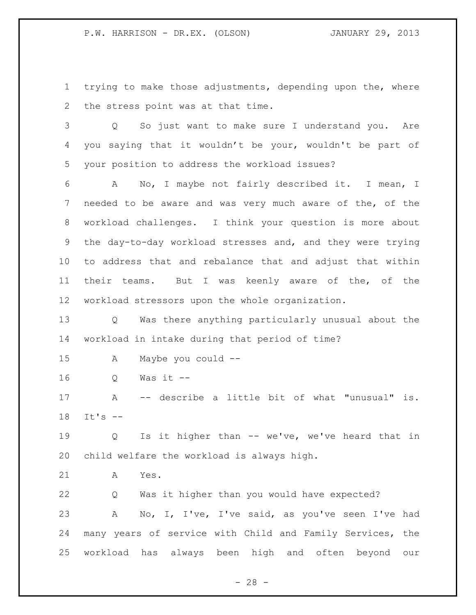trying to make those adjustments, depending upon the, where the stress point was at that time.

 Q So just want to make sure I understand you. Are you saying that it wouldn't be your, wouldn't be part of your position to address the workload issues?

 A No, I maybe not fairly described it. I mean, I needed to be aware and was very much aware of the, of the workload challenges. I think your question is more about the day-to-day workload stresses and, and they were trying to address that and rebalance that and adjust that within their teams. But I was keenly aware of the, of the workload stressors upon the whole organization.

 Q Was there anything particularly unusual about the workload in intake during that period of time?

- A Maybe you could --
- Q Was it --

 A -- describe a little bit of what "unusual" is. It's --

 Q Is it higher than -- we've, we've heard that in child welfare the workload is always high.

A Yes.

 Q Was it higher than you would have expected? A No, I, I've, I've said, as you've seen I've had many years of service with Child and Family Services, the workload has always been high and often beyond our

 $- 28 -$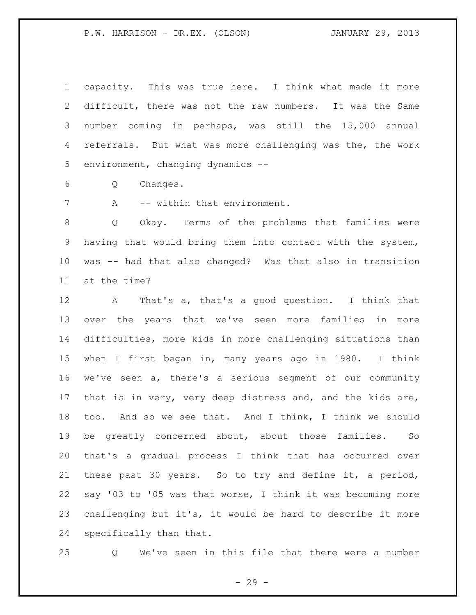capacity. This was true here. I think what made it more difficult, there was not the raw numbers. It was the Same number coming in perhaps, was still the 15,000 annual 4 referrals. But what was more challenging was the, the work environment, changing dynamics --

Q Changes.

7 A -- within that environment.

 Q Okay. Terms of the problems that families were having that would bring them into contact with the system, was -- had that also changed? Was that also in transition at the time?

 A That's a, that's a good question. I think that over the years that we've seen more families in more difficulties, more kids in more challenging situations than when I first began in, many years ago in 1980. I think we've seen a, there's a serious segment of our community that is in very, very deep distress and, and the kids are, too. And so we see that. And I think, I think we should be greatly concerned about, about those families. So that's a gradual process I think that has occurred over these past 30 years. So to try and define it, a period, say '03 to '05 was that worse, I think it was becoming more challenging but it's, it would be hard to describe it more specifically than that.

Q We've seen in this file that there were a number

- 29 -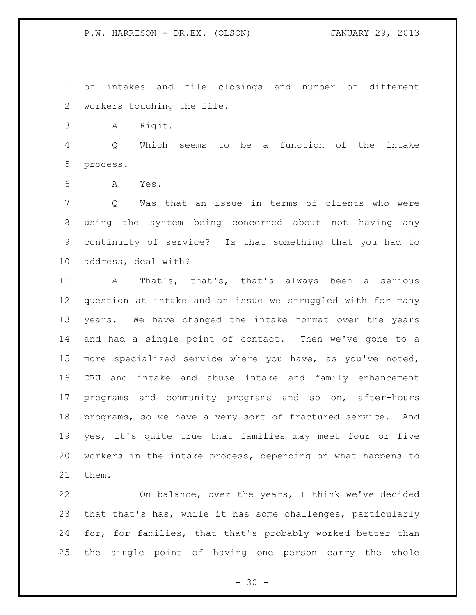of intakes and file closings and number of different workers touching the file.

A Right.

 Q Which seems to be a function of the intake process.

A Yes.

 Q Was that an issue in terms of clients who were using the system being concerned about not having any continuity of service? Is that something that you had to address, deal with?

 A That's, that's, that's always been a serious question at intake and an issue we struggled with for many years. We have changed the intake format over the years and had a single point of contact. Then we've gone to a more specialized service where you have, as you've noted, CRU and intake and abuse intake and family enhancement programs and community programs and so on, after-hours programs, so we have a very sort of fractured service. And yes, it's quite true that families may meet four or five workers in the intake process, depending on what happens to them.

 On balance, over the years, I think we've decided that that's has, while it has some challenges, particularly for, for families, that that's probably worked better than the single point of having one person carry the whole

 $- 30 -$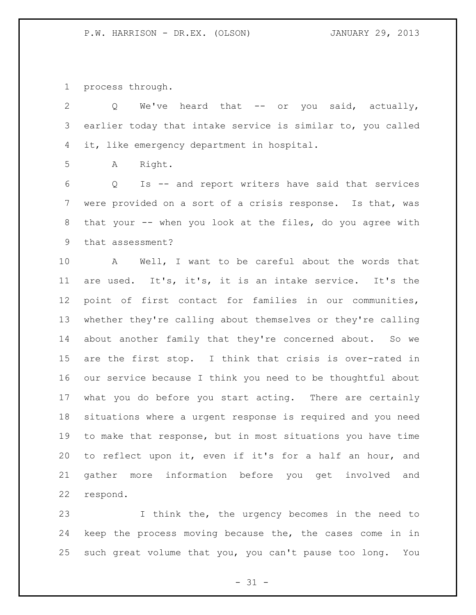process through.

2 Q We've heard that -- or you said, actually, earlier today that intake service is similar to, you called it, like emergency department in hospital. A Right. Q Is -- and report writers have said that services were provided on a sort of a crisis response. Is that, was 8 that your -- when you look at the files, do you agree with that assessment? A Well, I want to be careful about the words that are used. It's, it's, it is an intake service. It's the point of first contact for families in our communities, whether they're calling about themselves or they're calling about another family that they're concerned about. So we

 are the first stop. I think that crisis is over-rated in our service because I think you need to be thoughtful about what you do before you start acting. There are certainly situations where a urgent response is required and you need to make that response, but in most situations you have time to reflect upon it, even if it's for a half an hour, and gather more information before you get involved and respond.

 I think the, the urgency becomes in the need to keep the process moving because the, the cases come in in such great volume that you, you can't pause too long. You

 $- 31 -$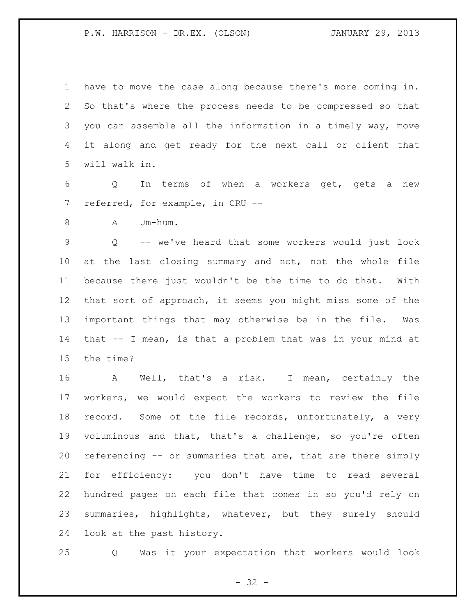have to move the case along because there's more coming in. So that's where the process needs to be compressed so that you can assemble all the information in a timely way, move it along and get ready for the next call or client that will walk in.

 Q In terms of when a workers get, gets a new referred, for example, in CRU --

8 A Um-hum.

 Q -- we've heard that some workers would just look at the last closing summary and not, not the whole file because there just wouldn't be the time to do that. With that sort of approach, it seems you might miss some of the important things that may otherwise be in the file. Was that -- I mean, is that a problem that was in your mind at the time?

 A Well, that's a risk. I mean, certainly the workers, we would expect the workers to review the file record. Some of the file records, unfortunately, a very voluminous and that, that's a challenge, so you're often referencing -- or summaries that are, that are there simply for efficiency: you don't have time to read several hundred pages on each file that comes in so you'd rely on summaries, highlights, whatever, but they surely should look at the past history.

Q Was it your expectation that workers would look

 $- 32 -$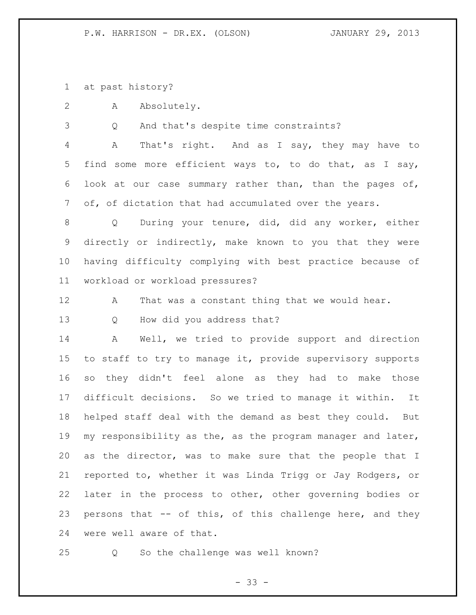at past history?

A Absolutely.

Q And that's despite time constraints?

 A That's right. And as I say, they may have to find some more efficient ways to, to do that, as I say, look at our case summary rather than, than the pages of, of, of dictation that had accumulated over the years.

 Q During your tenure, did, did any worker, either directly or indirectly, make known to you that they were having difficulty complying with best practice because of workload or workload pressures?

12 A That was a constant thing that we would hear.

Q How did you address that?

 A Well, we tried to provide support and direction to staff to try to manage it, provide supervisory supports so they didn't feel alone as they had to make those difficult decisions. So we tried to manage it within. It helped staff deal with the demand as best they could. But my responsibility as the, as the program manager and later, as the director, was to make sure that the people that I reported to, whether it was Linda Trigg or Jay Rodgers, or later in the process to other, other governing bodies or persons that -- of this, of this challenge here, and they were well aware of that.

Q So the challenge was well known?

- 33 -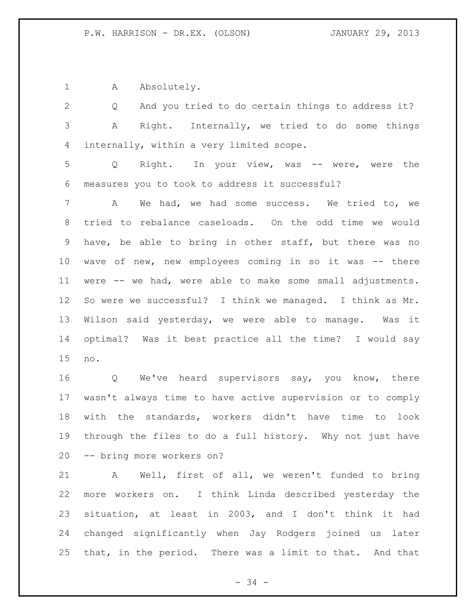1 A Absolutely.

 Q And you tried to do certain things to address it? A Right. Internally, we tried to do some things internally, within a very limited scope.

 Q Right. In your view, was -- were, were the measures you to took to address it successful?

 A We had, we had some success. We tried to, we tried to rebalance caseloads. On the odd time we would have, be able to bring in other staff, but there was no wave of new, new employees coming in so it was -- there were -- we had, were able to make some small adjustments. So were we successful? I think we managed. I think as Mr. Wilson said yesterday, we were able to manage. Was it optimal? Was it best practice all the time? I would say no.

16 Q We've heard supervisors say, you know, there wasn't always time to have active supervision or to comply with the standards, workers didn't have time to look through the files to do a full history. Why not just have -- bring more workers on?

 A Well, first of all, we weren't funded to bring more workers on. I think Linda described yesterday the situation, at least in 2003, and I don't think it had changed significantly when Jay Rodgers joined us later that, in the period. There was a limit to that. And that

- 34 -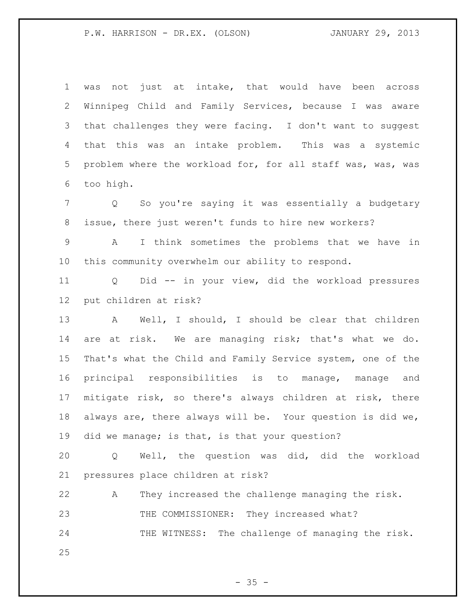was not just at intake, that would have been across Winnipeg Child and Family Services, because I was aware that challenges they were facing. I don't want to suggest that this was an intake problem. This was a systemic problem where the workload for, for all staff was, was, was too high.

 Q So you're saying it was essentially a budgetary issue, there just weren't funds to hire new workers?

 A I think sometimes the problems that we have in this community overwhelm our ability to respond.

 Q Did -- in your view, did the workload pressures put children at risk?

 A Well, I should, I should be clear that children are at risk. We are managing risk; that's what we do. That's what the Child and Family Service system, one of the principal responsibilities is to manage, manage and mitigate risk, so there's always children at risk, there always are, there always will be. Your question is did we, did we manage; is that, is that your question?

 Q Well, the question was did, did the workload pressures place children at risk?

 A They increased the challenge managing the risk. 23 THE COMMISSIONER: They increased what? 24 THE WITNESS: The challenge of managing the risk.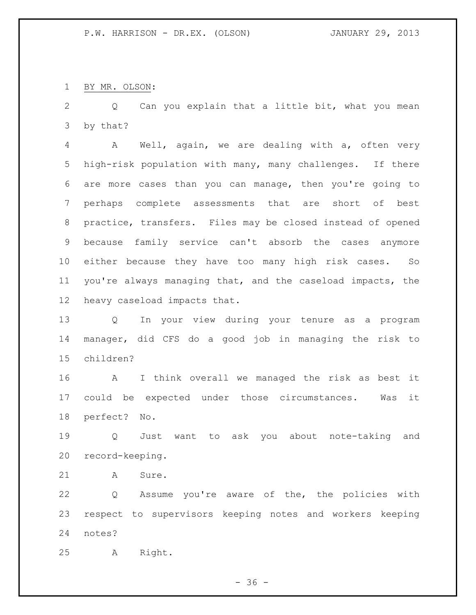BY MR. OLSON:

 Q Can you explain that a little bit, what you mean by that?

 A Well, again, we are dealing with a, often very high-risk population with many, many challenges. If there are more cases than you can manage, then you're going to perhaps complete assessments that are short of best practice, transfers. Files may be closed instead of opened because family service can't absorb the cases anymore either because they have too many high risk cases. So you're always managing that, and the caseload impacts, the heavy caseload impacts that.

 Q In your view during your tenure as a program manager, did CFS do a good job in managing the risk to children?

 A I think overall we managed the risk as best it could be expected under those circumstances. Was it perfect? No.

 Q Just want to ask you about note-taking and record-keeping.

21 A Sure.

 Q Assume you're aware of the, the policies with respect to supervisors keeping notes and workers keeping notes?

A Right.

 $- 36 -$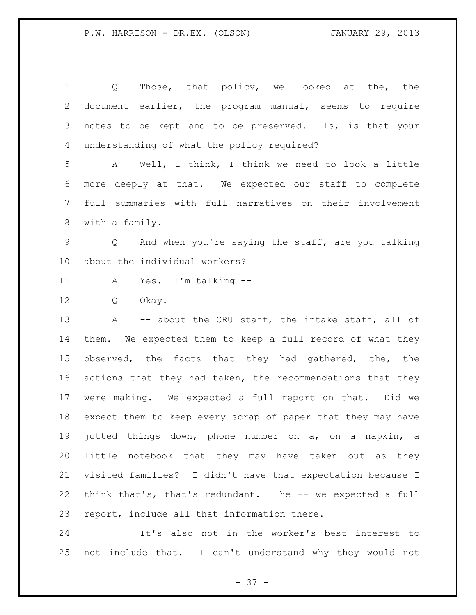Q Those, that policy, we looked at the, the document earlier, the program manual, seems to require notes to be kept and to be preserved. Is, is that your understanding of what the policy required?

 A Well, I think, I think we need to look a little more deeply at that. We expected our staff to complete full summaries with full narratives on their involvement with a family.

 Q And when you're saying the staff, are you talking about the individual workers?

A Yes. I'm talking --

Q Okay.

13 A -- about the CRU staff, the intake staff, all of them. We expected them to keep a full record of what they 15 observed, the facts that they had gathered, the, the 16 actions that they had taken, the recommendations that they were making. We expected a full report on that. Did we expect them to keep every scrap of paper that they may have jotted things down, phone number on a, on a napkin, a little notebook that they may have taken out as they visited families? I didn't have that expectation because I think that's, that's redundant. The -- we expected a full report, include all that information there.

 It's also not in the worker's best interest to not include that. I can't understand why they would not

- 37 -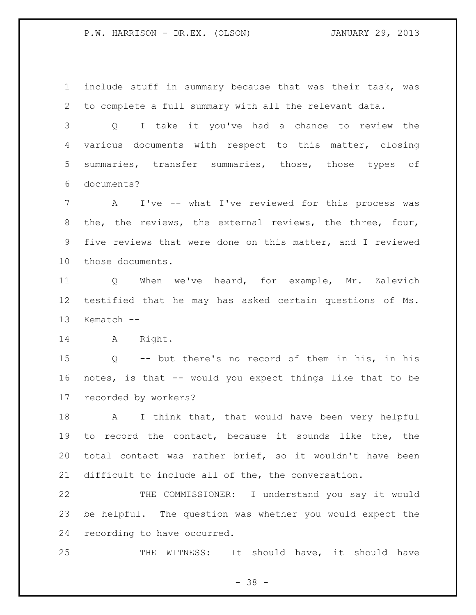include stuff in summary because that was their task, was to complete a full summary with all the relevant data.

 Q I take it you've had a chance to review the various documents with respect to this matter, closing summaries, transfer summaries, those, those types of documents?

 A I've -- what I've reviewed for this process was the, the reviews, the external reviews, the three, four, five reviews that were done on this matter, and I reviewed those documents.

 Q When we've heard, for example, Mr. Zalevich testified that he may has asked certain questions of Ms. Kematch --

A Right.

 Q -- but there's no record of them in his, in his notes, is that -- would you expect things like that to be recorded by workers?

 A I think that, that would have been very helpful to record the contact, because it sounds like the, the total contact was rather brief, so it wouldn't have been difficult to include all of the, the conversation.

 THE COMMISSIONER: I understand you say it would be helpful. The question was whether you would expect the recording to have occurred.

25 THE WITNESS: It should have, it should have

 $- 38 -$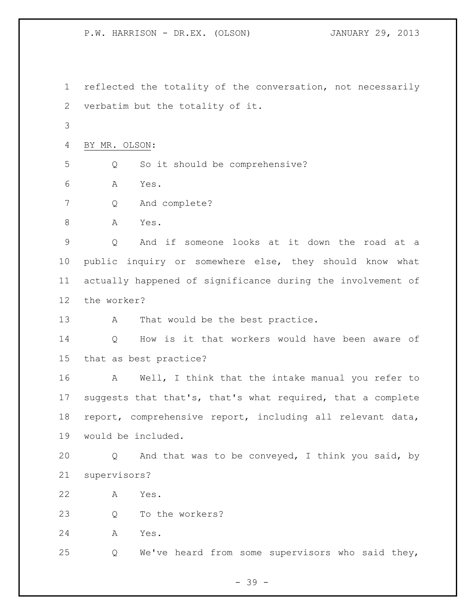reflected the totality of the conversation, not necessarily verbatim but the totality of it. BY MR. OLSON: Q So it should be comprehensive? A Yes. Q And complete? 8 A Yes. Q And if someone looks at it down the road at a public inquiry or somewhere else, they should know what actually happened of significance during the involvement of the worker? 13 A That would be the best practice. Q How is it that workers would have been aware of that as best practice? A Well, I think that the intake manual you refer to suggests that that's, that's what required, that a complete report, comprehensive report, including all relevant data, would be included. Q And that was to be conveyed, I think you said, by supervisors? A Yes. 23 O To the workers? A Yes. Q We've heard from some supervisors who said they,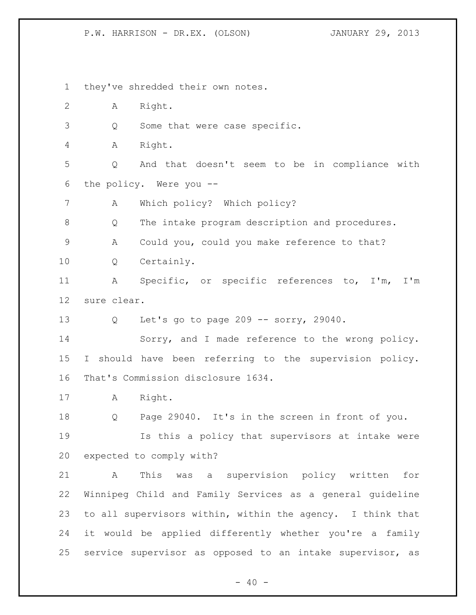they've shredded their own notes. A Right. Q Some that were case specific. A Right. Q And that doesn't seem to be in compliance with the policy. Were you -- A Which policy? Which policy? Q The intake program description and procedures. A Could you, could you make reference to that? Q Certainly. A Specific, or specific references to, I'm, I'm sure clear. Q Let's go to page 209 -- sorry, 29040. Sorry, and I made reference to the wrong policy. I should have been referring to the supervision policy. That's Commission disclosure 1634. A Right. Q Page 29040. It's in the screen in front of you. Is this a policy that supervisors at intake were expected to comply with? A This was a supervision policy written for Winnipeg Child and Family Services as a general guideline to all supervisors within, within the agency. I think that it would be applied differently whether you're a family service supervisor as opposed to an intake supervisor, as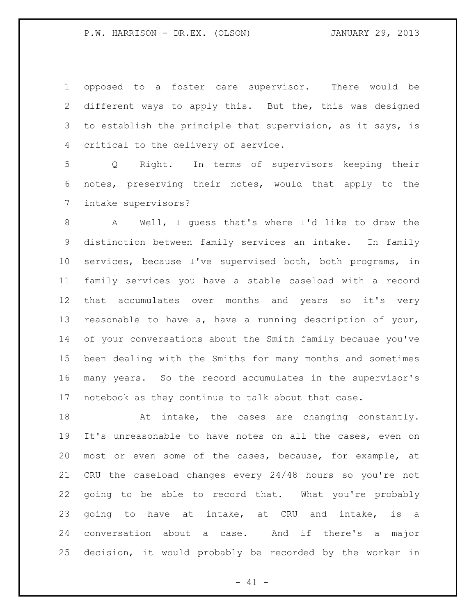opposed to a foster care supervisor. There would be different ways to apply this. But the, this was designed to establish the principle that supervision, as it says, is critical to the delivery of service.

 Q Right. In terms of supervisors keeping their notes, preserving their notes, would that apply to the intake supervisors?

 A Well, I guess that's where I'd like to draw the distinction between family services an intake. In family services, because I've supervised both, both programs, in family services you have a stable caseload with a record that accumulates over months and years so it's very reasonable to have a, have a running description of your, of your conversations about the Smith family because you've been dealing with the Smiths for many months and sometimes many years. So the record accumulates in the supervisor's notebook as they continue to talk about that case.

18 At intake, the cases are changing constantly. It's unreasonable to have notes on all the cases, even on most or even some of the cases, because, for example, at CRU the caseload changes every 24/48 hours so you're not going to be able to record that. What you're probably 23 going to have at intake, at CRU and intake, is a conversation about a case. And if there's a major decision, it would probably be recorded by the worker in

 $- 41 -$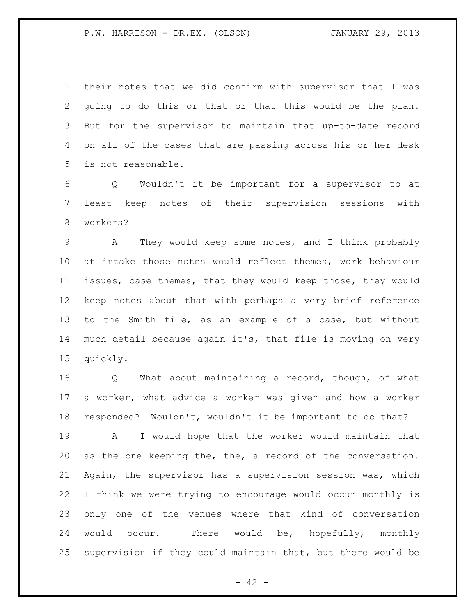their notes that we did confirm with supervisor that I was going to do this or that or that this would be the plan. But for the supervisor to maintain that up-to-date record on all of the cases that are passing across his or her desk is not reasonable.

 Q Wouldn't it be important for a supervisor to at least keep notes of their supervision sessions with workers?

 A They would keep some notes, and I think probably at intake those notes would reflect themes, work behaviour issues, case themes, that they would keep those, they would keep notes about that with perhaps a very brief reference to the Smith file, as an example of a case, but without much detail because again it's, that file is moving on very quickly.

 Q What about maintaining a record, though, of what a worker, what advice a worker was given and how a worker responded? Wouldn't, wouldn't it be important to do that? A I would hope that the worker would maintain that as the one keeping the, the, a record of the conversation. Again, the supervisor has a supervision session was, which I think we were trying to encourage would occur monthly is only one of the venues where that kind of conversation would occur. There would be, hopefully, monthly supervision if they could maintain that, but there would be

 $- 42 -$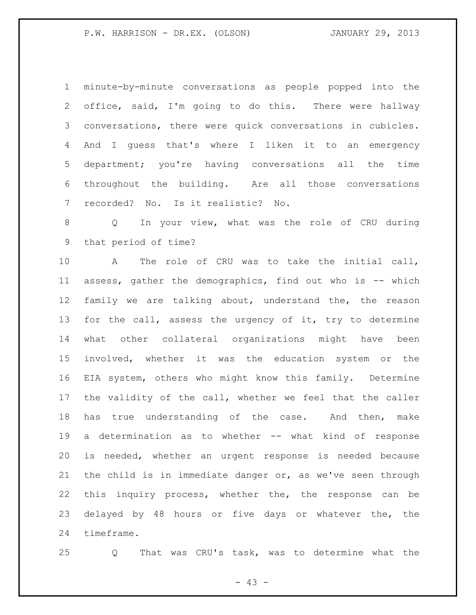minute-by-minute conversations as people popped into the office, said, I'm going to do this. There were hallway conversations, there were quick conversations in cubicles. And I guess that's where I liken it to an emergency department; you're having conversations all the time throughout the building. Are all those conversations recorded? No. Is it realistic? No.

 Q In your view, what was the role of CRU during that period of time?

 A The role of CRU was to take the initial call, assess, gather the demographics, find out who is -- which family we are talking about, understand the, the reason 13 for the call, assess the urgency of it, try to determine what other collateral organizations might have been involved, whether it was the education system or the EIA system, others who might know this family. Determine the validity of the call, whether we feel that the caller has true understanding of the case. And then, make a determination as to whether -- what kind of response is needed, whether an urgent response is needed because the child is in immediate danger or, as we've seen through this inquiry process, whether the, the response can be delayed by 48 hours or five days or whatever the, the timeframe.

Q That was CRU's task, was to determine what the

 $- 43 -$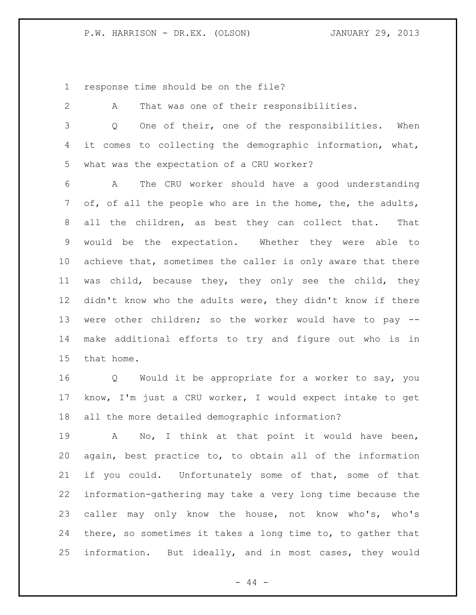1 response time should be on the file?

| $\mathbf{2}$  | That was one of their responsibilities.<br>A                  |
|---------------|---------------------------------------------------------------|
| $\mathcal{S}$ | One of their, one of the responsibilities.<br>When<br>Q       |
| 4             | it comes to collecting the demographic information, what,     |
| 5             | what was the expectation of a CRU worker?                     |
| 6             | The CRU worker should have a good understanding<br>A          |
| 7             | of, of all the people who are in the home, the, the adults,   |
| 8             | all the children, as best they can collect that. That         |
| 9             | would be the expectation. Whether they were able to           |
| 10            | achieve that, sometimes the caller is only aware that there   |
| 11            | was child, because they, they only see the child, they        |
| 12            | didn't know who the adults were, they didn't know if there    |
| 13            | were other children; so the worker would have to pay --       |
| 14            | make additional efforts to try and figure out who is in       |
| 15            | that home.                                                    |
| 16            | Q Would it be appropriate for a worker to say, you            |
| 17            | know, I'm just a CRU worker, I would expect intake to get     |
| 18            | all the more detailed demographic information?                |
| 19            | No, I think at that point it would have been,<br>$\mathbf{A}$ |
| 20            | again, best practice to, to obtain all of the information     |
| 21            | if you could. Unfortunately some of that, some of that        |
| 22            | information-gathering may take a very long time because the   |
| 23            | caller may only know the house, not know who's, who's         |
| 24            | there, so sometimes it takes a long time to, to gather that   |
| 25            | information. But ideally, and in most cases, they would       |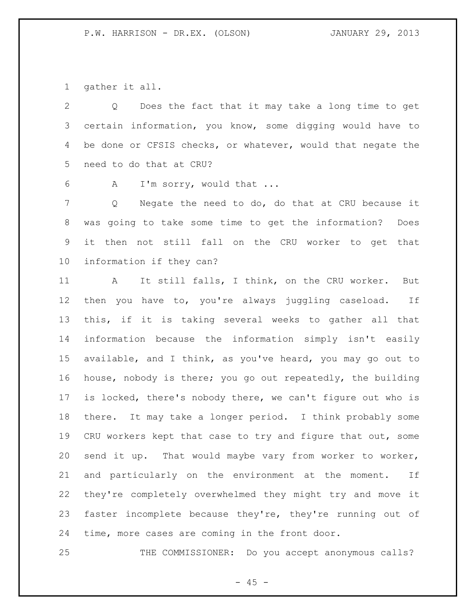gather it all.

 Q Does the fact that it may take a long time to get certain information, you know, some digging would have to 4 be done or CFSIS checks, or whatever, would that negate the need to do that at CRU?

A I'm sorry, would that ...

 Q Negate the need to do, do that at CRU because it was going to take some time to get the information? Does it then not still fall on the CRU worker to get that information if they can?

 A It still falls, I think, on the CRU worker. But then you have to, you're always juggling caseload. If this, if it is taking several weeks to gather all that information because the information simply isn't easily available, and I think, as you've heard, you may go out to house, nobody is there; you go out repeatedly, the building is locked, there's nobody there, we can't figure out who is there. It may take a longer period. I think probably some 19 CRU workers kept that case to try and figure that out, some 20 send it up. That would maybe vary from worker to worker, and particularly on the environment at the moment. If they're completely overwhelmed they might try and move it faster incomplete because they're, they're running out of time, more cases are coming in the front door.

25 THE COMMISSIONER: Do you accept anonymous calls?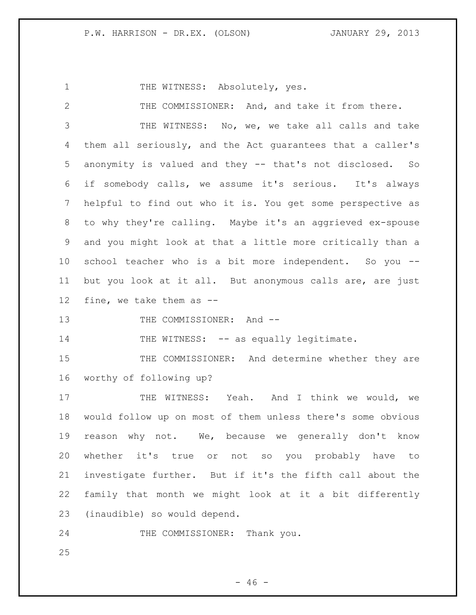1 THE WITNESS: Absolutely, yes.

 THE COMMISSIONER: And, and take it from there. THE WITNESS: No, we, we take all calls and take them all seriously, and the Act guarantees that a caller's anonymity is valued and they -- that's not disclosed. So if somebody calls, we assume it's serious. It's always helpful to find out who it is. You get some perspective as to why they're calling. Maybe it's an aggrieved ex-spouse and you might look at that a little more critically than a school teacher who is a bit more independent. So you -- but you look at it all. But anonymous calls are, are just fine, we take them as -- 13 THE COMMISSIONER: And --14 THE WITNESS: -- as equally legitimate. 15 THE COMMISSIONER: And determine whether they are

worthy of following up?

17 THE WITNESS: Yeah. And I think we would, we would follow up on most of them unless there's some obvious reason why not. We, because we generally don't know whether it's true or not so you probably have to investigate further. But if it's the fifth call about the family that month we might look at it a bit differently (inaudible) so would depend.

24 THE COMMISSIONER: Thank you.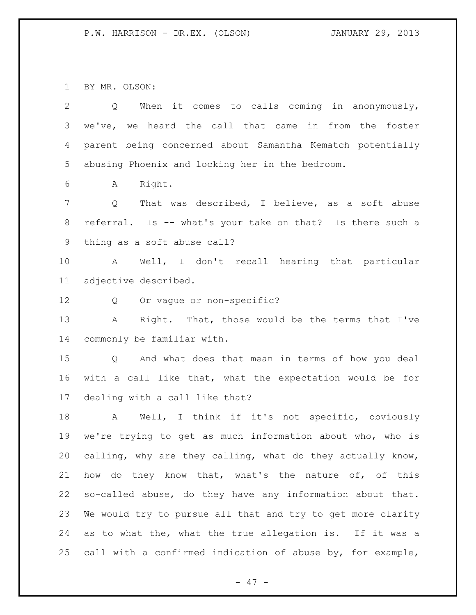BY MR. OLSON:

| $\mathbf{2}$   | When it comes to calls coming in anonymously,<br>Q                  |
|----------------|---------------------------------------------------------------------|
| 3              | we've, we heard the call that came in from the foster               |
| 4              | parent being concerned about Samantha Kematch potentially           |
| 5              | abusing Phoenix and locking her in the bedroom.                     |
| 6              | A Right.                                                            |
| $\overline{7}$ | That was described, I believe, as a soft abuse<br>$Q \qquad \qquad$ |
| 8              | referral. Is -- what's your take on that? Is there such a           |
| 9              | thing as a soft abuse call?                                         |
| 10             | A Well, I don't recall hearing that particular                      |
| 11             | adjective described.                                                |
| 12             | Q Or vague or non-specific?                                         |
| 13             | Right. That, those would be the terms that I've<br>A                |
| 14             | commonly be familiar with.                                          |
| 15             | Q And what does that mean in terms of how you deal                  |
| 16             | with a call like that, what the expectation would be for            |
| 17             | dealing with a call like that?                                      |
| 18             | A Well, I think if it's not specific, obviously                     |
| 19             | we're trying to get as much information about who, who is           |
| 20             | calling, why are they calling, what do they actually know,          |
| 21             | how do they know that, what's the nature of, of this                |
| 22             | so-called abuse, do they have any information about that.           |
| 23             | We would try to pursue all that and try to get more clarity         |
| 24             | as to what the, what the true allegation is. If it was a            |
| 25             | call with a confirmed indication of abuse by, for example,          |

- 47 -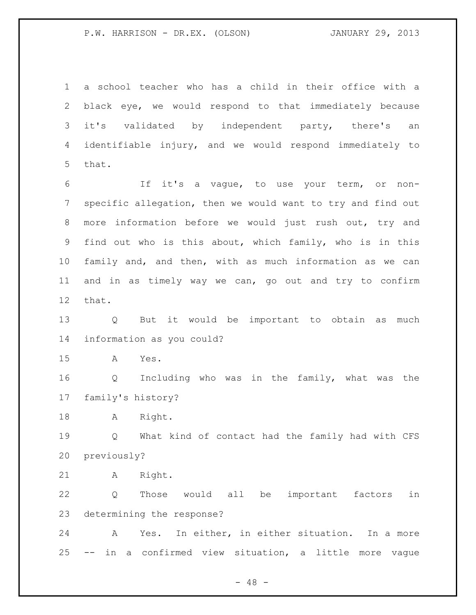a school teacher who has a child in their office with a black eye, we would respond to that immediately because 3 it's validated by independent party, there's an identifiable injury, and we would respond immediately to that.

 If it's a vague, to use your term, or non- specific allegation, then we would want to try and find out more information before we would just rush out, try and find out who is this about, which family, who is in this family and, and then, with as much information as we can and in as timely way we can, go out and try to confirm that.

 Q But it would be important to obtain as much information as you could?

A Yes.

 Q Including who was in the family, what was the family's history?

18 A Right.

 Q What kind of contact had the family had with CFS previously?

A Right.

 Q Those would all be important factors in determining the response?

 A Yes. In either, in either situation. In a more -- in a confirmed view situation, a little more vague

 $- 48 -$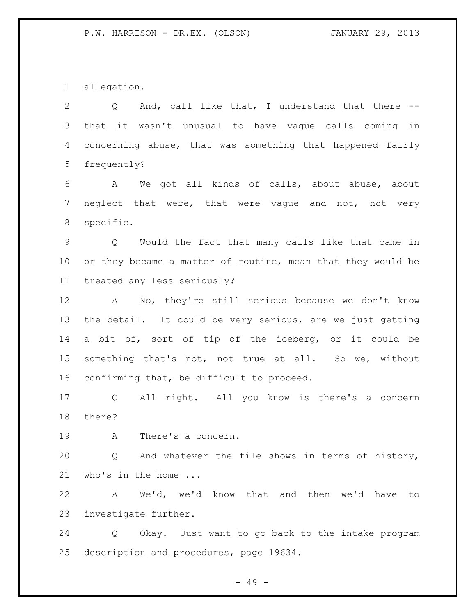allegation.

 Q And, call like that, I understand that there -- that it wasn't unusual to have vague calls coming in concerning abuse, that was something that happened fairly frequently?

 A We got all kinds of calls, about abuse, about neglect that were, that were vague and not, not very specific.

 Q Would the fact that many calls like that came in or they became a matter of routine, mean that they would be treated any less seriously?

 A No, they're still serious because we don't know the detail. It could be very serious, are we just getting a bit of, sort of tip of the iceberg, or it could be something that's not, not true at all. So we, without confirming that, be difficult to proceed.

 Q All right. All you know is there's a concern there?

A There's a concern.

 Q And whatever the file shows in terms of history, 21 who's in the home ...

 A We'd, we'd know that and then we'd have to investigate further.

 Q Okay. Just want to go back to the intake program description and procedures, page 19634.

- 49 -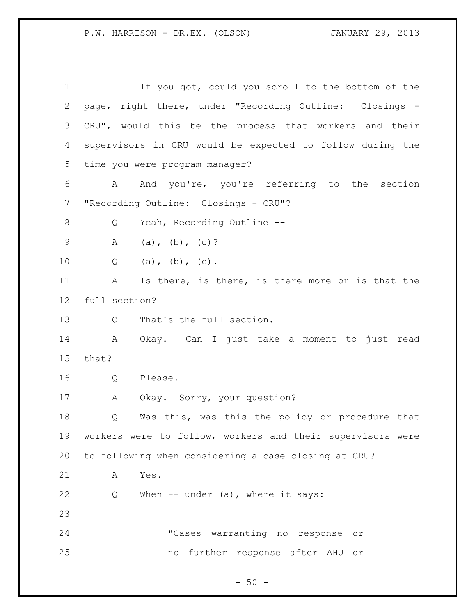If you got, could you scroll to the bottom of the page, right there, under "Recording Outline: Closings - CRU", would this be the process that workers and their supervisors in CRU would be expected to follow during the time you were program manager? A And you're, you're referring to the section "Recording Outline: Closings - CRU"? 8 Q Yeah, Recording Outline --9 A (a), (b), (c)? 10 Q (a), (b), (c). A Is there, is there, is there more or is that the full section? Q That's the full section. A Okay. Can I just take a moment to just read that? Q Please. A Okay. Sorry, your question? Q Was this, was this the policy or procedure that workers were to follow, workers and their supervisors were to following when considering a case closing at CRU? A Yes. Q When -- under (a), where it says: "Cases warranting no response or no further response after AHU or

 $-50 -$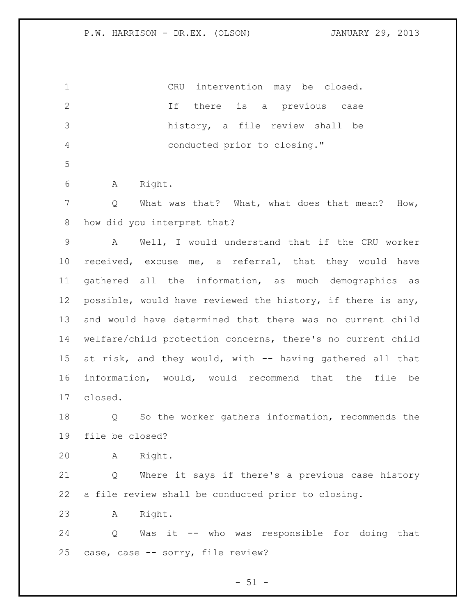CRU intervention may be closed. If there is a previous case history, a file review shall be conducted prior to closing." A Right. Q What was that? What, what does that mean? How, how did you interpret that? A Well, I would understand that if the CRU worker received, excuse me, a referral, that they would have gathered all the information, as much demographics as possible, would have reviewed the history, if there is any, and would have determined that there was no current child welfare/child protection concerns, there's no current child at risk, and they would, with -- having gathered all that information, would, would recommend that the file be closed. Q So the worker gathers information, recommends the file be closed? A Right. Q Where it says if there's a previous case history a file review shall be conducted prior to closing. A Right. Q Was it -- who was responsible for doing that case, case -- sorry, file review?

 $- 51 -$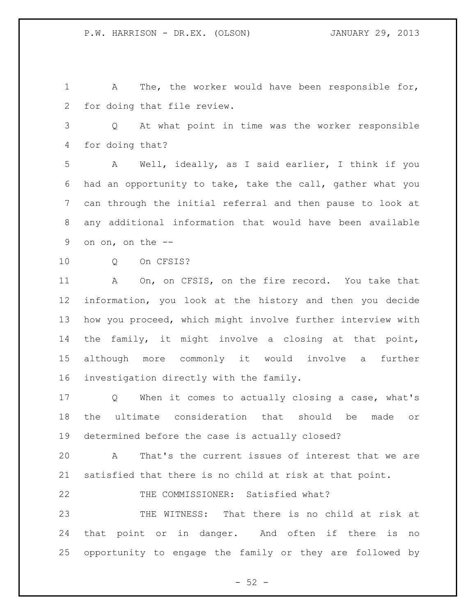A The, the worker would have been responsible for, for doing that file review.

 Q At what point in time was the worker responsible for doing that?

 A Well, ideally, as I said earlier, I think if you had an opportunity to take, take the call, gather what you can through the initial referral and then pause to look at any additional information that would have been available on on, on the --

10 O On CFSIS?

 A On, on CFSIS, on the fire record. You take that information, you look at the history and then you decide how you proceed, which might involve further interview with the family, it might involve a closing at that point, although more commonly it would involve a further investigation directly with the family.

 Q When it comes to actually closing a case, what's the ultimate consideration that should be made or determined before the case is actually closed?

 A That's the current issues of interest that we are satisfied that there is no child at risk at that point.

THE COMMISSIONER: Satisfied what?

 THE WITNESS: That there is no child at risk at that point or in danger. And often if there is no opportunity to engage the family or they are followed by

 $-52 -$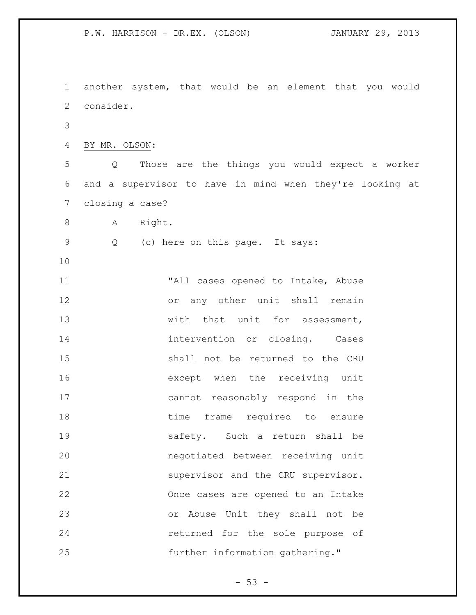P.W. HARRISON - DR.EX. (OLSON) JANUARY 29, 2013 another system, that would be an element that you would consider. BY MR. OLSON: Q Those are the things you would expect a worker and a supervisor to have in mind when they're looking at closing a case? 8 A Right. Q (c) here on this page. It says: 11 The Mall cases opened to Intake, Abuse or any other unit shall remain 13 with that unit for assessment, 14 intervention or closing. Cases shall not be returned to the CRU except when the receiving unit cannot reasonably respond in the 18 time frame required to ensure safety. Such a return shall be negotiated between receiving unit 21 supervisor and the CRU supervisor. Once cases are opened to an Intake or Abuse Unit they shall not be returned for the sole purpose of

further information gathering."

 $-53 -$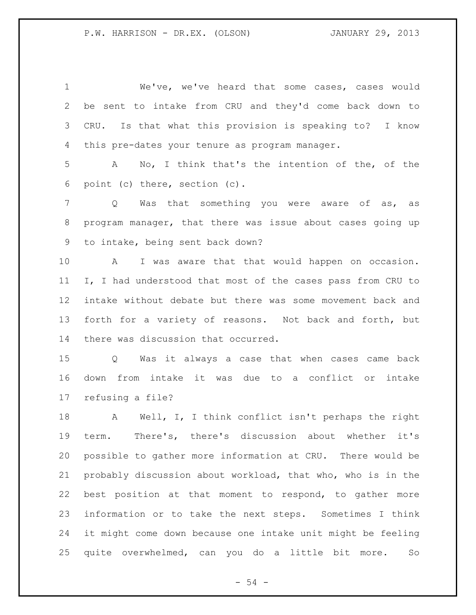We've, we've heard that some cases, cases would be sent to intake from CRU and they'd come back down to CRU. Is that what this provision is speaking to? I know this pre-dates your tenure as program manager.

 A No, I think that's the intention of the, of the point (c) there, section (c).

 Q Was that something you were aware of as, as program manager, that there was issue about cases going up to intake, being sent back down?

 A I was aware that that would happen on occasion. I, I had understood that most of the cases pass from CRU to intake without debate but there was some movement back and forth for a variety of reasons. Not back and forth, but there was discussion that occurred.

 Q Was it always a case that when cases came back down from intake it was due to a conflict or intake refusing a file?

 A Well, I, I think conflict isn't perhaps the right term. There's, there's discussion about whether it's possible to gather more information at CRU. There would be probably discussion about workload, that who, who is in the best position at that moment to respond, to gather more information or to take the next steps. Sometimes I think it might come down because one intake unit might be feeling quite overwhelmed, can you do a little bit more. So

 $-54 -$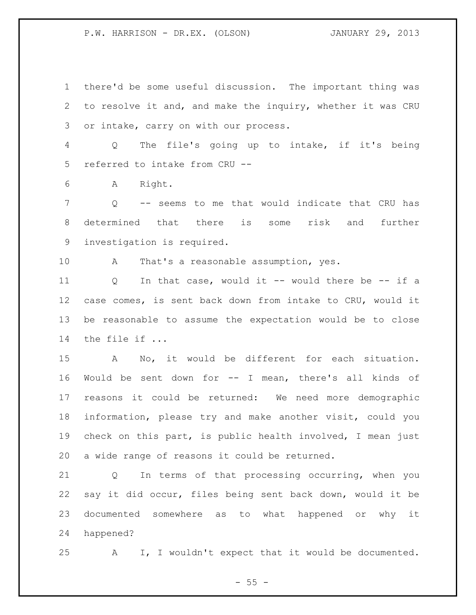there'd be some useful discussion. The important thing was to resolve it and, and make the inquiry, whether it was CRU or intake, carry on with our process.

 Q The file's going up to intake, if it's being referred to intake from CRU --

A Right.

 Q -- seems to me that would indicate that CRU has determined that there is some risk and further investigation is required.

A That's a reasonable assumption, yes.

 Q In that case, would it -- would there be -- if a case comes, is sent back down from intake to CRU, would it be reasonable to assume the expectation would be to close the file if ...

 A No, it would be different for each situation. Would be sent down for -- I mean, there's all kinds of reasons it could be returned: We need more demographic information, please try and make another visit, could you check on this part, is public health involved, I mean just a wide range of reasons it could be returned.

 Q In terms of that processing occurring, when you say it did occur, files being sent back down, would it be documented somewhere as to what happened or why it happened?

A I, I wouldn't expect that it would be documented.

 $- 55 -$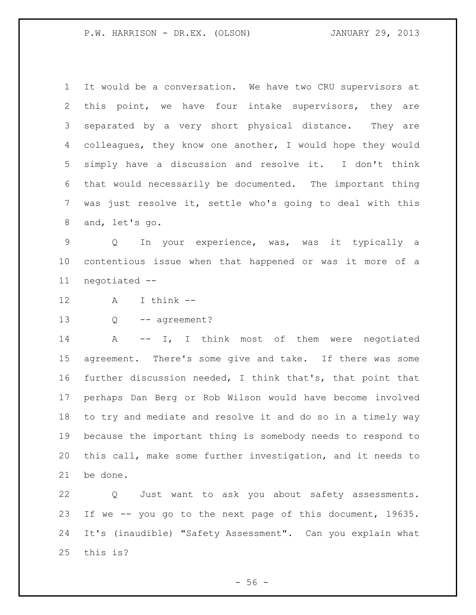It would be a conversation. We have two CRU supervisors at this point, we have four intake supervisors, they are separated by a very short physical distance. They are colleagues, they know one another, I would hope they would simply have a discussion and resolve it. I don't think that would necessarily be documented. The important thing was just resolve it, settle who's going to deal with this and, let's go.

 Q In your experience, was, was it typically a contentious issue when that happened or was it more of a negotiated --

- A I think --
- 13 Q -- agreement?

 A -- I, I think most of them were negotiated agreement. There's some give and take. If there was some further discussion needed, I think that's, that point that perhaps Dan Berg or Rob Wilson would have become involved to try and mediate and resolve it and do so in a timely way because the important thing is somebody needs to respond to this call, make some further investigation, and it needs to be done.

 Q Just want to ask you about safety assessments. If we -- you go to the next page of this document, 19635. It's (inaudible) "Safety Assessment". Can you explain what this is?

 $-56 -$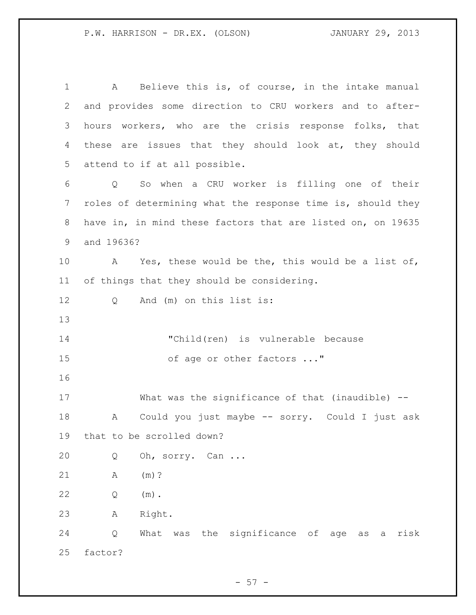A Believe this is, of course, in the intake manual and provides some direction to CRU workers and to after- hours workers, who are the crisis response folks, that these are issues that they should look at, they should attend to if at all possible. Q So when a CRU worker is filling one of their roles of determining what the response time is, should they have in, in mind these factors that are listed on, on 19635 and 19636? A Yes, these would be the, this would be a list of, of things that they should be considering. Q And (m) on this list is: "Child(ren) is vulnerable because 15 of age or other factors ..." What was the significance of that (inaudible) -- A Could you just maybe -- sorry. Could I just ask that to be scrolled down? Q Oh, sorry. Can ... A (m)? Q (m). A Right. Q What was the significance of age as a risk factor?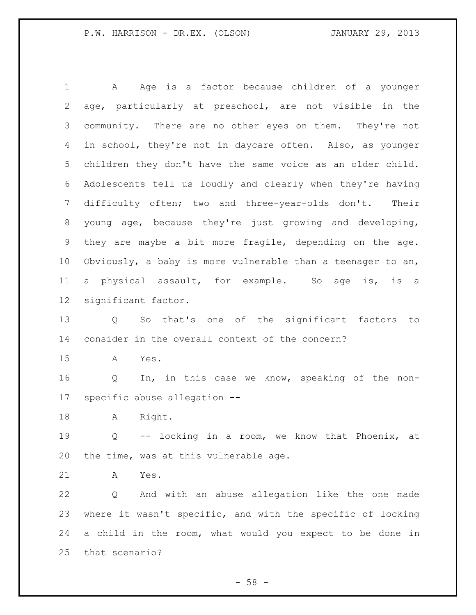1 A Age is a factor because children of a younger age, particularly at preschool, are not visible in the community. There are no other eyes on them. They're not in school, they're not in daycare often. Also, as younger children they don't have the same voice as an older child. Adolescents tell us loudly and clearly when they're having difficulty often; two and three-year-olds don't. Their young age, because they're just growing and developing, they are maybe a bit more fragile, depending on the age. Obviously, a baby is more vulnerable than a teenager to an, a physical assault, for example. So age is, is a significant factor. Q So that's one of the significant factors to consider in the overall context of the concern? A Yes. Q In, in this case we know, speaking of the non- specific abuse allegation -- A Right. Q -- locking in a room, we know that Phoenix, at the time, was at this vulnerable age. A Yes. Q And with an abuse allegation like the one made where it wasn't specific, and with the specific of locking a child in the room, what would you expect to be done in that scenario?

 $-58 -$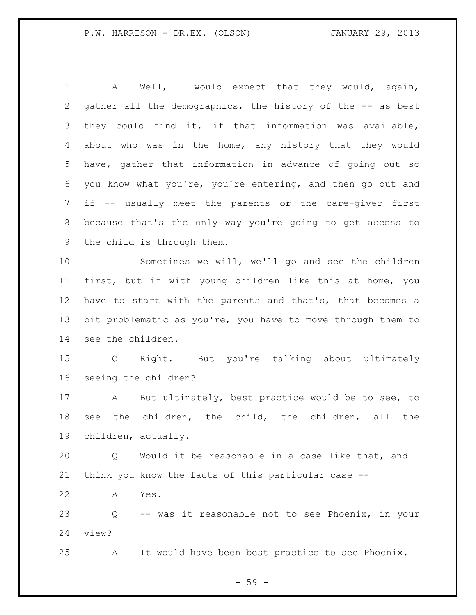A Well, I would expect that they would, again, gather all the demographics, the history of the -- as best they could find it, if that information was available, about who was in the home, any history that they would have, gather that information in advance of going out so you know what you're, you're entering, and then go out and if -- usually meet the parents or the care-giver first because that's the only way you're going to get access to the child is through them. Sometimes we will, we'll go and see the children first, but if with young children like this at home, you have to start with the parents and that's, that becomes a bit problematic as you're, you have to move through them to see the children. Q Right. But you're talking about ultimately seeing the children? A But ultimately, best practice would be to see, to see the children, the child, the children, all the children, actually. Q Would it be reasonable in a case like that, and I think you know the facts of this particular case -- A Yes. Q -- was it reasonable not to see Phoenix, in your view? A It would have been best practice to see Phoenix.

- 59 -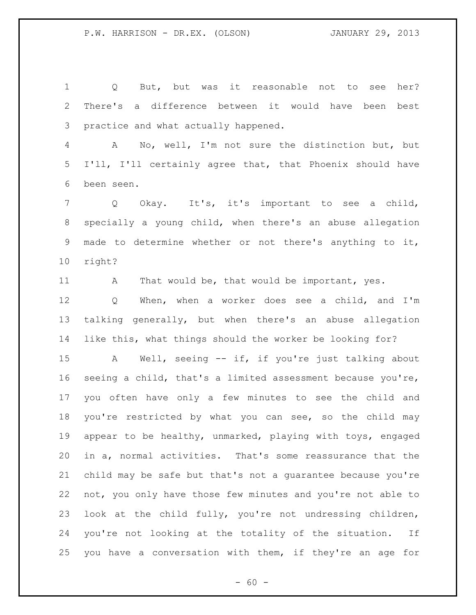Q But, but was it reasonable not to see her? There's a difference between it would have been best practice and what actually happened.

 A No, well, I'm not sure the distinction but, but I'll, I'll certainly agree that, that Phoenix should have been seen.

 Q Okay. It's, it's important to see a child, specially a young child, when there's an abuse allegation made to determine whether or not there's anything to it, right?

11 A That would be, that would be important, yes.

 Q When, when a worker does see a child, and I'm talking generally, but when there's an abuse allegation like this, what things should the worker be looking for?

 A Well, seeing -- if, if you're just talking about seeing a child, that's a limited assessment because you're, you often have only a few minutes to see the child and you're restricted by what you can see, so the child may appear to be healthy, unmarked, playing with toys, engaged in a, normal activities. That's some reassurance that the child may be safe but that's not a guarantee because you're not, you only have those few minutes and you're not able to look at the child fully, you're not undressing children, you're not looking at the totality of the situation. If you have a conversation with them, if they're an age for

 $- 60 -$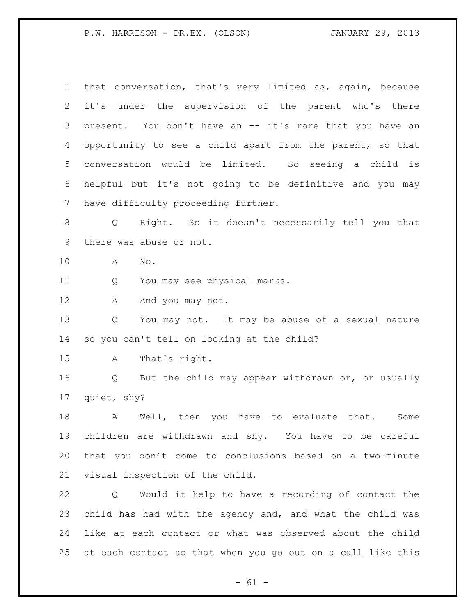that conversation, that's very limited as, again, because it's under the supervision of the parent who's there present. You don't have an -- it's rare that you have an opportunity to see a child apart from the parent, so that conversation would be limited. So seeing a child is helpful but it's not going to be definitive and you may have difficulty proceeding further. Q Right. So it doesn't necessarily tell you that there was abuse or not. A No. Q You may see physical marks. 12 A And you may not. Q You may not. It may be abuse of a sexual nature so you can't tell on looking at the child? A That's right. Q But the child may appear withdrawn or, or usually quiet, shy? A Well, then you have to evaluate that. Some children are withdrawn and shy. You have to be careful that you don't come to conclusions based on a two-minute visual inspection of the child. Q Would it help to have a recording of contact the child has had with the agency and, and what the child was like at each contact or what was observed about the child at each contact so that when you go out on a call like this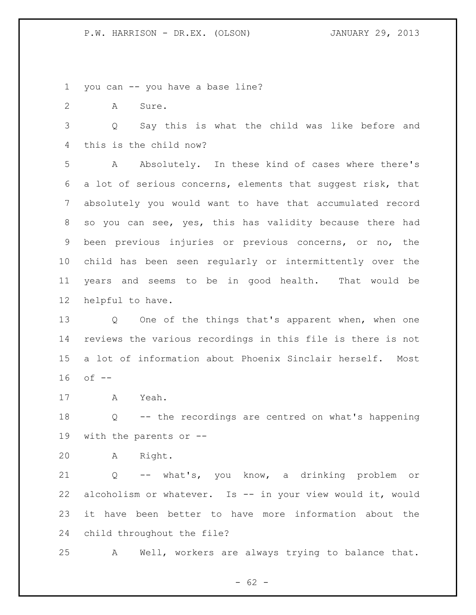you can -- you have a base line?

A Sure.

 Q Say this is what the child was like before and this is the child now?

 A Absolutely. In these kind of cases where there's a lot of serious concerns, elements that suggest risk, that absolutely you would want to have that accumulated record so you can see, yes, this has validity because there had been previous injuries or previous concerns, or no, the child has been seen regularly or intermittently over the years and seems to be in good health. That would be helpful to have.

 Q One of the things that's apparent when, when one reviews the various recordings in this file is there is not a lot of information about Phoenix Sinclair herself. Most of --

A Yeah.

 Q -- the recordings are centred on what's happening with the parents or --

A Right.

 Q -- what's, you know, a drinking problem or alcoholism or whatever. Is -- in your view would it, would it have been better to have more information about the child throughout the file?

A Well, workers are always trying to balance that.

 $- 62 -$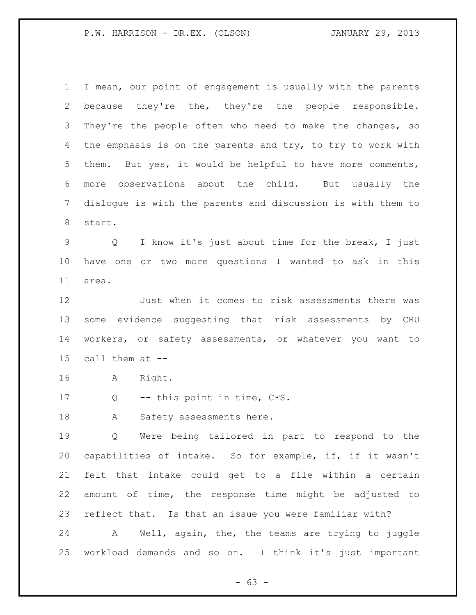I mean, our point of engagement is usually with the parents because they're the, they're the people responsible. 3 They're the people often who need to make the changes, so 4 the emphasis is on the parents and try, to try to work with them. But yes, it would be helpful to have more comments, more observations about the child. But usually the dialogue is with the parents and discussion is with them to start.

 Q I know it's just about time for the break, I just have one or two more questions I wanted to ask in this area.

 Just when it comes to risk assessments there was some evidence suggesting that risk assessments by CRU workers, or safety assessments, or whatever you want to call them at --

A Right.

Q -- this point in time, CFS.

18 A Safety assessments here.

 Q Were being tailored in part to respond to the capabilities of intake. So for example, if, if it wasn't felt that intake could get to a file within a certain amount of time, the response time might be adjusted to reflect that. Is that an issue you were familiar with?

 A Well, again, the, the teams are trying to juggle workload demands and so on. I think it's just important

- 63 -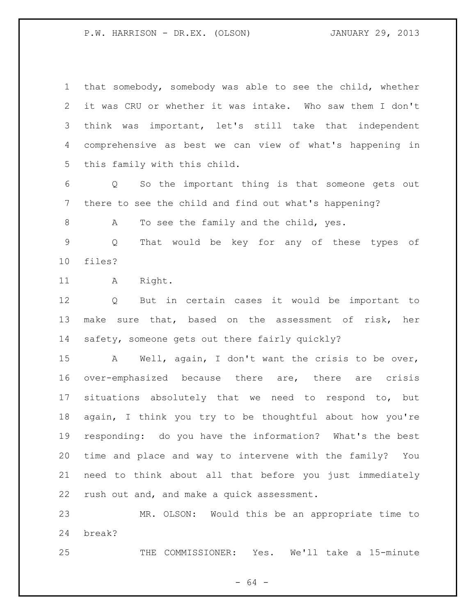that somebody, somebody was able to see the child, whether it was CRU or whether it was intake. Who saw them I don't think was important, let's still take that independent comprehensive as best we can view of what's happening in this family with this child.

 Q So the important thing is that someone gets out there to see the child and find out what's happening?

A To see the family and the child, yes.

 Q That would be key for any of these types of files?

11 A Right.

 Q But in certain cases it would be important to 13 make sure that, based on the assessment of risk, her safety, someone gets out there fairly quickly?

 A Well, again, I don't want the crisis to be over, over-emphasized because there are, there are crisis situations absolutely that we need to respond to, but again, I think you try to be thoughtful about how you're responding: do you have the information? What's the best time and place and way to intervene with the family? You need to think about all that before you just immediately rush out and, and make a quick assessment.

 MR. OLSON: Would this be an appropriate time to break?

THE COMMISSIONER: Yes. We'll take a 15-minute

- 64 -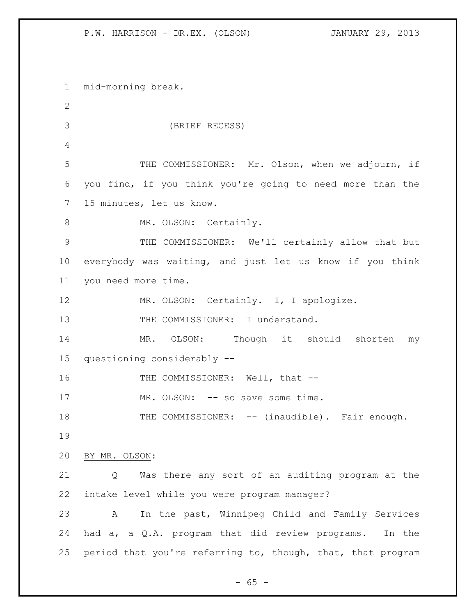mid-morning break. (BRIEF RECESS) THE COMMISSIONER: Mr. Olson, when we adjourn, if you find, if you think you're going to need more than the 15 minutes, let us know. 8 MR. OLSON: Certainly. THE COMMISSIONER: We'll certainly allow that but everybody was waiting, and just let us know if you think you need more time. MR. OLSON: Certainly. I, I apologize. 13 THE COMMISSIONER: I understand. MR. OLSON: Though it should shorten my questioning considerably -- 16 THE COMMISSIONER: Well, that --17 MR. OLSON: -- so save some time. 18 THE COMMISSIONER: -- (inaudible). Fair enough. BY MR. OLSON: Q Was there any sort of an auditing program at the intake level while you were program manager? A In the past, Winnipeg Child and Family Services had a, a Q.A. program that did review programs. In the 25 period that you're referring to, though, that, that program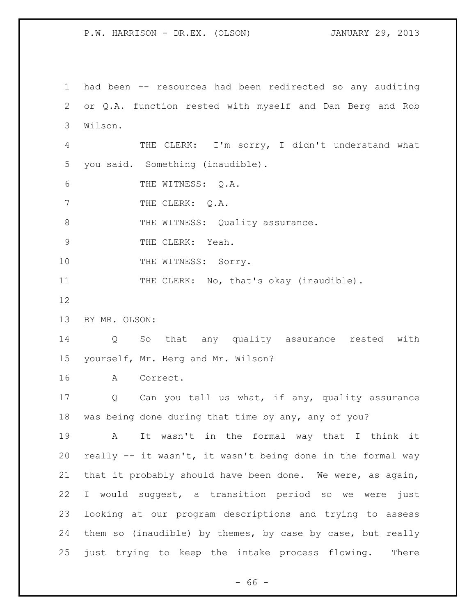had been -- resources had been redirected so any auditing or Q.A. function rested with myself and Dan Berg and Rob Wilson. THE CLERK: I'm sorry, I didn't understand what you said. Something (inaudible). THE WITNESS: Q.A. 7 THE CLERK: Q.A. 8 THE WITNESS: Quality assurance. 9 THE CLERK: Yeah. 10 THE WITNESS: Sorry. 11 THE CLERK: No, that's okay (inaudible). BY MR. OLSON: Q So that any quality assurance rested with yourself, Mr. Berg and Mr. Wilson? A Correct. Q Can you tell us what, if any, quality assurance was being done during that time by any, any of you? A It wasn't in the formal way that I think it really -- it wasn't, it wasn't being done in the formal way that it probably should have been done. We were, as again, I would suggest, a transition period so we were just looking at our program descriptions and trying to assess them so (inaudible) by themes, by case by case, but really just trying to keep the intake process flowing. There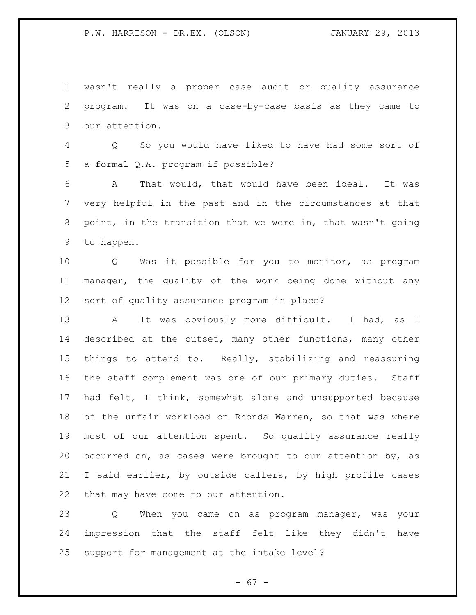wasn't really a proper case audit or quality assurance program. It was on a case-by-case basis as they came to our attention. Q So you would have liked to have had some sort of a formal Q.A. program if possible? A That would, that would have been ideal. It was very helpful in the past and in the circumstances at that point, in the transition that we were in, that wasn't going to happen. Q Was it possible for you to monitor, as program manager, the quality of the work being done without any sort of quality assurance program in place? 13 A It was obviously more difficult. I had, as I described at the outset, many other functions, many other things to attend to. Really, stabilizing and reassuring the staff complement was one of our primary duties. Staff had felt, I think, somewhat alone and unsupported because of the unfair workload on Rhonda Warren, so that was where most of our attention spent. So quality assurance really occurred on, as cases were brought to our attention by, as I said earlier, by outside callers, by high profile cases that may have come to our attention. Q When you came on as program manager, was your impression that the staff felt like they didn't have

support for management at the intake level?

- 67 -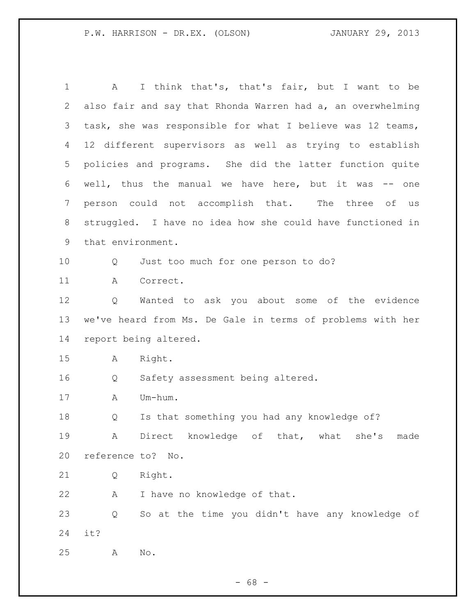A I think that's, that's fair, but I want to be also fair and say that Rhonda Warren had a, an overwhelming task, she was responsible for what I believe was 12 teams, 12 different supervisors as well as trying to establish policies and programs. She did the latter function quite well, thus the manual we have here, but it was -- one person could not accomplish that. The three of us struggled. I have no idea how she could have functioned in that environment. Q Just too much for one person to do? A Correct. Q Wanted to ask you about some of the evidence we've heard from Ms. De Gale in terms of problems with her report being altered. A Right. Q Safety assessment being altered. A Um-hum. Q Is that something you had any knowledge of? A Direct knowledge of that, what she's made reference to? No. Q Right. A I have no knowledge of that. Q So at the time you didn't have any knowledge of it? A No.

 $- 68 -$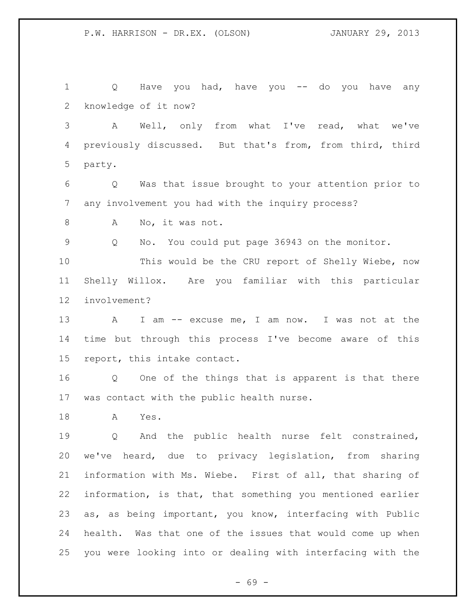Q Have you had, have you -- do you have any knowledge of it now?

 A Well, only from what I've read, what we've previously discussed. But that's from, from third, third party.

 Q Was that issue brought to your attention prior to any involvement you had with the inquiry process?

8 A No, it was not.

Q No. You could put page 36943 on the monitor.

 This would be the CRU report of Shelly Wiebe, now Shelly Willox. Are you familiar with this particular involvement?

 A I am -- excuse me, I am now. I was not at the time but through this process I've become aware of this report, this intake contact.

 Q One of the things that is apparent is that there was contact with the public health nurse.

A Yes.

 Q And the public health nurse felt constrained, we've heard, due to privacy legislation, from sharing information with Ms. Wiebe. First of all, that sharing of information, is that, that something you mentioned earlier as, as being important, you know, interfacing with Public health. Was that one of the issues that would come up when you were looking into or dealing with interfacing with the

- 69 -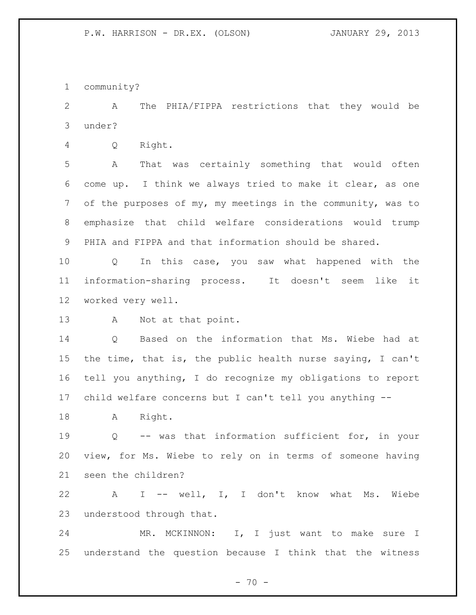community?

 A The PHIA/FIPPA restrictions that they would be under?

Q Right.

 A That was certainly something that would often come up. I think we always tried to make it clear, as one of the purposes of my, my meetings in the community, was to emphasize that child welfare considerations would trump PHIA and FIPPA and that information should be shared.

 Q In this case, you saw what happened with the information-sharing process. It doesn't seem like it worked very well.

A Not at that point.

 Q Based on the information that Ms. Wiebe had at the time, that is, the public health nurse saying, I can't tell you anything, I do recognize my obligations to report child welfare concerns but I can't tell you anything --

18 A Right.

 Q -- was that information sufficient for, in your view, for Ms. Wiebe to rely on in terms of someone having seen the children?

 A I -- well, I, I don't know what Ms. Wiebe understood through that.

 MR. MCKINNON: I, I just want to make sure I understand the question because I think that the witness

 $- 70 -$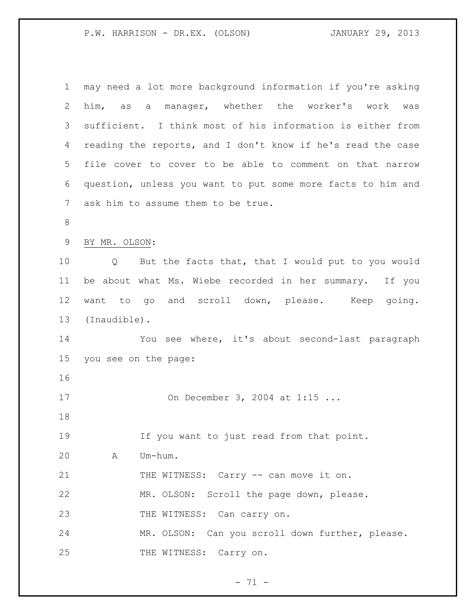| 1              | may need a lot more background information if you're asking |
|----------------|-------------------------------------------------------------|
| 2              | him, as a manager, whether the worker's work<br>was         |
| 3              | sufficient. I think most of his information is either from  |
| 4              | reading the reports, and I don't know if he's read the case |
| 5              | file cover to cover to be able to comment on that narrow    |
| 6              | question, unless you want to put some more facts to him and |
| $\overline{7}$ | ask him to assume them to be true.                          |
| $\,8\,$        |                                                             |
| $\mathsf 9$    | BY MR. OLSON:                                               |
| 10             | But the facts that, that I would put to you would<br>Q      |
| 11             | be about what Ms. Wiebe recorded in her summary. If you     |
| 12             | want to go and scroll down, please. Keep going.             |
| 13             | (Inaudible).                                                |
| 14             | You see where, it's about second-last paragraph             |
| 15             | you see on the page:                                        |
| 16             |                                                             |
| 17             | On December 3, 2004 at 1:15                                 |
| 18             |                                                             |
| 19             | If you want to just read from that point.                   |
| 20             | Um-hum.<br>A                                                |
| 21             | THE WITNESS: Carry -- can move it on.                       |
| 22             | MR. OLSON: Scroll the page down, please.                    |
| 23             | THE WITNESS: Can carry on.                                  |
| 24             | MR. OLSON: Can you scroll down further, please.             |
| 25             | THE WITNESS: Carry on.                                      |

- 71 -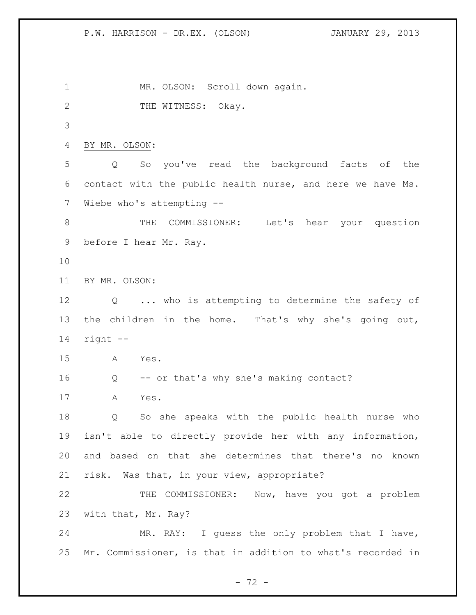MR. OLSON: Scroll down again. 2 THE WITNESS: Okay. BY MR. OLSON: Q So you've read the background facts of the contact with the public health nurse, and here we have Ms. Wiebe who's attempting -- 8 THE COMMISSIONER: Let's hear your question before I hear Mr. Ray. BY MR. OLSON: Q ... who is attempting to determine the safety of the children in the home. That's why she's going out, right -- A Yes. Q -- or that's why she's making contact? A Yes. Q So she speaks with the public health nurse who isn't able to directly provide her with any information, and based on that she determines that there's no known risk. Was that, in your view, appropriate? THE COMMISSIONER: Now, have you got a problem with that, Mr. Ray? MR. RAY: I guess the only problem that I have, Mr. Commissioner, is that in addition to what's recorded in

 $- 72 -$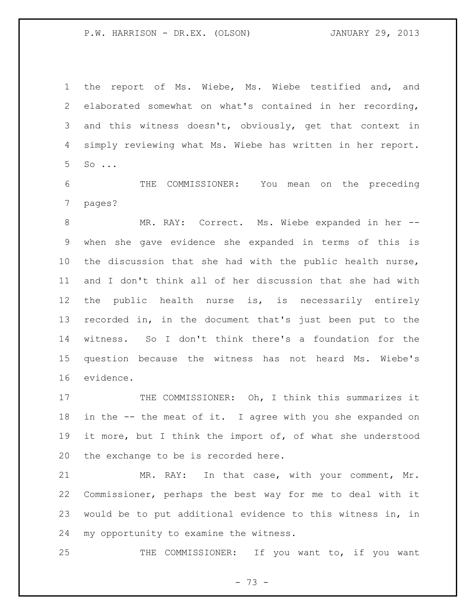the report of Ms. Wiebe, Ms. Wiebe testified and, and elaborated somewhat on what's contained in her recording, and this witness doesn't, obviously, get that context in simply reviewing what Ms. Wiebe has written in her report. So ...

 THE COMMISSIONER: You mean on the preceding pages?

 MR. RAY: Correct. Ms. Wiebe expanded in her -- when she gave evidence she expanded in terms of this is the discussion that she had with the public health nurse, and I don't think all of her discussion that she had with the public health nurse is, is necessarily entirely recorded in, in the document that's just been put to the witness. So I don't think there's a foundation for the question because the witness has not heard Ms. Wiebe's evidence.

17 THE COMMISSIONER: Oh, I think this summarizes it in the -- the meat of it. I agree with you she expanded on it more, but I think the import of, of what she understood the exchange to be is recorded here.

 MR. RAY: In that case, with your comment, Mr. Commissioner, perhaps the best way for me to deal with it would be to put additional evidence to this witness in, in my opportunity to examine the witness.

25 THE COMMISSIONER: If you want to, if you want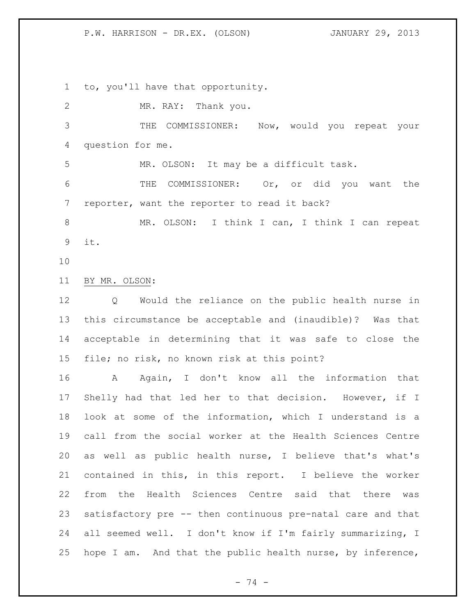to, you'll have that opportunity.

 MR. RAY: Thank you. THE COMMISSIONER: Now, would you repeat your question for me. MR. OLSON: It may be a difficult task. THE COMMISSIONER: Or, or did you want the reporter, want the reporter to read it back? MR. OLSON: I think I can, I think I can repeat it. BY MR. OLSON: Q Would the reliance on the public health nurse in this circumstance be acceptable and (inaudible)? Was that acceptable in determining that it was safe to close the file; no risk, no known risk at this point? 16 A Again, I don't know all the information that Shelly had that led her to that decision. However, if I look at some of the information, which I understand is a call from the social worker at the Health Sciences Centre as well as public health nurse, I believe that's what's contained in this, in this report. I believe the worker from the Health Sciences Centre said that there was satisfactory pre -- then continuous pre-natal care and that all seemed well. I don't know if I'm fairly summarizing, I hope I am. And that the public health nurse, by inference,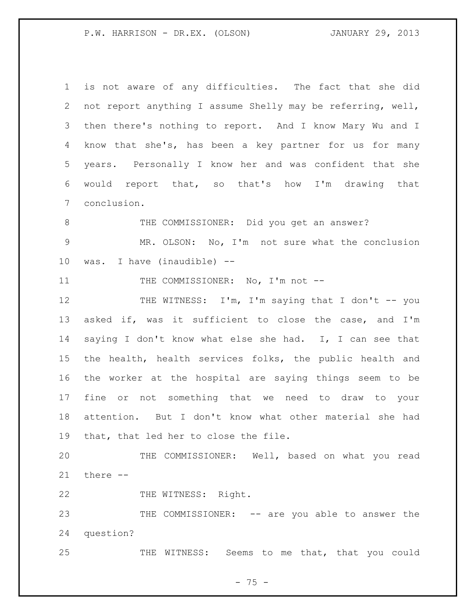is not aware of any difficulties. The fact that she did not report anything I assume Shelly may be referring, well, then there's nothing to report. And I know Mary Wu and I know that she's, has been a key partner for us for many years. Personally I know her and was confident that she would report that, so that's how I'm drawing that conclusion. THE COMMISSIONER: Did you get an answer? MR. OLSON: No, I'm not sure what the conclusion was. I have (inaudible) -- 11 THE COMMISSIONER: No, I'm not --12 THE WITNESS: I'm, I'm saying that I don't -- you asked if, was it sufficient to close the case, and I'm saying I don't know what else she had. I, I can see that the health, health services folks, the public health and the worker at the hospital are saying things seem to be fine or not something that we need to draw to your attention. But I don't know what other material she had that, that led her to close the file. THE COMMISSIONER: Well, based on what you read there -- 22 THE WITNESS: Right. 23 THE COMMISSIONER: -- are you able to answer the question? THE WITNESS: Seems to me that, that you could

- 75 -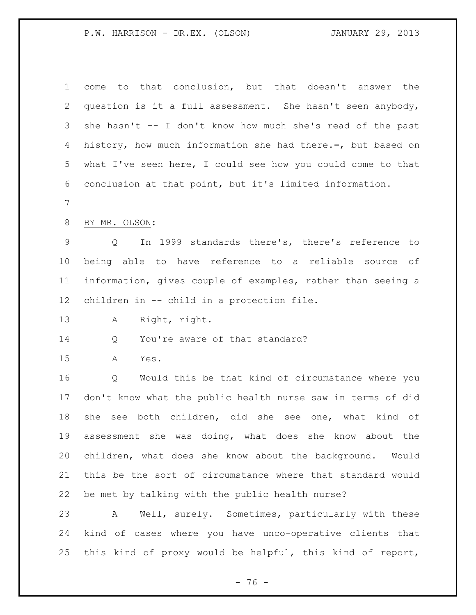| $\mathbf 1$     | to that conclusion, but that doesn't answer the<br>come     |
|-----------------|-------------------------------------------------------------|
| 2               | question is it a full assessment. She hasn't seen anybody,  |
| 3               | she hasn't -- I don't know how much she's read of the past  |
| 4               | history, how much information she had there.=, but based on |
| 5               | what I've seen here, I could see how you could come to that |
| 6               | conclusion at that point, but it's limited information.     |
| 7               |                                                             |
| 8               | BY MR. OLSON:                                               |
| 9               | In 1999 standards there's, there's reference to<br>Q        |
| 10              | being able to have reference to a reliable source of        |
| 11              | information, gives couple of examples, rather than seeing a |
| 12 <sup>°</sup> | children in -- child in a protection file.                  |
| 13              | Right, right.<br>Α                                          |
| 14              | You're aware of that standard?<br>Q                         |
| 15              | Α<br>Yes.                                                   |
| 16              | Q<br>Would this be that kind of circumstance where you      |
| 17              | don't know what the public health nurse saw in terms of did |
| 18              | see both children, did she see one, what kind of<br>she     |
| 19              | assessment she was doing, what does she know about the      |
| 20              |                                                             |
|                 | children, what does she know about the background. Would    |
| 21              | this be the sort of circumstance where that standard would  |
| 22              | be met by talking with the public health nurse?             |
| 23              | Well, surely. Sometimes, particularly with these<br>A       |
| 24              | kind of cases where you have unco-operative clients that    |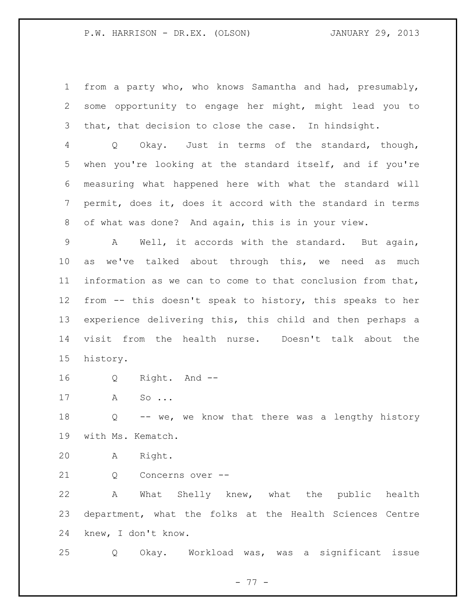from a party who, who knows Samantha and had, presumably, some opportunity to engage her might, might lead you to that, that decision to close the case. In hindsight.

 Q Okay. Just in terms of the standard, though, when you're looking at the standard itself, and if you're measuring what happened here with what the standard will permit, does it, does it accord with the standard in terms of what was done? And again, this is in your view.

 A Well, it accords with the standard. But again, as we've talked about through this, we need as much information as we can to come to that conclusion from that, from -- this doesn't speak to history, this speaks to her experience delivering this, this child and then perhaps a visit from the health nurse. Doesn't talk about the history.

Q Right. And --

A So ...

 Q -- we, we know that there was a lengthy history with Ms. Kematch.

A Right.

21 0 Concerns over --

 A What Shelly knew, what the public health department, what the folks at the Health Sciences Centre knew, I don't know.

Q Okay. Workload was, was a significant issue

- 77 -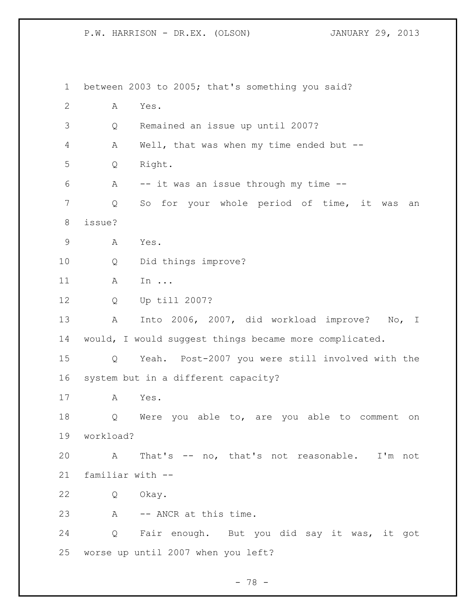between 2003 to 2005; that's something you said? A Yes. Q Remained an issue up until 2007? A Well, that was when my time ended but -- Q Right. A -- it was an issue through my time -- Q So for your whole period of time, it was an issue? A Yes. Q Did things improve? A In ... Q Up till 2007? A Into 2006, 2007, did workload improve? No, I would, I would suggest things became more complicated. Q Yeah. Post-2007 you were still involved with the system but in a different capacity? A Yes. Q Were you able to, are you able to comment on workload? A That's -- no, that's not reasonable. I'm not familiar with -- Q Okay. A -- ANCR at this time. Q Fair enough. But you did say it was, it got worse up until 2007 when you left?

- 78 -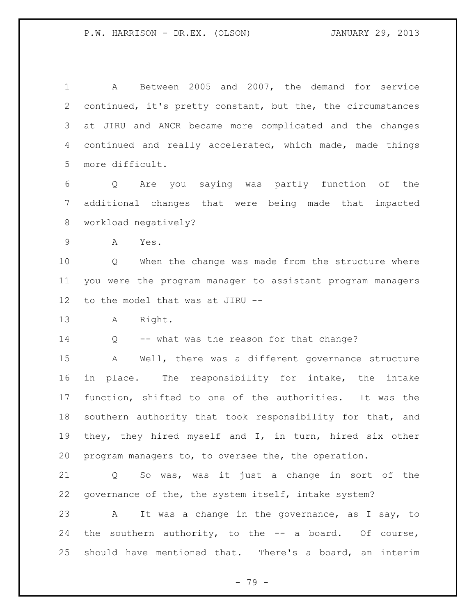A Between 2005 and 2007, the demand for service continued, it's pretty constant, but the, the circumstances at JIRU and ANCR became more complicated and the changes continued and really accelerated, which made, made things more difficult.

 Q Are you saying was partly function of the additional changes that were being made that impacted workload negatively?

A Yes.

10 0 When the change was made from the structure where you were the program manager to assistant program managers to the model that was at JIRU --

A Right.

14 Q -- what was the reason for that change?

 A Well, there was a different governance structure in place. The responsibility for intake, the intake function, shifted to one of the authorities. It was the southern authority that took responsibility for that, and they, they hired myself and I, in turn, hired six other program managers to, to oversee the, the operation.

 Q So was, was it just a change in sort of the governance of the, the system itself, intake system?

 A It was a change in the governance, as I say, to the southern authority, to the -- a board. Of course, should have mentioned that. There's a board, an interim

- 79 -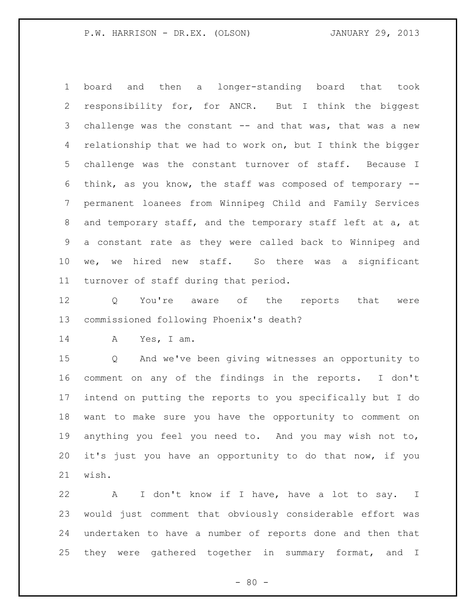board and then a longer-standing board that took responsibility for, for ANCR. But I think the biggest 3 challenge was the constant -- and that was, that was a new 4 relationship that we had to work on, but I think the bigger challenge was the constant turnover of staff. Because I think, as you know, the staff was composed of temporary -- permanent loanees from Winnipeg Child and Family Services and temporary staff, and the temporary staff left at a, at a constant rate as they were called back to Winnipeg and we, we hired new staff. So there was a significant turnover of staff during that period.

12 Q You're aware of the reports that were commissioned following Phoenix's death?

A Yes, I am.

 Q And we've been giving witnesses an opportunity to comment on any of the findings in the reports. I don't intend on putting the reports to you specifically but I do want to make sure you have the opportunity to comment on anything you feel you need to. And you may wish not to, it's just you have an opportunity to do that now, if you wish.

 A I don't know if I have, have a lot to say. I would just comment that obviously considerable effort was undertaken to have a number of reports done and then that 25 they were gathered together in summary format, and I

 $- 80 -$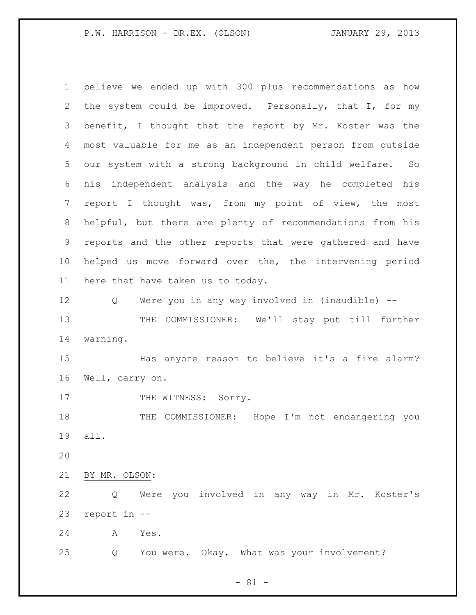believe we ended up with 300 plus recommendations as how the system could be improved. Personally, that I, for my benefit, I thought that the report by Mr. Koster was the most valuable for me as an independent person from outside our system with a strong background in child welfare. So his independent analysis and the way he completed his report I thought was, from my point of view, the most helpful, but there are plenty of recommendations from his reports and the other reports that were gathered and have helped us move forward over the, the intervening period here that have taken us to today. Q Were you in any way involved in (inaudible) -- THE COMMISSIONER: We'll stay put till further warning. Has anyone reason to believe it's a fire alarm? Well, carry on. 17 THE WITNESS: Sorry. THE COMMISSIONER: Hope I'm not endangering you all. BY MR. OLSON: Q Were you involved in any way in Mr. Koster's report in -- A Yes. Q You were. Okay. What was your involvement?

- 81 -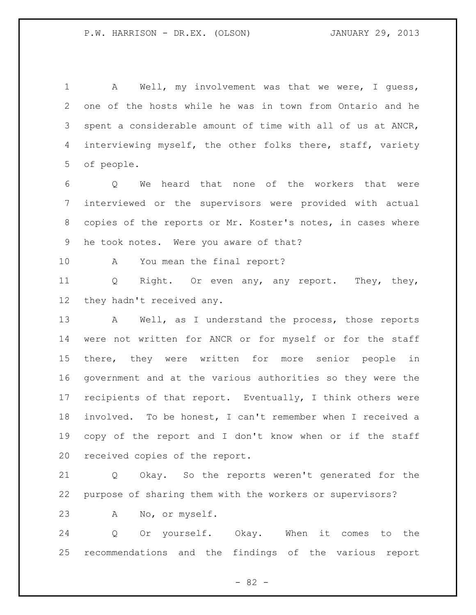A Well, my involvement was that we were, I guess, one of the hosts while he was in town from Ontario and he spent a considerable amount of time with all of us at ANCR, 4 interviewing myself, the other folks there, staff, variety of people.

 Q We heard that none of the workers that were interviewed or the supervisors were provided with actual copies of the reports or Mr. Koster's notes, in cases where he took notes. Were you aware of that?

A You mean the final report?

 Q Right. Or even any, any report. They, they, they hadn't received any.

 A Well, as I understand the process, those reports were not written for ANCR or for myself or for the staff there, they were written for more senior people in government and at the various authorities so they were the 17 recipients of that report. Eventually, I think others were involved. To be honest, I can't remember when I received a copy of the report and I don't know when or if the staff received copies of the report.

 Q Okay. So the reports weren't generated for the purpose of sharing them with the workers or supervisors?

A No, or myself.

 Q Or yourself. Okay. When it comes to the recommendations and the findings of the various report

- 82 -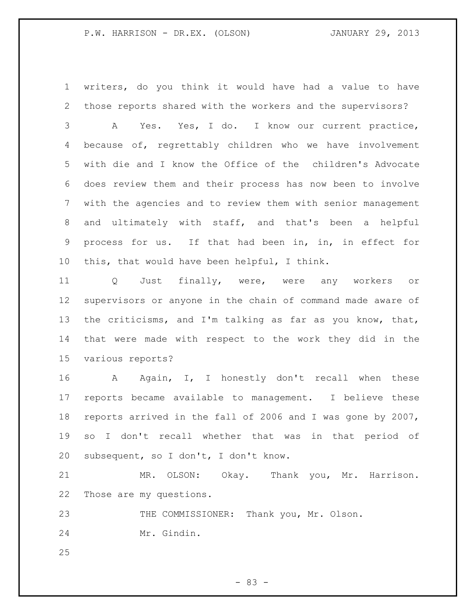writers, do you think it would have had a value to have those reports shared with the workers and the supervisors?

 A Yes. Yes, I do. I know our current practice, because of, regrettably children who we have involvement with die and I know the Office of the children's Advocate does review them and their process has now been to involve with the agencies and to review them with senior management and ultimately with staff, and that's been a helpful process for us. If that had been in, in, in effect for this, that would have been helpful, I think.

 Q Just finally, were, were any workers or supervisors or anyone in the chain of command made aware of the criticisms, and I'm talking as far as you know, that, that were made with respect to the work they did in the various reports?

16 A Again, I, I honestly don't recall when these reports became available to management. I believe these reports arrived in the fall of 2006 and I was gone by 2007, so I don't recall whether that was in that period of subsequent, so I don't, I don't know.

 MR. OLSON: Okay. Thank you, Mr. Harrison. Those are my questions.

 THE COMMISSIONER: Thank you, Mr. Olson. Mr. Gindin.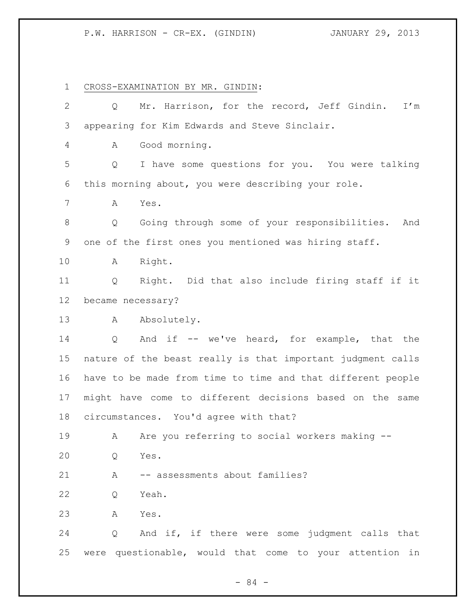CROSS-EXAMINATION BY MR. GINDIN: Q Mr. Harrison, for the record, Jeff Gindin. I'm appearing for Kim Edwards and Steve Sinclair. A Good morning. Q I have some questions for you. You were talking this morning about, you were describing your role. A Yes. Q Going through some of your responsibilities. And one of the first ones you mentioned was hiring staff. A Right. Q Right. Did that also include firing staff if it became necessary? 13 A Absolutely. Q And if -- we've heard, for example, that the nature of the beast really is that important judgment calls have to be made from time to time and that different people might have come to different decisions based on the same circumstances. You'd agree with that? A Are you referring to social workers making -- Q Yes. 21 A -- assessments about families? Q Yeah. A Yes. Q And if, if there were some judgment calls that were questionable, would that come to your attention in

- 84 -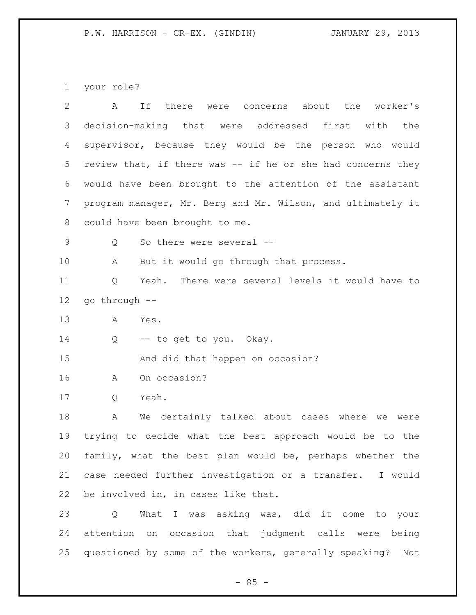your role?

| $\overline{2}$ | there were concerns about the worker's<br>If<br>A             |
|----------------|---------------------------------------------------------------|
| 3              | decision-making that were addressed first<br>with the         |
| 4              | supervisor, because they would be the person who would        |
| 5              | review that, if there was -- if he or she had concerns they   |
| 6              | would have been brought to the attention of the assistant     |
| 7              | program manager, Mr. Berg and Mr. Wilson, and ultimately it   |
| 8              | could have been brought to me.                                |
| 9              | So there were several --<br>Q                                 |
| 10             | A<br>But it would go through that process.                    |
| 11             | Q<br>Yeah. There were several levels it would have to         |
| 12             | go through --                                                 |
| 13             | Α<br>Yes.                                                     |
| 14             | -- to get to you. Okay.<br>Q                                  |
| 15             | And did that happen on occasion?                              |
| 16             | On occasion?<br>A                                             |
| 17             | Yeah.<br>Q                                                    |
| 18             | We certainly talked about cases where we were<br>Α            |
| 19             | trying to decide what the best approach would be to the       |
| 20             | family, what the best plan would be, perhaps whether the      |
| 21             | case needed further investigation or a transfer. I would      |
| 22             | be involved in, in cases like that.                           |
| 23             | What I was asking was, did it come to your<br>Q               |
| 24             | attention on occasion that judgment calls were being          |
| 25             | questioned by some of the workers, generally speaking?<br>Not |
|                |                                                               |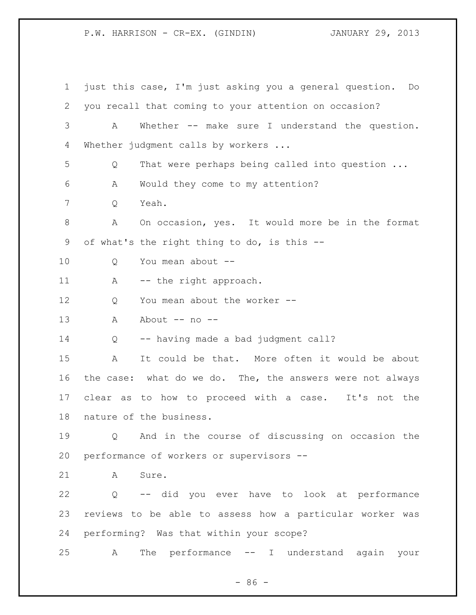just this case, I'm just asking you a general question. Do you recall that coming to your attention on occasion? A Whether -- make sure I understand the question. Whether judgment calls by workers ... Q That were perhaps being called into question ... A Would they come to my attention? Q Yeah. A On occasion, yes. It would more be in the format of what's the right thing to do, is this -- 10 0 You mean about --11 A -- the right approach. 12 O You mean about the worker --13 A About -- no -- Q -- having made a bad judgment call? A It could be that. More often it would be about the case: what do we do. The, the answers were not always clear as to how to proceed with a case. It's not the nature of the business. Q And in the course of discussing on occasion the performance of workers or supervisors -- 21 A Sure. Q -- did you ever have to look at performance reviews to be able to assess how a particular worker was performing? Was that within your scope? A The performance -- I understand again your

 $-86 -$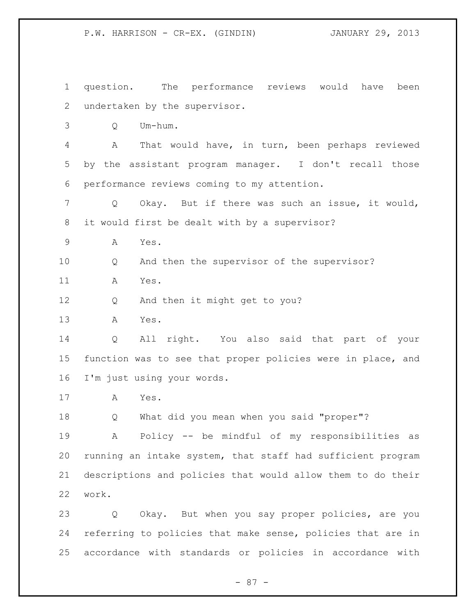question. The performance reviews would have been undertaken by the supervisor. Q Um-hum. A That would have, in turn, been perhaps reviewed by the assistant program manager. I don't recall those performance reviews coming to my attention. Q Okay. But if there was such an issue, it would, it would first be dealt with by a supervisor? A Yes. Q And then the supervisor of the supervisor? A Yes. Q And then it might get to you? A Yes. Q All right. You also said that part of your function was to see that proper policies were in place, and I'm just using your words. A Yes. Q What did you mean when you said "proper"? A Policy -- be mindful of my responsibilities as running an intake system, that staff had sufficient program descriptions and policies that would allow them to do their work. Q Okay. But when you say proper policies, are you referring to policies that make sense, policies that are in accordance with standards or policies in accordance with

- 87 -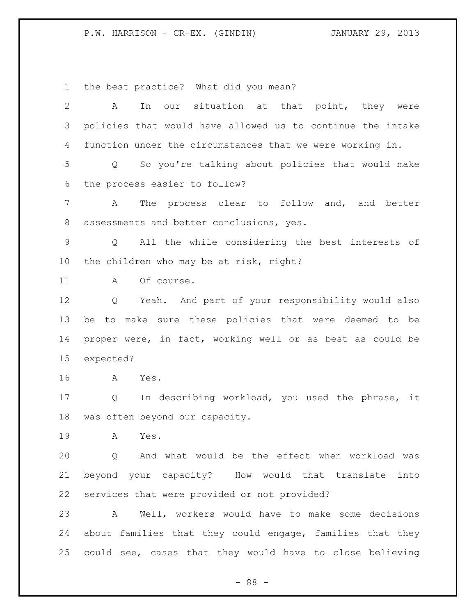the best practice? What did you mean?

| 2               | our situation at that point, they were<br>Α<br>In                    |
|-----------------|----------------------------------------------------------------------|
| 3               | policies that would have allowed us to continue the intake           |
| 4               | function under the circumstances that we were working in.            |
| 5               | So you're talking about policies that would make<br>Q                |
| 6               | the process easier to follow?                                        |
| 7               | The process clear to follow<br>and, and better<br>А                  |
| 8               | assessments and better conclusions, yes.                             |
| 9               | All the while considering the best interests of<br>$Q \qquad \qquad$ |
| 10 <sub>o</sub> | the children who may be at risk, right?                              |
| 11              | Of course.<br>A                                                      |
| 12              | Yeah. And part of your responsibility would also<br>Q                |
| 13              | to make sure these policies that were deemed to be<br>be             |
| 14              | proper were, in fact, working well or as best as could be            |
| 15              | expected?                                                            |
| 16              | Yes.<br>A                                                            |
| 17              | In describing workload, you used the phrase,<br>Q<br>it              |
| 18              |                                                                      |
|                 | was often beyond our capacity.                                       |
| 19              | Α<br>Yes.                                                            |
| 20              | And what would be the effect when workload was<br>Q                  |
| 21              | beyond your capacity? How would that translate into                  |
| 22              | services that were provided or not provided?                         |
| 23              | Well, workers would have to make some decisions<br>A                 |
| 24              | about families that they could engage, families that they            |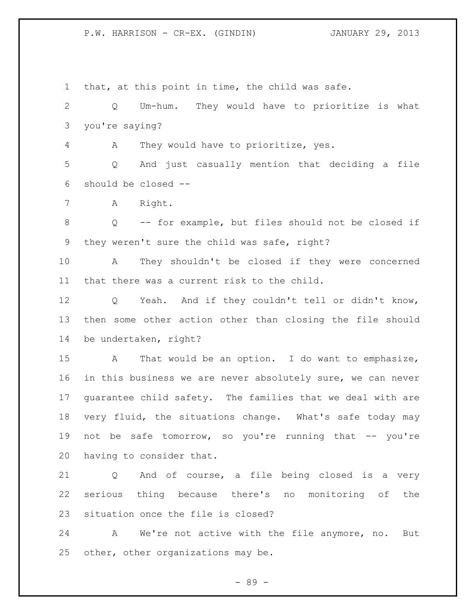that, at this point in time, the child was safe. Q Um-hum. They would have to prioritize is what you're saying? A They would have to prioritize, yes. Q And just casually mention that deciding a file should be closed -- A Right. Q -- for example, but files should not be closed if they weren't sure the child was safe, right? A They shouldn't be closed if they were concerned that there was a current risk to the child. Q Yeah. And if they couldn't tell or didn't know, then some other action other than closing the file should be undertaken, right? A That would be an option. I do want to emphasize, in this business we are never absolutely sure, we can never guarantee child safety. The families that we deal with are very fluid, the situations change. What's safe today may 19 not be safe tomorrow, so you're running that -- you're having to consider that. Q And of course, a file being closed is a very serious thing because there's no monitoring of the situation once the file is closed? A We're not active with the file anymore, no. But other, other organizations may be.

- 89 -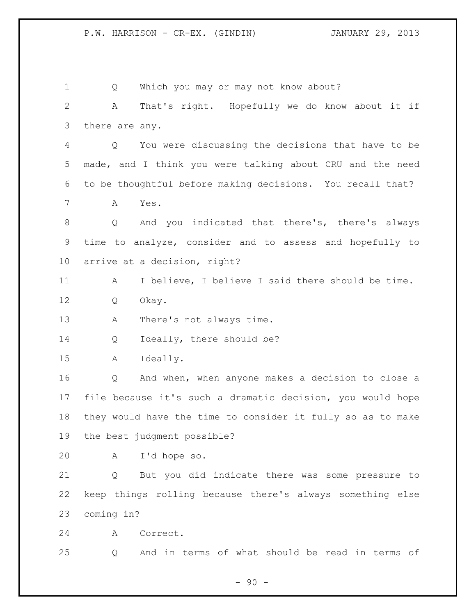| 1            | Q                 | Which you may or may not know about?                        |
|--------------|-------------------|-------------------------------------------------------------|
| $\mathbf{2}$ | Α                 | That's right. Hopefully we do know about it if              |
| 3            | there are any.    |                                                             |
| 4            | Q                 | You were discussing the decisions that have to be           |
| 5            |                   | made, and I think you were talking about CRU and the need   |
| 6            |                   | to be thoughtful before making decisions. You recall that?  |
| 7            | Α                 | Yes.                                                        |
| 8            | Q                 | And you indicated that there's, there's always              |
| 9            |                   | time to analyze, consider and to assess and hopefully to    |
| 10           |                   | arrive at a decision, right?                                |
| 11           | А                 | I believe, I believe I said there should be time.           |
| 12           | Q                 | Okay.                                                       |
| 13           | Α                 | There's not always time.                                    |
| 14           | Q                 | Ideally, there should be?                                   |
| 15           | Α                 | Ideally.                                                    |
| 16           | Q                 | And when, when anyone makes a decision to close a           |
| 17           |                   | file because it's such a dramatic decision, you would hope  |
| 18           |                   | they would have the time to consider it fully so as to make |
| 19           |                   | the best judgment possible?                                 |
| 20           | A                 | I'd hope so.                                                |
| 21           | $Q \qquad \qquad$ | But you did indicate there was some pressure to             |
| 22           |                   | keep things rolling because there's always something else   |
| 23           | coming in?        |                                                             |
| 24           | A                 | Correct.                                                    |
| 25           | Q                 | And in terms of what should be read in terms of             |

- 90 -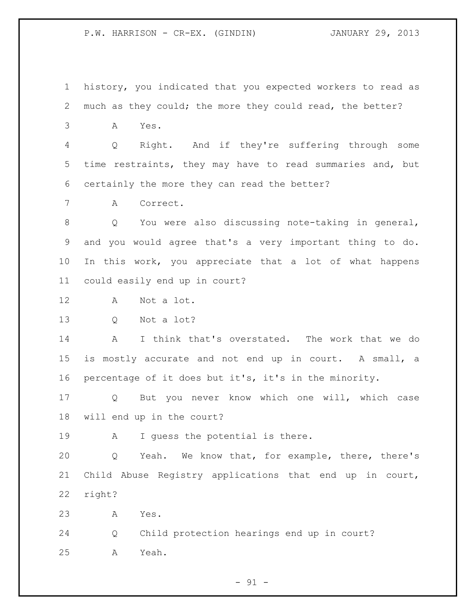history, you indicated that you expected workers to read as much as they could; the more they could read, the better?

A Yes.

 Q Right. And if they're suffering through some time restraints, they may have to read summaries and, but certainly the more they can read the better?

A Correct.

 Q You were also discussing note-taking in general, and you would agree that's a very important thing to do. In this work, you appreciate that a lot of what happens could easily end up in court?

A Not a lot.

Q Not a lot?

 A I think that's overstated. The work that we do is mostly accurate and not end up in court. A small, a percentage of it does but it's, it's in the minority.

 Q But you never know which one will, which case will end up in the court?

A I guess the potential is there.

 Q Yeah. We know that, for example, there, there's Child Abuse Registry applications that end up in court, right?

A Yes.

 Q Child protection hearings end up in court? A Yeah.

 $-91 -$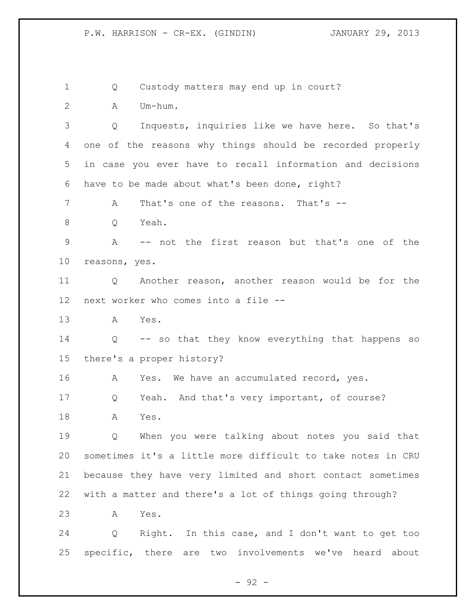Q Custody matters may end up in court?

A Um-hum.

 Q Inquests, inquiries like we have here. So that's one of the reasons why things should be recorded properly in case you ever have to recall information and decisions have to be made about what's been done, right?

A That's one of the reasons. That's --

Q Yeah.

 A -- not the first reason but that's one of the reasons, yes.

 Q Another reason, another reason would be for the next worker who comes into a file --

A Yes.

 Q -- so that they know everything that happens so there's a proper history?

16 A Yes. We have an accumulated record, yes.

Q Yeah. And that's very important, of course?

A Yes.

 Q When you were talking about notes you said that sometimes it's a little more difficult to take notes in CRU because they have very limited and short contact sometimes with a matter and there's a lot of things going through?

A Yes.

 Q Right. In this case, and I don't want to get too specific, there are two involvements we've heard about

 $-92 -$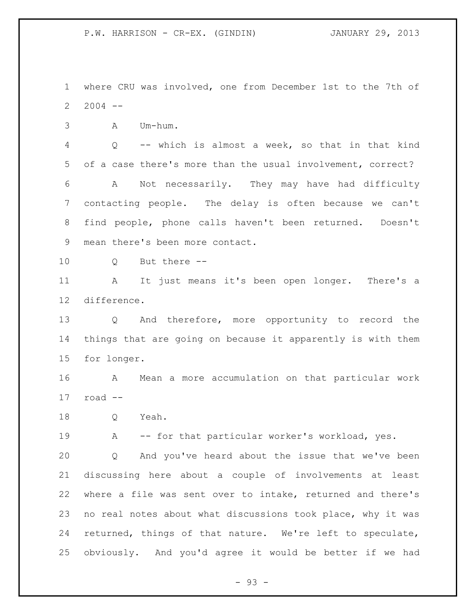where CRU was involved, one from December 1st to the 7th of 2004 --

A Um-hum.

 Q -- which is almost a week, so that in that kind of a case there's more than the usual involvement, correct? A Not necessarily. They may have had difficulty contacting people. The delay is often because we can't find people, phone calls haven't been returned. Doesn't mean there's been more contact.

Q But there --

 A It just means it's been open longer. There's a difference.

 Q And therefore, more opportunity to record the things that are going on because it apparently is with them for longer.

 A Mean a more accumulation on that particular work road --

Q Yeah.

A -- for that particular worker's workload, yes.

 Q And you've heard about the issue that we've been discussing here about a couple of involvements at least where a file was sent over to intake, returned and there's no real notes about what discussions took place, why it was returned, things of that nature. We're left to speculate, obviously. And you'd agree it would be better if we had

 $-93 -$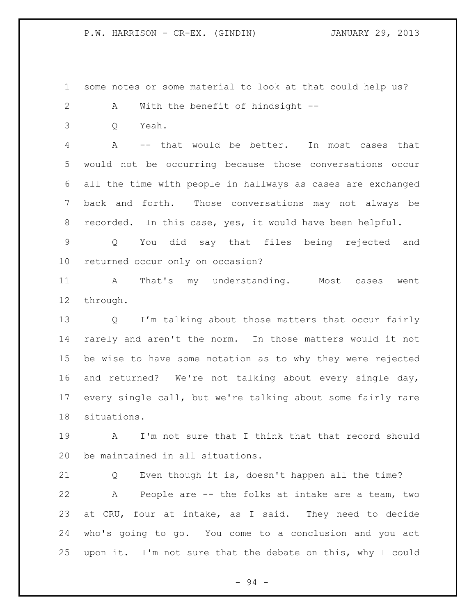some notes or some material to look at that could help us?

- A With the benefit of hindsight --
- Q Yeah.

 A -- that would be better. In most cases that would not be occurring because those conversations occur all the time with people in hallways as cases are exchanged back and forth. Those conversations may not always be recorded. In this case, yes, it would have been helpful.

 Q You did say that files being rejected and returned occur only on occasion?

 A That's my understanding. Most cases went through.

 Q I'm talking about those matters that occur fairly rarely and aren't the norm. In those matters would it not be wise to have some notation as to why they were rejected and returned? We're not talking about every single day, every single call, but we're talking about some fairly rare situations.

 A I'm not sure that I think that that record should be maintained in all situations.

 Q Even though it is, doesn't happen all the time? A People are -- the folks at intake are a team, two at CRU, four at intake, as I said. They need to decide who's going to go. You come to a conclusion and you act upon it. I'm not sure that the debate on this, why I could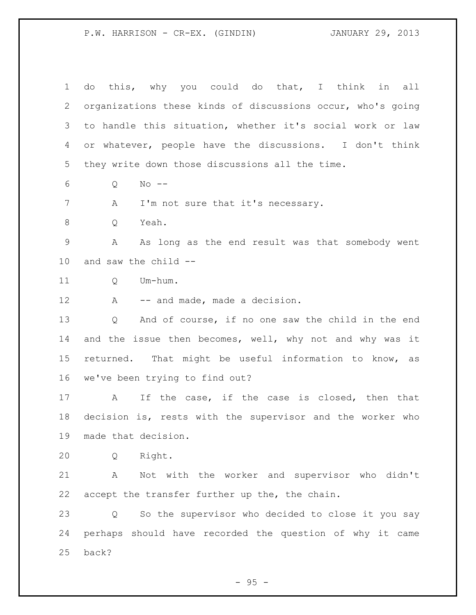do this, why you could do that, I think in all organizations these kinds of discussions occur, who's going to handle this situation, whether it's social work or law or whatever, people have the discussions. I don't think they write down those discussions all the time. Q No -- 7 A I'm not sure that it's necessary. Q Yeah. A As long as the end result was that somebody went and saw the child -- Q Um-hum. 12 A -- and made, made a decision. Q And of course, if no one saw the child in the end 14 and the issue then becomes, well, why not and why was it returned. That might be useful information to know, as we've been trying to find out? A If the case, if the case is closed, then that decision is, rests with the supervisor and the worker who made that decision. Q Right. A Not with the worker and supervisor who didn't accept the transfer further up the, the chain. Q So the supervisor who decided to close it you say perhaps should have recorded the question of why it came back?

 $-95 -$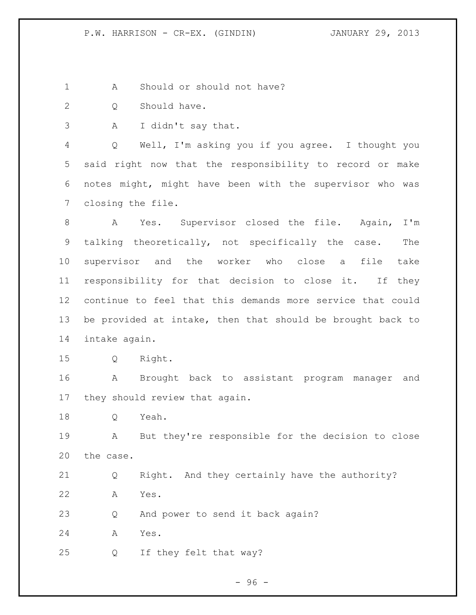1 A Should or should not have?

- Q Should have.
- A I didn't say that.

 Q Well, I'm asking you if you agree. I thought you said right now that the responsibility to record or make notes might, might have been with the supervisor who was closing the file.

 A Yes. Supervisor closed the file. Again, I'm talking theoretically, not specifically the case. The supervisor and the worker who close a file take responsibility for that decision to close it. If they continue to feel that this demands more service that could be provided at intake, then that should be brought back to intake again.

Q Right.

 A Brought back to assistant program manager and they should review that again.

Q Yeah.

 A But they're responsible for the decision to close the case.

 Q Right. And they certainly have the authority? A Yes.

23 Q And power to send it back again?

A Yes.

Q If they felt that way?

- 96 -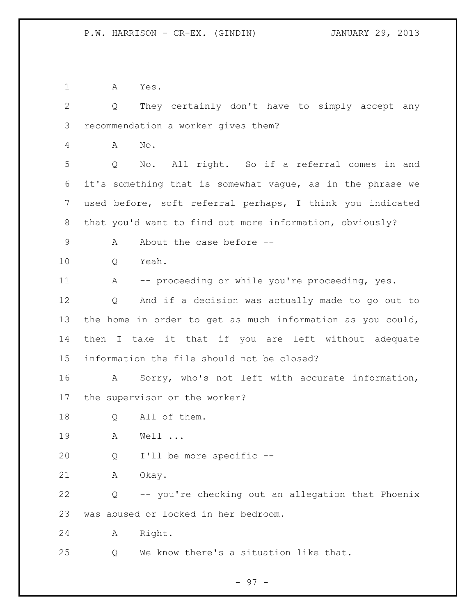A Yes.

 Q They certainly don't have to simply accept any recommendation a worker gives them? A No. Q No. All right. So if a referral comes in and it's something that is somewhat vague, as in the phrase we used before, soft referral perhaps, I think you indicated that you'd want to find out more information, obviously? 9 A About the case before --10 O Yeah. 11 A -- proceeding or while you're proceeding, yes. Q And if a decision was actually made to go out to the home in order to get as much information as you could,

 then I take it that if you are left without adequate information the file should not be closed?

 A Sorry, who's not left with accurate information, the supervisor or the worker?

18 Q All of them.

A Well ...

Q I'll be more specific --

A Okay.

 Q -- you're checking out an allegation that Phoenix was abused or locked in her bedroom.

A Right.

Q We know there's a situation like that.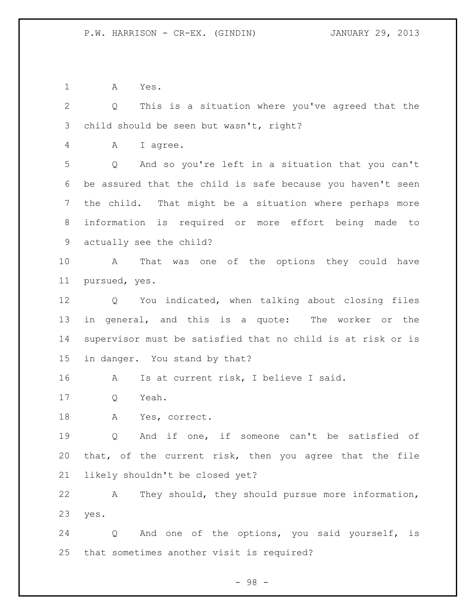A Yes.

 Q This is a situation where you've agreed that the child should be seen but wasn't, right? A I agree. Q And so you're left in a situation that you can't be assured that the child is safe because you haven't seen the child. That might be a situation where perhaps more information is required or more effort being made to actually see the child? A That was one of the options they could have pursued, yes. Q You indicated, when talking about closing files in general, and this is a quote: The worker or the supervisor must be satisfied that no child is at risk or is in danger. You stand by that? A Is at current risk, I believe I said. Q Yeah. A Yes, correct. Q And if one, if someone can't be satisfied of that, of the current risk, then you agree that the file likely shouldn't be closed yet? A They should, they should pursue more information,

yes.

 Q And one of the options, you said yourself, is that sometimes another visit is required?

- 98 -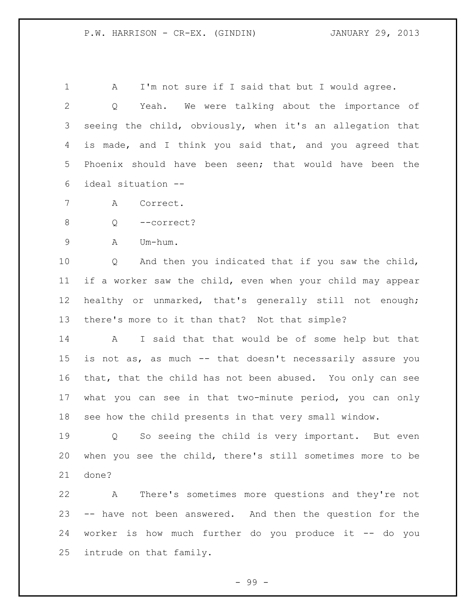1 A I'm not sure if I said that but I would agree. Q Yeah. We were talking about the importance of seeing the child, obviously, when it's an allegation that is made, and I think you said that, and you agreed that Phoenix should have been seen; that would have been the ideal situation --

A Correct.

Q --correct?

A Um-hum.

 Q And then you indicated that if you saw the child, if a worker saw the child, even when your child may appear healthy or unmarked, that's generally still not enough; there's more to it than that? Not that simple?

 A I said that that would be of some help but that is not as, as much -- that doesn't necessarily assure you that, that the child has not been abused. You only can see what you can see in that two-minute period, you can only see how the child presents in that very small window.

 Q So seeing the child is very important. But even when you see the child, there's still sometimes more to be done?

 A There's sometimes more questions and they're not -- have not been answered. And then the question for the worker is how much further do you produce it -- do you intrude on that family.

- 99 -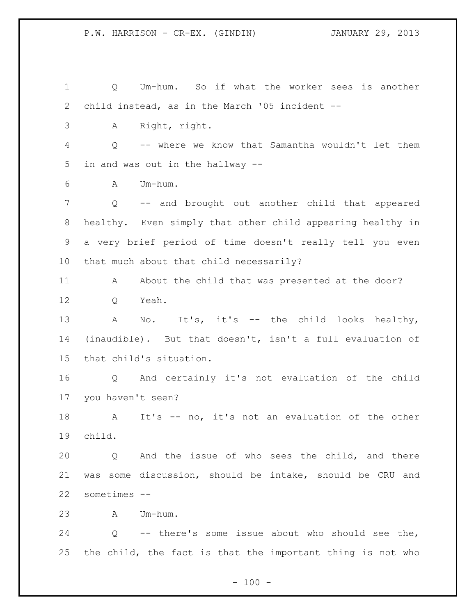Q Um-hum. So if what the worker sees is another child instead, as in the March '05 incident -- A Right, right. Q -- where we know that Samantha wouldn't let them in and was out in the hallway -- A Um-hum. Q -- and brought out another child that appeared healthy. Even simply that other child appearing healthy in a very brief period of time doesn't really tell you even that much about that child necessarily? 11 A About the child that was presented at the door? Q Yeah. 13 A No. It's, it's -- the child looks healthy, (inaudible). But that doesn't, isn't a full evaluation of that child's situation. Q And certainly it's not evaluation of the child you haven't seen? A It's -- no, it's not an evaluation of the other child. Q And the issue of who sees the child, and there was some discussion, should be intake, should be CRU and sometimes -- A Um-hum. Q -- there's some issue about who should see the, the child, the fact is that the important thing is not who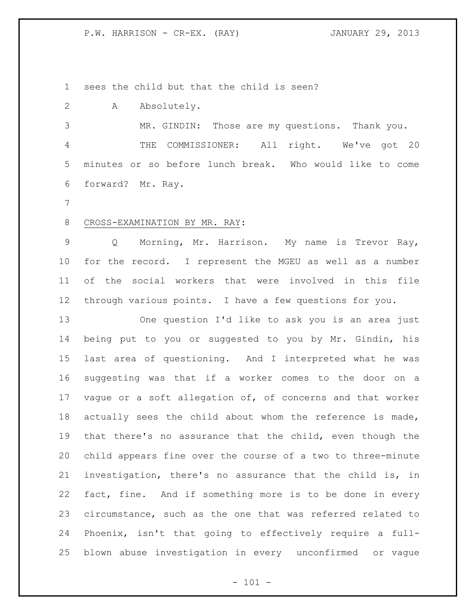P.W. HARRISON - CR-EX. (RAY) JANUARY 29, 2013

sees the child but that the child is seen?

A Absolutely.

 MR. GINDIN: Those are my questions. Thank you. THE COMMISSIONER: All right. We've got 20 minutes or so before lunch break. Who would like to come forward? Mr. Ray.

## 8 CROSS-EXAMINATION BY MR. RAY:

 Q Morning, Mr. Harrison. My name is Trevor Ray, for the record. I represent the MGEU as well as a number of the social workers that were involved in this file through various points. I have a few questions for you.

 One question I'd like to ask you is an area just being put to you or suggested to you by Mr. Gindin, his last area of questioning. And I interpreted what he was suggesting was that if a worker comes to the door on a vague or a soft allegation of, of concerns and that worker actually sees the child about whom the reference is made, that there's no assurance that the child, even though the child appears fine over the course of a two to three-minute investigation, there's no assurance that the child is, in fact, fine. And if something more is to be done in every circumstance, such as the one that was referred related to Phoenix, isn't that going to effectively require a full-blown abuse investigation in every unconfirmed or vague

 $- 101 -$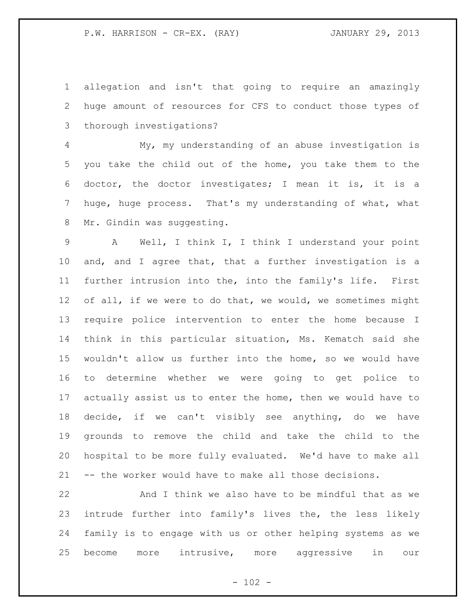allegation and isn't that going to require an amazingly huge amount of resources for CFS to conduct those types of thorough investigations?

 My, my understanding of an abuse investigation is you take the child out of the home, you take them to the doctor, the doctor investigates; I mean it is, it is a huge, huge process. That's my understanding of what, what 8 Mr. Gindin was suggesting.

 A Well, I think I, I think I understand your point and, and I agree that, that a further investigation is a further intrusion into the, into the family's life. First 12 of all, if we were to do that, we would, we sometimes might require police intervention to enter the home because I think in this particular situation, Ms. Kematch said she wouldn't allow us further into the home, so we would have to determine whether we were going to get police to actually assist us to enter the home, then we would have to decide, if we can't visibly see anything, do we have grounds to remove the child and take the child to the hospital to be more fully evaluated. We'd have to make all -- the worker would have to make all those decisions.

 And I think we also have to be mindful that as we intrude further into family's lives the, the less likely family is to engage with us or other helping systems as we become more intrusive, more aggressive in our

 $- 102 -$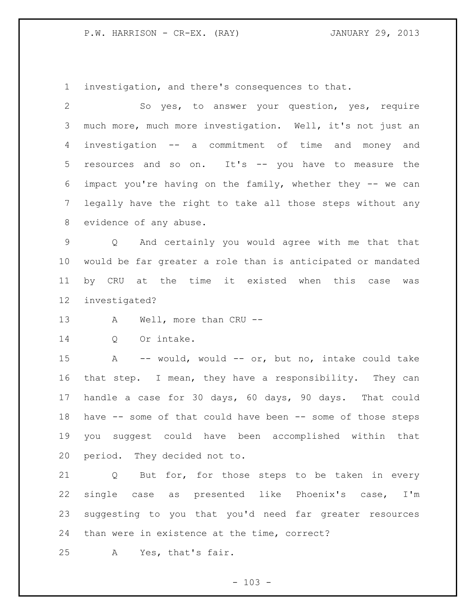P.W. HARRISON - CR-EX. (RAY) JANUARY 29, 2013

investigation, and there's consequences to that.

 So yes, to answer your question, yes, require much more, much more investigation. Well, it's not just an investigation -- a commitment of time and money and resources and so on. It's -- you have to measure the impact you're having on the family, whether they -- we can legally have the right to take all those steps without any evidence of any abuse. Q And certainly you would agree with me that that would be far greater a role than is anticipated or mandated by CRU at the time it existed when this case was investigated? 13 A Well, more than CRU -- Q Or intake. A -- would, would -- or, but no, intake could take that step. I mean, they have a responsibility. They can handle a case for 30 days, 60 days, 90 days. That could have -- some of that could have been -- some of those steps you suggest could have been accomplished within that period. They decided not to. Q But for, for those steps to be taken in every single case as presented like Phoenix's case, I'm suggesting to you that you'd need far greater resources

than were in existence at the time, correct?

A Yes, that's fair.

 $- 103 -$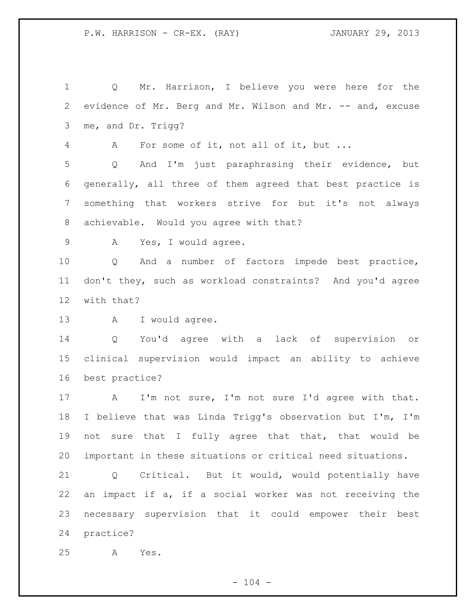Q Mr. Harrison, I believe you were here for the evidence of Mr. Berg and Mr. Wilson and Mr. -- and, excuse me, and Dr. Trigg? A For some of it, not all of it, but ... Q And I'm just paraphrasing their evidence, but generally, all three of them agreed that best practice is something that workers strive for but it's not always achievable. Would you agree with that? A Yes, I would agree. Q And a number of factors impede best practice, don't they, such as workload constraints? And you'd agree with that? 13 A I would agree. Q You'd agree with a lack of supervision or clinical supervision would impact an ability to achieve best practice? A I'm not sure, I'm not sure I'd agree with that. I believe that was Linda Trigg's observation but I'm, I'm not sure that I fully agree that that, that would be important in these situations or critical need situations. Q Critical. But it would, would potentially have an impact if a, if a social worker was not receiving the necessary supervision that it could empower their best practice? A Yes.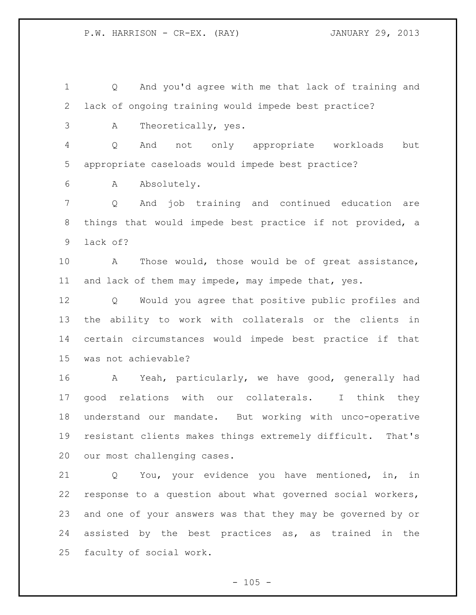P.W. HARRISON - CR-EX. (RAY) JANUARY 29, 2013

 Q And you'd agree with me that lack of training and lack of ongoing training would impede best practice?

A Theoretically, yes.

 Q And not only appropriate workloads but appropriate caseloads would impede best practice?

A Absolutely.

 Q And job training and continued education are things that would impede best practice if not provided, a lack of?

 A Those would, those would be of great assistance, and lack of them may impede, may impede that, yes.

 Q Would you agree that positive public profiles and the ability to work with collaterals or the clients in certain circumstances would impede best practice if that was not achievable?

 A Yeah, particularly, we have good, generally had good relations with our collaterals. I think they understand our mandate. But working with unco-operative resistant clients makes things extremely difficult. That's our most challenging cases.

 Q You, your evidence you have mentioned, in, in response to a question about what governed social workers, and one of your answers was that they may be governed by or assisted by the best practices as, as trained in the faculty of social work.

 $- 105 -$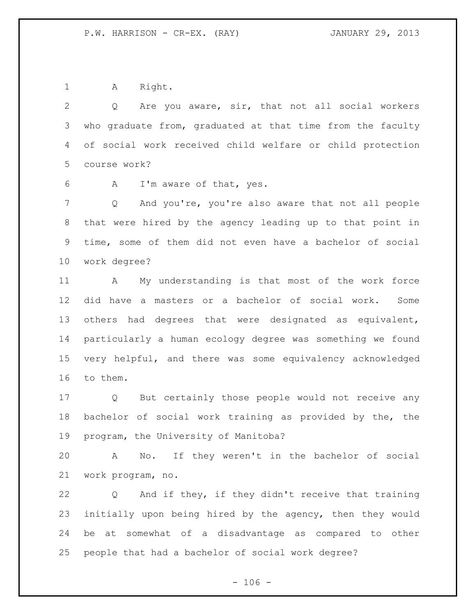1 A Right.

 Q Are you aware, sir, that not all social workers who graduate from, graduated at that time from the faculty of social work received child welfare or child protection course work?

A I'm aware of that, yes.

 Q And you're, you're also aware that not all people that were hired by the agency leading up to that point in time, some of them did not even have a bachelor of social work degree?

 A My understanding is that most of the work force did have a masters or a bachelor of social work. Some others had degrees that were designated as equivalent, particularly a human ecology degree was something we found very helpful, and there was some equivalency acknowledged to them.

 Q But certainly those people would not receive any bachelor of social work training as provided by the, the program, the University of Manitoba?

 A No. If they weren't in the bachelor of social work program, no.

 Q And if they, if they didn't receive that training initially upon being hired by the agency, then they would be at somewhat of a disadvantage as compared to other people that had a bachelor of social work degree?

 $- 106 -$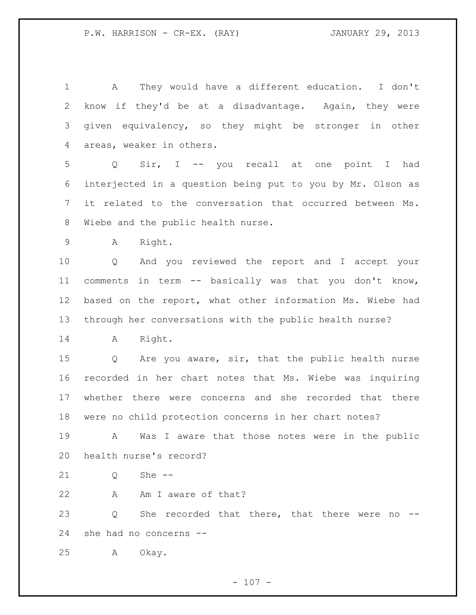A They would have a different education. I don't know if they'd be at a disadvantage. Again, they were given equivalency, so they might be stronger in other areas, weaker in others.

 Q Sir, I -- you recall at one point I had interjected in a question being put to you by Mr. Olson as it related to the conversation that occurred between Ms. Wiebe and the public health nurse.

A Right.

 Q And you reviewed the report and I accept your comments in term -- basically was that you don't know, based on the report, what other information Ms. Wiebe had through her conversations with the public health nurse?

A Right.

 Q Are you aware, sir, that the public health nurse recorded in her chart notes that Ms. Wiebe was inquiring whether there were concerns and she recorded that there were no child protection concerns in her chart notes?

 A Was I aware that those notes were in the public health nurse's record?

21 0 She --

22 A Am I aware of that?

23 Q She recorded that there, that there were no --she had no concerns --

A Okay.

 $- 107 -$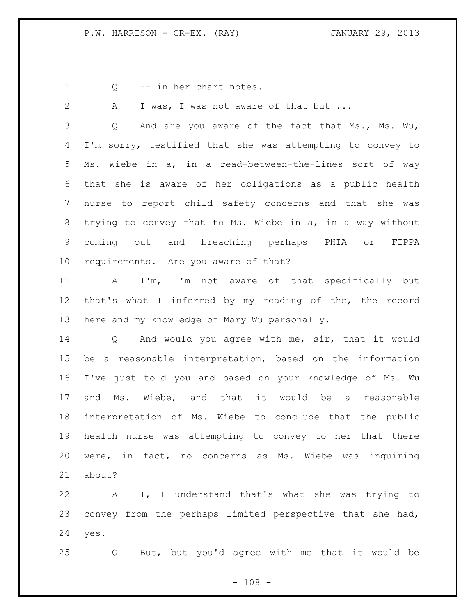1 Q -- in her chart notes.

2 A I was, I was not aware of that but ... Q And are you aware of the fact that Ms., Ms. Wu, I'm sorry, testified that she was attempting to convey to Ms. Wiebe in a, in a read-between-the-lines sort of way that she is aware of her obligations as a public health nurse to report child safety concerns and that she was trying to convey that to Ms. Wiebe in a, in a way without coming out and breaching perhaps PHIA or FIPPA requirements. Are you aware of that? A I'm, I'm not aware of that specifically but that's what I inferred by my reading of the, the record here and my knowledge of Mary Wu personally. Q And would you agree with me, sir, that it would be a reasonable interpretation, based on the information I've just told you and based on your knowledge of Ms. Wu and Ms. Wiebe, and that it would be a reasonable interpretation of Ms. Wiebe to conclude that the public health nurse was attempting to convey to her that there were, in fact, no concerns as Ms. Wiebe was inquiring about?

 A I, I understand that's what she was trying to convey from the perhaps limited perspective that she had, yes.

Q But, but you'd agree with me that it would be

 $- 108 -$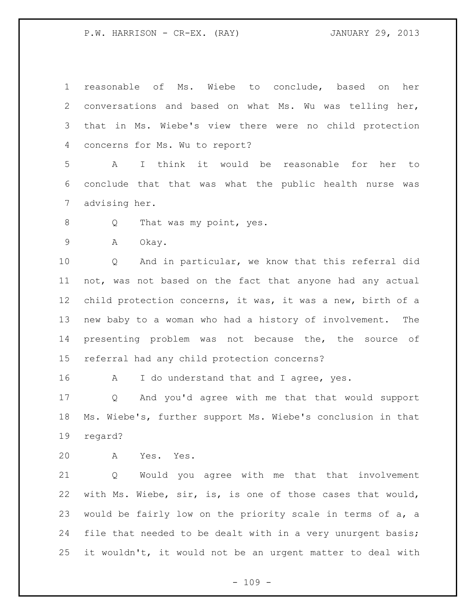reasonable of Ms. Wiebe to conclude, based on her conversations and based on what Ms. Wu was telling her, that in Ms. Wiebe's view there were no child protection concerns for Ms. Wu to report? A I think it would be reasonable for her to conclude that that was what the public health nurse was advising her. 8 Q That was my point, yes. A Okay. Q And in particular, we know that this referral did not, was not based on the fact that anyone had any actual child protection concerns, it was, it was a new, birth of a new baby to a woman who had a history of involvement. The presenting problem was not because the, the source of referral had any child protection concerns? 16 A I do understand that and I agree, yes. Q And you'd agree with me that that would support Ms. Wiebe's, further support Ms. Wiebe's conclusion in that regard?

A Yes. Yes.

 Q Would you agree with me that that involvement with Ms. Wiebe, sir, is, is one of those cases that would, would be fairly low on the priority scale in terms of a, a 24 file that needed to be dealt with in a very unurgent basis; it wouldn't, it would not be an urgent matter to deal with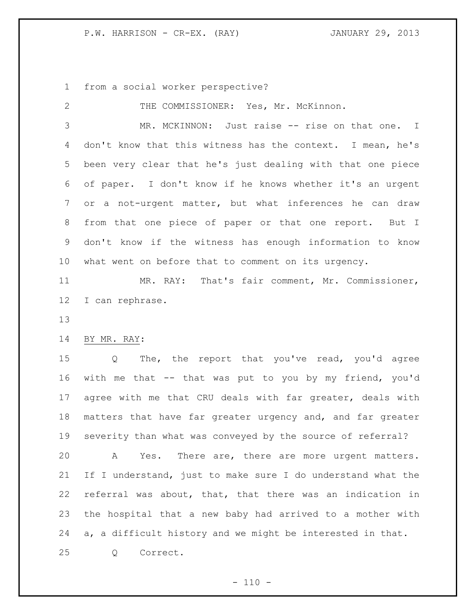from a social worker perspective?

| 2  | THE COMMISSIONER: Yes, Mr. McKinnon.                        |
|----|-------------------------------------------------------------|
| 3  | MR. MCKINNON: Just raise -- rise on that one. I             |
| 4  | don't know that this witness has the context. I mean, he's  |
| 5  | been very clear that he's just dealing with that one piece  |
| 6  | of paper. I don't know if he knows whether it's an urgent   |
| 7  | or a not-urgent matter, but what inferences he can draw     |
| 8  | from that one piece of paper or that one report. But I      |
| 9  | don't know if the witness has enough information to know    |
| 10 | what went on before that to comment on its urgency.         |
| 11 | MR. RAY: That's fair comment, Mr. Commissioner,             |
| 12 | I can rephrase.                                             |
| 13 |                                                             |
| 14 | BY MR. RAY:                                                 |
|    |                                                             |
| 15 | The, the report that you've read, you'd agree<br>Q          |
| 16 | with me that -- that was put to you by my friend, you'd     |
| 17 | agree with me that CRU deals with far greater, deals with   |
| 18 | matters that have far greater urgency and, and far greater  |
| 19 | severity than what was conveyed by the source of referral?  |
| 20 | Yes. There are, there are more urgent matters.<br>A         |
| 21 | If I understand, just to make sure I do understand what the |
| 22 | referral was about, that, that there was an indication in   |
| 23 | the hospital that a new baby had arrived to a mother with   |
| 24 | a, a difficult history and we might be interested in that.  |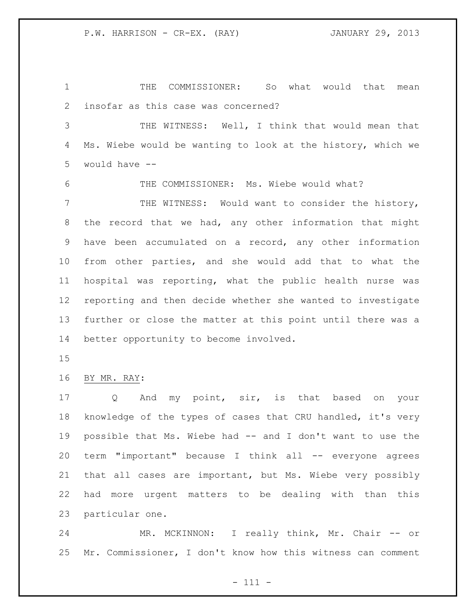THE COMMISSIONER: So what would that mean insofar as this case was concerned?

 THE WITNESS: Well, I think that would mean that Ms. Wiebe would be wanting to look at the history, which we would have --

THE COMMISSIONER: Ms. Wiebe would what?

 THE WITNESS: Would want to consider the history, the record that we had, any other information that might have been accumulated on a record, any other information from other parties, and she would add that to what the hospital was reporting, what the public health nurse was reporting and then decide whether she wanted to investigate further or close the matter at this point until there was a better opportunity to become involved.

## BY MR. RAY:

 Q And my point, sir, is that based on your knowledge of the types of cases that CRU handled, it's very possible that Ms. Wiebe had -- and I don't want to use the term "important" because I think all -- everyone agrees that all cases are important, but Ms. Wiebe very possibly had more urgent matters to be dealing with than this particular one.

24 MR. MCKINNON: I really think, Mr. Chair -- or Mr. Commissioner, I don't know how this witness can comment

- 111 -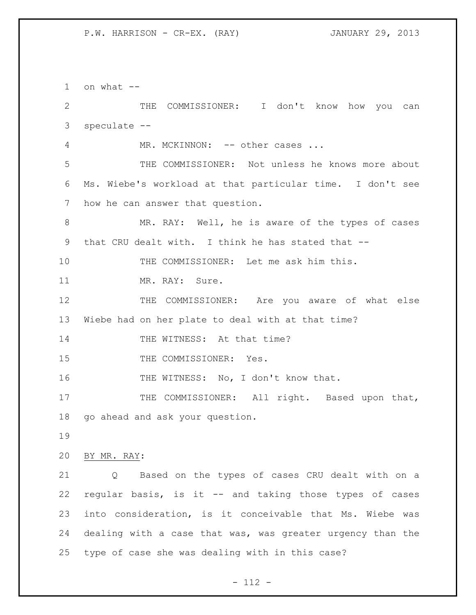1 on what  $-$  THE COMMISSIONER: I don't know how you can speculate -- 4 MR. MCKINNON: -- other cases ... THE COMMISSIONER: Not unless he knows more about Ms. Wiebe's workload at that particular time. I don't see how he can answer that question. MR. RAY: Well, he is aware of the types of cases that CRU dealt with. I think he has stated that -- THE COMMISSIONER: Let me ask him this. 11 MR. RAY: Sure. THE COMMISSIONER: Are you aware of what else Wiebe had on her plate to deal with at that time? 14 THE WITNESS: At that time? 15 THE COMMISSIONER: Yes. 16 THE WITNESS: No, I don't know that. 17 THE COMMISSIONER: All right. Based upon that, go ahead and ask your question. BY MR. RAY: Q Based on the types of cases CRU dealt with on a regular basis, is it -- and taking those types of cases into consideration, is it conceivable that Ms. Wiebe was dealing with a case that was, was greater urgency than the type of case she was dealing with in this case?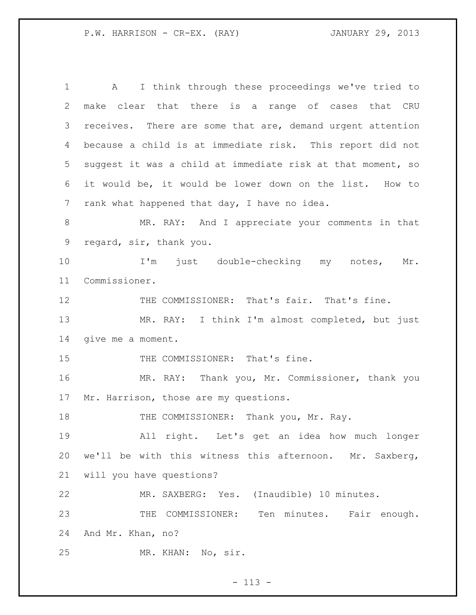A I think through these proceedings we've tried to make clear that there is a range of cases that CRU 3 receives. There are some that are, demand urgent attention because a child is at immediate risk. This report did not suggest it was a child at immediate risk at that moment, so it would be, it would be lower down on the list. How to rank what happened that day, I have no idea. MR. RAY: And I appreciate your comments in that regard, sir, thank you. I'm just double-checking my notes, Mr. Commissioner. 12 THE COMMISSIONER: That's fair. That's fine. MR. RAY: I think I'm almost completed, but just give me a moment. 15 THE COMMISSIONER: That's fine. MR. RAY: Thank you, Mr. Commissioner, thank you Mr. Harrison, those are my questions. 18 THE COMMISSIONER: Thank you, Mr. Ray. All right. Let's get an idea how much longer we'll be with this witness this afternoon. Mr. Saxberg, will you have questions? MR. SAXBERG: Yes. (Inaudible) 10 minutes. 23 THE COMMISSIONER: Ten minutes. Fair enough. And Mr. Khan, no? MR. KHAN: No, sir.

- 113 -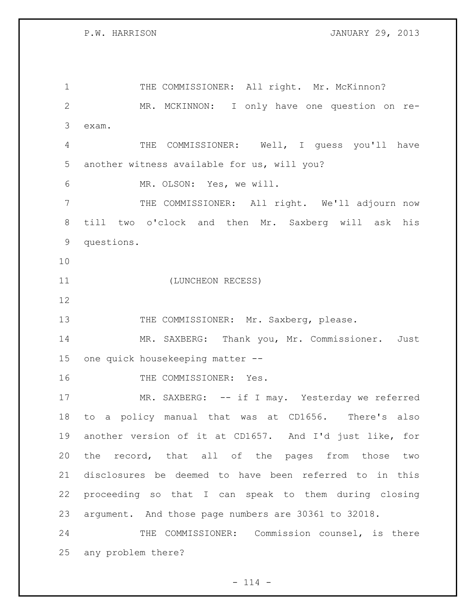P.W. HARRISON JANUARY 29, 2013

1 THE COMMISSIONER: All right. Mr. McKinnon? MR. MCKINNON: I only have one question on re- exam. THE COMMISSIONER: Well, I guess you'll have another witness available for us, will you? MR. OLSON: Yes, we will. 7 THE COMMISSIONER: All right. We'll adjourn now till two o'clock and then Mr. Saxberg will ask his questions. (LUNCHEON RECESS) 13 THE COMMISSIONER: Mr. Saxberg, please. MR. SAXBERG: Thank you, Mr. Commissioner. Just one quick housekeeping matter -- 16 THE COMMISSIONER: Yes. 17 MR. SAXBERG: -- if I may. Yesterday we referred to a policy manual that was at CD1656. There's also another version of it at CD1657. And I'd just like, for the record, that all of the pages from those two disclosures be deemed to have been referred to in this proceeding so that I can speak to them during closing argument. And those page numbers are 30361 to 32018. THE COMMISSIONER: Commission counsel, is there any problem there?

 $- 114 -$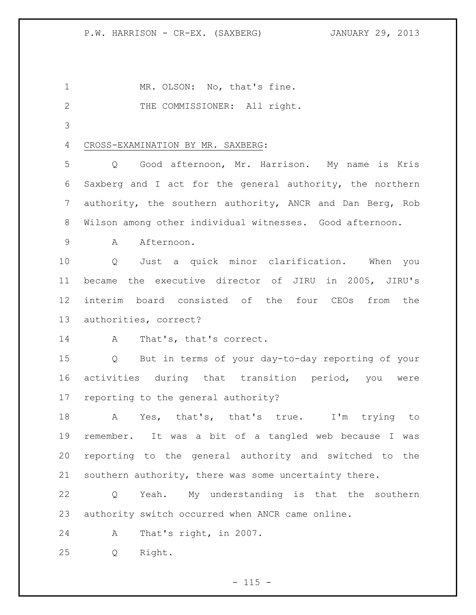1 MR. OLSON: No, that's fine.

2 THE COMMISSIONER: All right.

## CROSS-EXAMINATION BY MR. SAXBERG:

 Q Good afternoon, Mr. Harrison. My name is Kris Saxberg and I act for the general authority, the northern authority, the southern authority, ANCR and Dan Berg, Rob Wilson among other individual witnesses. Good afternoon.

9 A Afternoon.

 Q Just a quick minor clarification. When you became the executive director of JIRU in 2005, JIRU's interim board consisted of the four CEOs from the authorities, correct?

A That's, that's correct.

 Q But in terms of your day-to-day reporting of your activities during that transition period, you were reporting to the general authority?

 A Yes, that's, that's true. I'm trying to remember. It was a bit of a tangled web because I was reporting to the general authority and switched to the southern authority, there was some uncertainty there.

 Q Yeah. My understanding is that the southern authority switch occurred when ANCR came online.

A That's right, in 2007.

Q Right.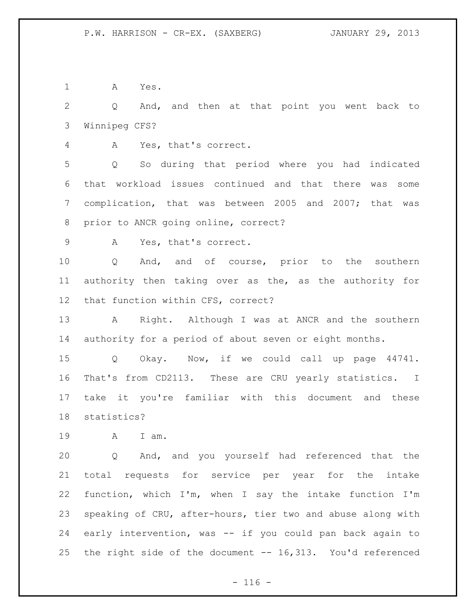A Yes.

 Q And, and then at that point you went back to Winnipeg CFS?

A Yes, that's correct.

 Q So during that period where you had indicated that workload issues continued and that there was some complication, that was between 2005 and 2007; that was prior to ANCR going online, correct?

A Yes, that's correct.

 Q And, and of course, prior to the southern authority then taking over as the, as the authority for that function within CFS, correct?

13 A Right. Although I was at ANCR and the southern authority for a period of about seven or eight months.

 Q Okay. Now, if we could call up page 44741. That's from CD2113. These are CRU yearly statistics. I take it you're familiar with this document and these statistics?

A I am.

 Q And, and you yourself had referenced that the total requests for service per year for the intake function, which I'm, when I say the intake function I'm speaking of CRU, after-hours, tier two and abuse along with early intervention, was -- if you could pan back again to the right side of the document -- 16,313. You'd referenced

 $- 116 -$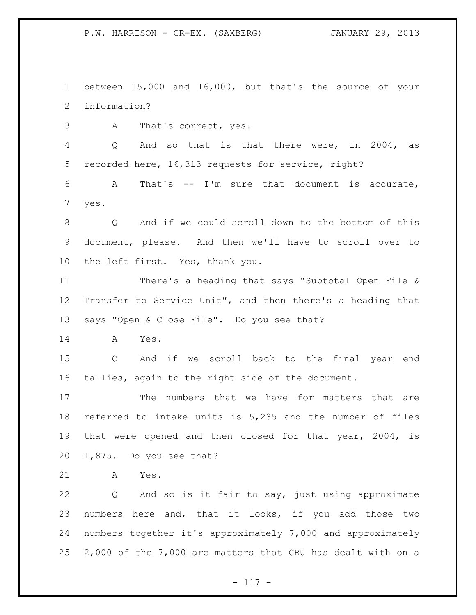between 15,000 and 16,000, but that's the source of your information?

A That's correct, yes.

 Q And so that is that there were, in 2004, as recorded here, 16,313 requests for service, right?

 A That's -- I'm sure that document is accurate, yes.

 Q And if we could scroll down to the bottom of this document, please. And then we'll have to scroll over to the left first. Yes, thank you.

 There's a heading that says "Subtotal Open File & Transfer to Service Unit", and then there's a heading that says "Open & Close File". Do you see that?

A Yes.

 Q And if we scroll back to the final year end tallies, again to the right side of the document.

 The numbers that we have for matters that are referred to intake units is 5,235 and the number of files that were opened and then closed for that year, 2004, is 1,875. Do you see that?

A Yes.

 Q And so is it fair to say, just using approximate numbers here and, that it looks, if you add those two numbers together it's approximately 7,000 and approximately 2,000 of the 7,000 are matters that CRU has dealt with on a

 $- 117 -$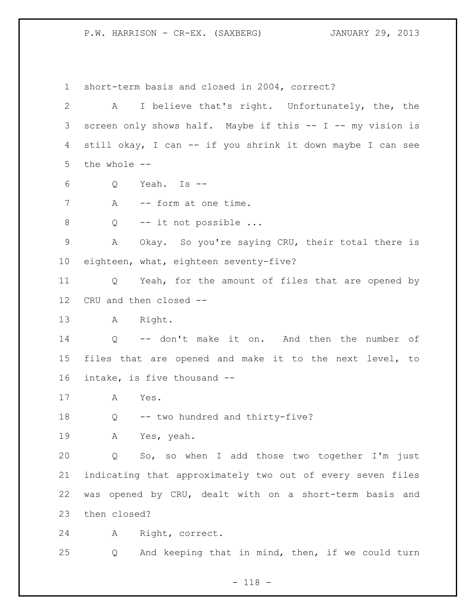short-term basis and closed in 2004, correct? A I believe that's right. Unfortunately, the, the screen only shows half. Maybe if this -- I -- my vision is still okay, I can -- if you shrink it down maybe I can see the whole -- Q Yeah. Is -- 7 A -- form at one time. 8 Q -- it not possible ... A Okay. So you're saying CRU, their total there is eighteen, what, eighteen seventy-five? Q Yeah, for the amount of files that are opened by CRU and then closed -- A Right. Q -- don't make it on. And then the number of files that are opened and make it to the next level, to intake, is five thousand -- A Yes. Q -- two hundred and thirty-five? A Yes, yeah. Q So, so when I add those two together I'm just indicating that approximately two out of every seven files was opened by CRU, dealt with on a short-term basis and then closed? A Right, correct. Q And keeping that in mind, then, if we could turn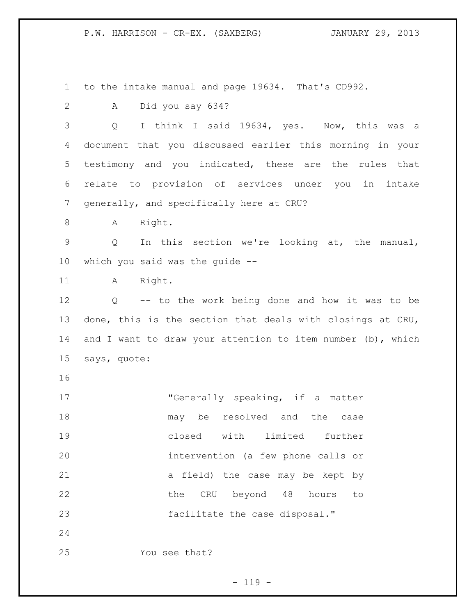to the intake manual and page 19634. That's CD992.

A Did you say 634?

 Q I think I said 19634, yes. Now, this was a document that you discussed earlier this morning in your testimony and you indicated, these are the rules that relate to provision of services under you in intake generally, and specifically here at CRU?

8 A Right.

 Q In this section we're looking at, the manual, which you said was the guide --

11 A Right.

 Q -- to the work being done and how it was to be done, this is the section that deals with closings at CRU, 14 and I want to draw your attention to item number (b), which says, quote:

 "Generally speaking, if a matter may be resolved and the case closed with limited further intervention (a few phone calls or a field) the case may be kept by 22 the CRU beyond 48 hours to facilitate the case disposal."

You see that?

 $- 119 -$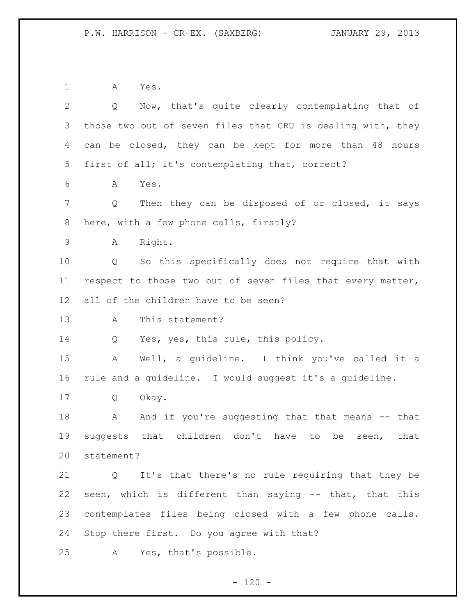A Yes.

| $\overline{2}$  | Now, that's quite clearly contemplating that of<br>Q        |
|-----------------|-------------------------------------------------------------|
| 3               | those two out of seven files that CRU is dealing with, they |
| 4               | can be closed, they can be kept for more than 48 hours      |
| $5\overline{)}$ | first of all; it's contemplating that, correct?             |
| 6               | Α<br>Yes.                                                   |
| 7               | Then they can be disposed of or closed, it says<br>Q        |
| 8               | here, with a few phone calls, firstly?                      |
| 9               | Right.<br>Α                                                 |
| 10              | So this specifically does not require that with<br>Q        |
| 11              | respect to those two out of seven files that every matter,  |
| 12              | all of the children have to be seen?                        |
| 13              | This statement?<br>A                                        |
| 14              | Yes, yes, this rule, this policy.<br>Q                      |
| 15              | Well, a quideline. I think you've called it a<br>A          |
| 16              | rule and a guideline. I would suggest it's a guideline.     |
| 17              | Okay.<br>Q                                                  |
| 18              | And if you're suggesting that that means -- that<br>A       |
| 19              | suggests that children don't have to<br>be<br>that<br>seen, |
| 20              | statement?                                                  |
| 21              | Q It's that there's no rule requiring that they be          |
| 22              | seen, which is different than saying -- that, that this     |
| 23              | contemplates files being closed with a few phone calls.     |
| 24              | Stop there first. Do you agree with that?                   |
| 25              | Yes, that's possible.<br>Α                                  |

- 120 -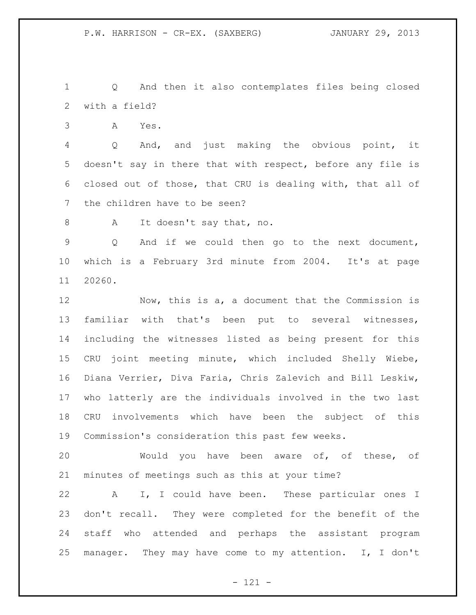Q And then it also contemplates files being closed with a field?

A Yes.

 Q And, and just making the obvious point, it doesn't say in there that with respect, before any file is closed out of those, that CRU is dealing with, that all of the children have to be seen?

8 A It doesn't say that, no.

 Q And if we could then go to the next document, which is a February 3rd minute from 2004. It's at page 20260.

 Now, this is a, a document that the Commission is familiar with that's been put to several witnesses, including the witnesses listed as being present for this CRU joint meeting minute, which included Shelly Wiebe, Diana Verrier, Diva Faria, Chris Zalevich and Bill Leskiw, who latterly are the individuals involved in the two last CRU involvements which have been the subject of this Commission's consideration this past few weeks.

 Would you have been aware of, of these, of minutes of meetings such as this at your time?

 A I, I could have been. These particular ones I don't recall. They were completed for the benefit of the staff who attended and perhaps the assistant program manager. They may have come to my attention. I, I don't

- 121 -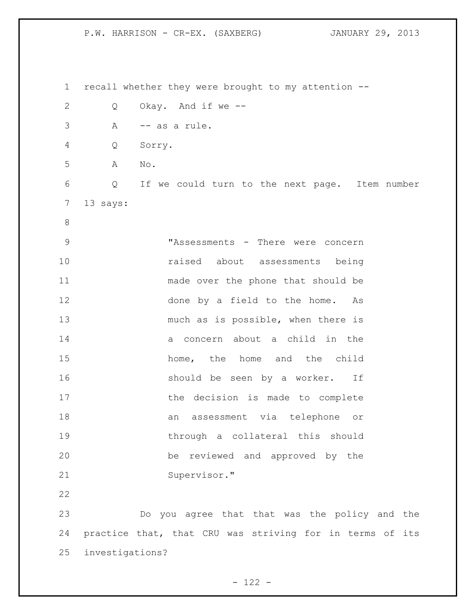recall whether they were brought to my attention -- Q Okay. And if we -- A -- as a rule. Q Sorry. A No. Q If we could turn to the next page. Item number 13 says: "Assessments - There were concern raised about assessments being made over the phone that should be done by a field to the home. As much as is possible, when there is a concern about a child in the 15 home, the home and the child 16 should be seen by a worker. If 17 the decision is made to complete an assessment via telephone or through a collateral this should be reviewed and approved by the Supervisor." Do you agree that that was the policy and the practice that, that CRU was striving for in terms of its investigations?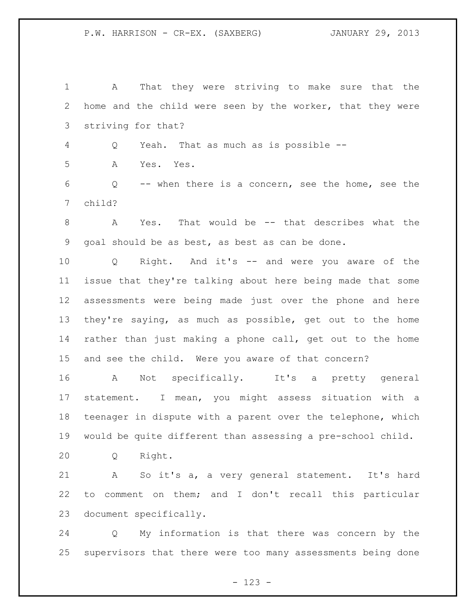A That they were striving to make sure that the home and the child were seen by the worker, that they were striving for that?

Q Yeah. That as much as is possible --

A Yes. Yes.

 Q -- when there is a concern, see the home, see the child?

 A Yes. That would be -- that describes what the goal should be as best, as best as can be done.

 Q Right. And it's -- and were you aware of the issue that they're talking about here being made that some assessments were being made just over the phone and here they're saying, as much as possible, get out to the home rather than just making a phone call, get out to the home and see the child. Were you aware of that concern?

 A Not specifically. It's a pretty general statement. I mean, you might assess situation with a teenager in dispute with a parent over the telephone, which would be quite different than assessing a pre-school child.

Q Right.

 A So it's a, a very general statement. It's hard to comment on them; and I don't recall this particular document specifically.

 Q My information is that there was concern by the supervisors that there were too many assessments being done

- 123 -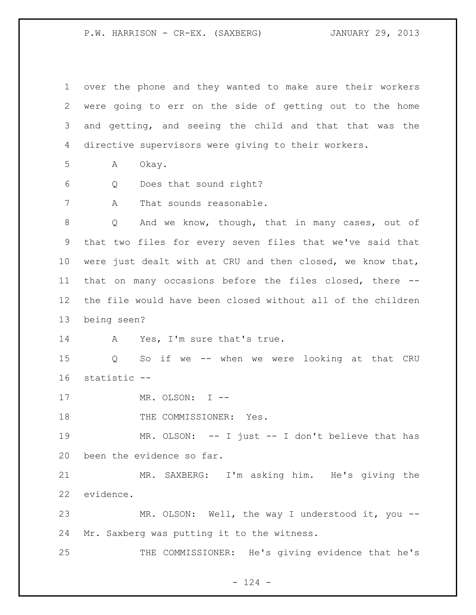over the phone and they wanted to make sure their workers were going to err on the side of getting out to the home and getting, and seeing the child and that that was the directive supervisors were giving to their workers. A Okay. Q Does that sound right? A That sounds reasonable. Q And we know, though, that in many cases, out of that two files for every seven files that we've said that were just dealt with at CRU and then closed, we know that, that on many occasions before the files closed, there -- the file would have been closed without all of the children being seen? 14 A Yes, I'm sure that's true. Q So if we -- when we were looking at that CRU statistic -- 17 MR. OLSON: I --18 THE COMMISSIONER: Yes. MR. OLSON: -- I just -- I don't believe that has been the evidence so far. MR. SAXBERG: I'm asking him. He's giving the evidence. MR. OLSON: Well, the way I understood it, you -- Mr. Saxberg was putting it to the witness. THE COMMISSIONER: He's giving evidence that he's

 $- 124 -$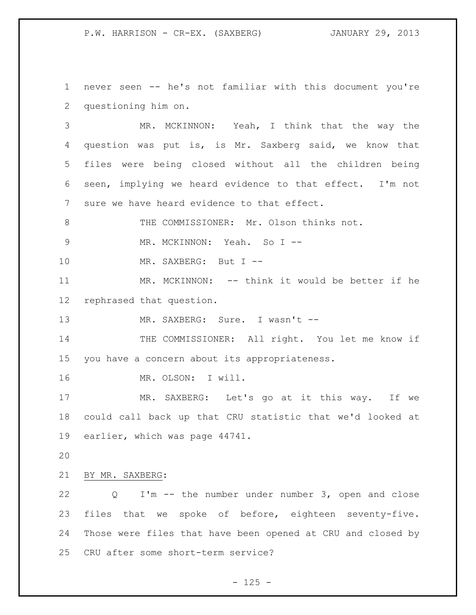never seen -- he's not familiar with this document you're questioning him on.

 MR. MCKINNON: Yeah, I think that the way the question was put is, is Mr. Saxberg said, we know that files were being closed without all the children being seen, implying we heard evidence to that effect. I'm not sure we have heard evidence to that effect.

THE COMMISSIONER: Mr. Olson thinks not.

9 MR. MCKINNON: Yeah. So I --

10 MR. SAXBERG: But I --

11 MR. MCKINNON: -- think it would be better if he rephrased that question.

13 MR. SAXBERG: Sure. I wasn't --

 THE COMMISSIONER: All right. You let me know if you have a concern about its appropriateness.

MR. OLSON: I will.

 MR. SAXBERG: Let's go at it this way. If we could call back up that CRU statistic that we'd looked at earlier, which was page 44741.

BY MR. SAXBERG:

 Q I'm -- the number under number 3, open and close files that we spoke of before, eighteen seventy-five. Those were files that have been opened at CRU and closed by CRU after some short-term service?

 $- 125 -$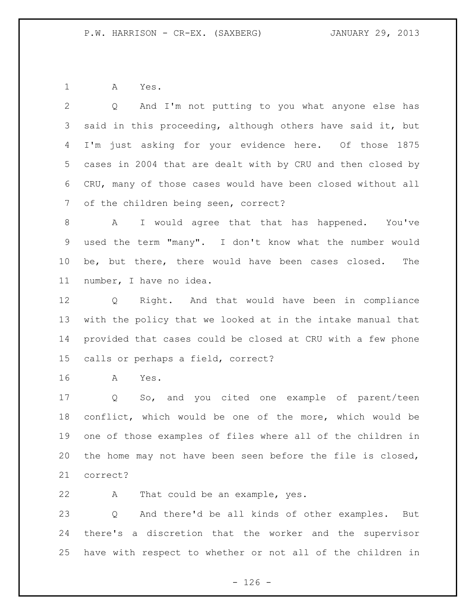A Yes.

 Q And I'm not putting to you what anyone else has said in this proceeding, although others have said it, but I'm just asking for your evidence here. Of those 1875 cases in 2004 that are dealt with by CRU and then closed by CRU, many of those cases would have been closed without all of the children being seen, correct?

 A I would agree that that has happened. You've used the term "many". I don't know what the number would be, but there, there would have been cases closed. The number, I have no idea.

 Q Right. And that would have been in compliance with the policy that we looked at in the intake manual that provided that cases could be closed at CRU with a few phone calls or perhaps a field, correct?

A Yes.

 Q So, and you cited one example of parent/teen conflict, which would be one of the more, which would be one of those examples of files where all of the children in the home may not have been seen before the file is closed, correct?

A That could be an example, yes.

 Q And there'd be all kinds of other examples. But there's a discretion that the worker and the supervisor have with respect to whether or not all of the children in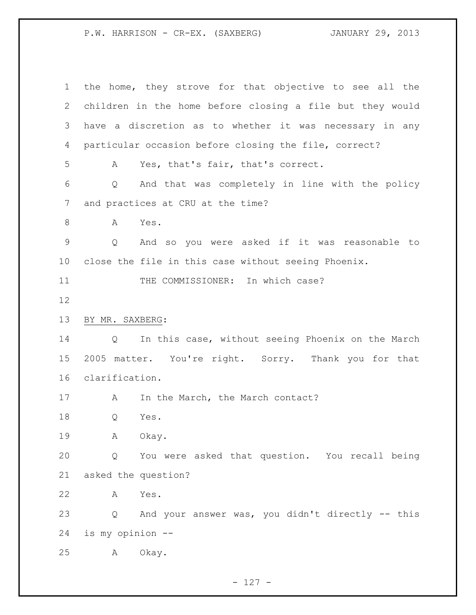the home, they strove for that objective to see all the children in the home before closing a file but they would have a discretion as to whether it was necessary in any particular occasion before closing the file, correct? A Yes, that's fair, that's correct. Q And that was completely in line with the policy and practices at CRU at the time? A Yes. Q And so you were asked if it was reasonable to close the file in this case without seeing Phoenix. 11 THE COMMISSIONER: In which case? BY MR. SAXBERG: Q In this case, without seeing Phoenix on the March 2005 matter. You're right. Sorry. Thank you for that clarification. 17 A In the March, the March contact? Q Yes. A Okay. Q You were asked that question. You recall being asked the question? A Yes. Q And your answer was, you didn't directly -- this is my opinion -- A Okay.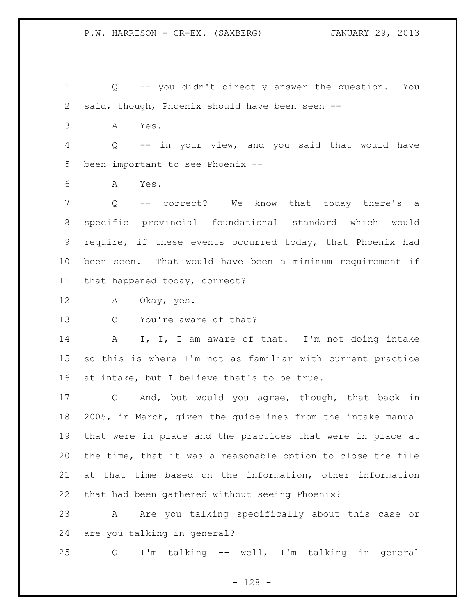Q -- you didn't directly answer the question. You said, though, Phoenix should have been seen --

A Yes.

 Q -- in your view, and you said that would have been important to see Phoenix --

A Yes.

 Q -- correct? We know that today there's a specific provincial foundational standard which would require, if these events occurred today, that Phoenix had been seen. That would have been a minimum requirement if that happened today, correct?

A Okay, yes.

Q You're aware of that?

14 A I, I, I am aware of that. I'm not doing intake so this is where I'm not as familiar with current practice at intake, but I believe that's to be true.

 Q And, but would you agree, though, that back in 2005, in March, given the guidelines from the intake manual that were in place and the practices that were in place at the time, that it was a reasonable option to close the file at that time based on the information, other information that had been gathered without seeing Phoenix?

23 A Are you talking specifically about this case or are you talking in general?

Q I'm talking -- well, I'm talking in general

- 128 -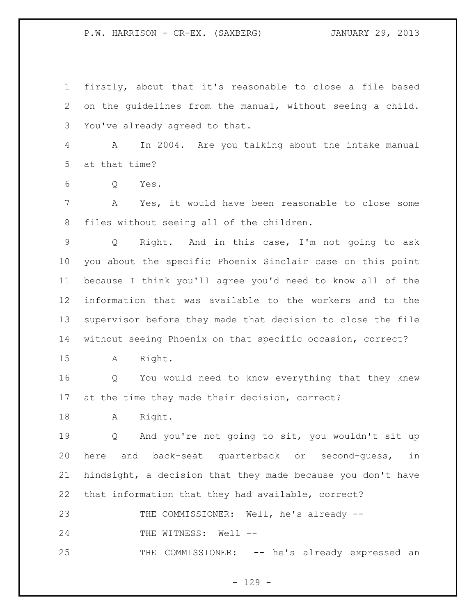firstly, about that it's reasonable to close a file based on the guidelines from the manual, without seeing a child. You've already agreed to that.

 A In 2004. Are you talking about the intake manual at that time?

Q Yes.

 A Yes, it would have been reasonable to close some files without seeing all of the children.

 Q Right. And in this case, I'm not going to ask you about the specific Phoenix Sinclair case on this point because I think you'll agree you'd need to know all of the information that was available to the workers and to the supervisor before they made that decision to close the file without seeing Phoenix on that specific occasion, correct?

A Right.

 Q You would need to know everything that they knew at the time they made their decision, correct?

A Right.

 Q And you're not going to sit, you wouldn't sit up here and back-seat quarterback or second-guess, in hindsight, a decision that they made because you don't have that information that they had available, correct?

THE COMMISSIONER: Well, he's already --

24 THE WITNESS: Well --

THE COMMISSIONER: -- he's already expressed an

 $- 129 -$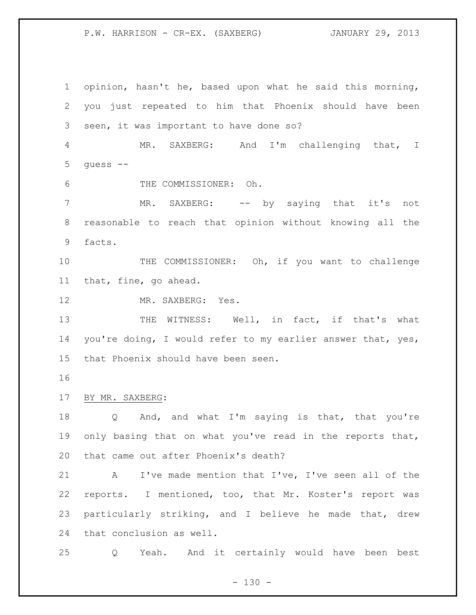opinion, hasn't he, based upon what he said this morning, you just repeated to him that Phoenix should have been seen, it was important to have done so? MR. SAXBERG: And I'm challenging that, I guess -- THE COMMISSIONER: Oh. 7 MR. SAXBERG: -- by saying that it's not reasonable to reach that opinion without knowing all the facts. 10 THE COMMISSIONER: Oh, if you want to challenge that, fine, go ahead. MR. SAXBERG: Yes. 13 THE WITNESS: Well, in fact, if that's what 14 you're doing, I would refer to my earlier answer that, yes, that Phoenix should have been seen. BY MR. SAXBERG: Q And, and what I'm saying is that, that you're 19 only basing that on what you've read in the reports that, that came out after Phoenix's death? A I've made mention that I've, I've seen all of the reports. I mentioned, too, that Mr. Koster's report was particularly striking, and I believe he made that, drew that conclusion as well. Q Yeah. And it certainly would have been best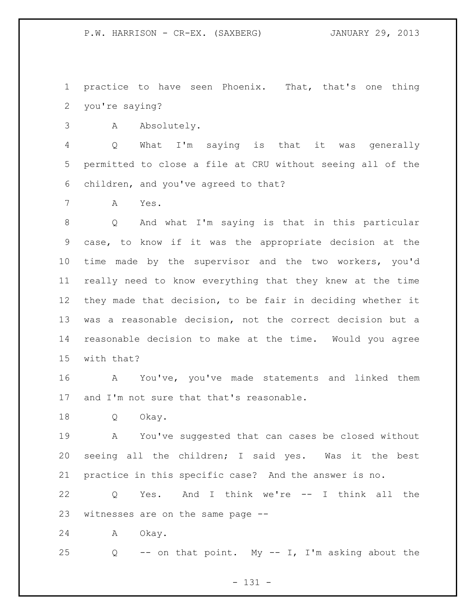practice to have seen Phoenix. That, that's one thing you're saying?

A Absolutely.

 Q What I'm saying is that it was generally permitted to close a file at CRU without seeing all of the children, and you've agreed to that?

A Yes.

 Q And what I'm saying is that in this particular case, to know if it was the appropriate decision at the time made by the supervisor and the two workers, you'd really need to know everything that they knew at the time they made that decision, to be fair in deciding whether it was a reasonable decision, not the correct decision but a reasonable decision to make at the time. Would you agree with that?

 A You've, you've made statements and linked them 17 and I'm not sure that that's reasonable.

Q Okay.

 A You've suggested that can cases be closed without seeing all the children; I said yes. Was it the best practice in this specific case? And the answer is no.

 Q Yes. And I think we're -- I think all the witnesses are on the same page --

A Okay.

Q -- on that point. My -- I, I'm asking about the

- 131 -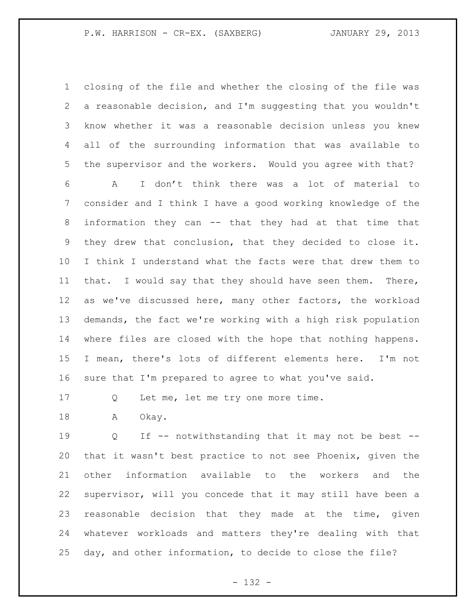closing of the file and whether the closing of the file was a reasonable decision, and I'm suggesting that you wouldn't know whether it was a reasonable decision unless you knew all of the surrounding information that was available to the supervisor and the workers. Would you agree with that?

 A I don't think there was a lot of material to consider and I think I have a good working knowledge of the information they can -- that they had at that time that they drew that conclusion, that they decided to close it. I think I understand what the facts were that drew them to that. I would say that they should have seen them. There, as we've discussed here, many other factors, the workload demands, the fact we're working with a high risk population where files are closed with the hope that nothing happens. I mean, there's lots of different elements here. I'm not sure that I'm prepared to agree to what you've said.

17 Q Let me, let me try one more time.

18 A Okay.

19 0 If -- notwithstanding that it may not be best -- that it wasn't best practice to not see Phoenix, given the other information available to the workers and the supervisor, will you concede that it may still have been a reasonable decision that they made at the time, given whatever workloads and matters they're dealing with that day, and other information, to decide to close the file?

- 132 -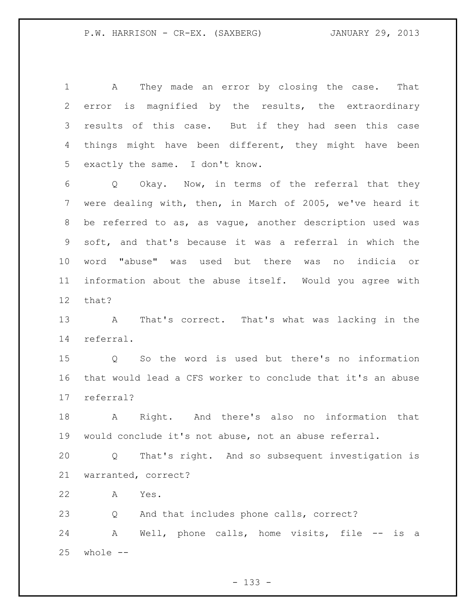A They made an error by closing the case. That error is magnified by the results, the extraordinary results of this case. But if they had seen this case things might have been different, they might have been exactly the same. I don't know.

 Q Okay. Now, in terms of the referral that they were dealing with, then, in March of 2005, we've heard it be referred to as, as vague, another description used was soft, and that's because it was a referral in which the word "abuse" was used but there was no indicia or information about the abuse itself. Would you agree with that?

 A That's correct. That's what was lacking in the referral.

 Q So the word is used but there's no information that would lead a CFS worker to conclude that it's an abuse referral?

 A Right. And there's also no information that would conclude it's not abuse, not an abuse referral.

 Q That's right. And so subsequent investigation is warranted, correct?

A Yes.

Q And that includes phone calls, correct?

24 A Well, phone calls, home visits, file -- is a whole  $--$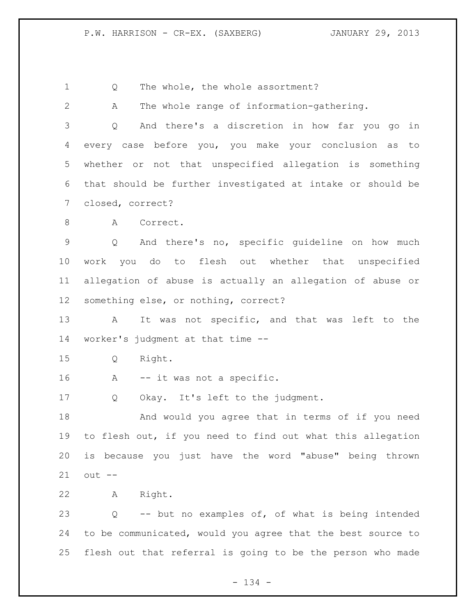1 Q The whole, the whole assortment?

| $\overline{2}$ | The whole range of information-gathering.<br>A              |
|----------------|-------------------------------------------------------------|
| 3              | And there's a discretion in how far you go in<br>Q          |
| 4              | every case before you, you make your conclusion as to       |
| 5              | whether or not that unspecified allegation is something     |
| 6              | that should be further investigated at intake or should be  |
| 7              | closed, correct?                                            |
| 8              | A<br>Correct.                                               |
| $\mathsf 9$    | And there's no, specific guideline on how much<br>Q         |
| 10             | work you do to flesh out whether that unspecified           |
| 11             | allegation of abuse is actually an allegation of abuse or   |
| 12             | something else, or nothing, correct?                        |
| 13             | It was not specific, and that was left to the<br>A          |
| 14             | worker's judgment at that time --                           |
| 15             | Right.<br>Q                                                 |
| 16             | -- it was not a specific.<br>A                              |
| 17             | Okay. It's left to the judgment.<br>Q                       |
| 18             | And would you agree that in terms of if you need            |
| 19             | to flesh out, if you need to find out what this allegation  |
| 20             | is because you just have the word "abuse" being thrown      |
| 21             | $out$ --                                                    |
| 22             | Right.<br>A                                                 |
| 23             | -- but no examples of, of what is being intended<br>Q       |
| 24             | to be communicated, would you agree that the best source to |
| 25             | flesh out that referral is going to be the person who made  |
|                |                                                             |

- 134 -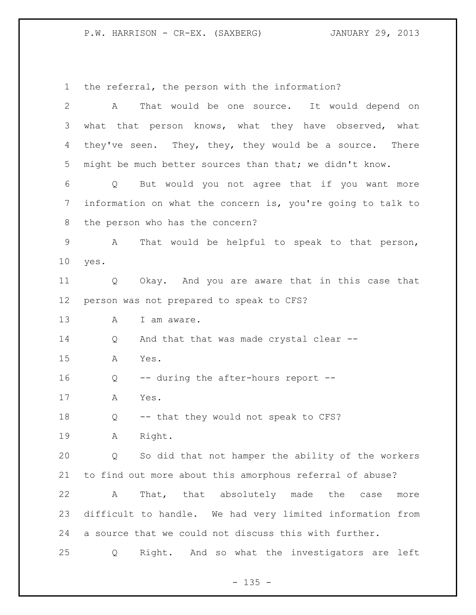the referral, the person with the information? A That would be one source. It would depend on 3 what that person knows, what they have observed, what 4 they've seen. They, they, they would be a source. There might be much better sources than that; we didn't know. Q But would you not agree that if you want more information on what the concern is, you're going to talk to the person who has the concern? A That would be helpful to speak to that person, yes. Q Okay. And you are aware that in this case that person was not prepared to speak to CFS? 13 A I am aware. Q And that that was made crystal clear -- A Yes. Q -- during the after-hours report -- A Yes. Q -- that they would not speak to CFS? A Right. Q So did that not hamper the ability of the workers to find out more about this amorphous referral of abuse? A That, that absolutely made the case more difficult to handle. We had very limited information from a source that we could not discuss this with further. Q Right. And so what the investigators are left

 $- 135 -$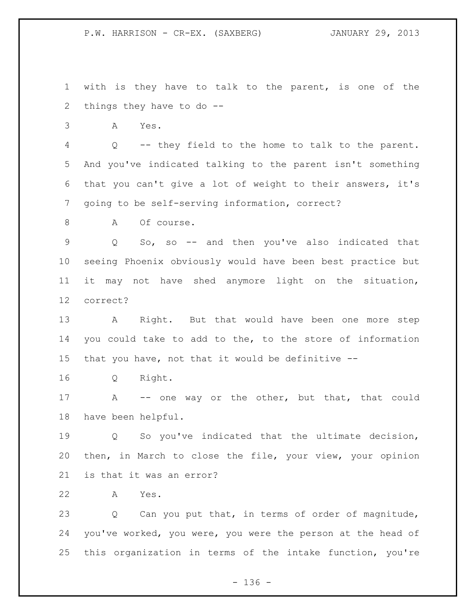with is they have to talk to the parent, is one of the things they have to do --

A Yes.

 Q -- they field to the home to talk to the parent. And you've indicated talking to the parent isn't something that you can't give a lot of weight to their answers, it's going to be self-serving information, correct?

8 A Of course.

 Q So, so -- and then you've also indicated that seeing Phoenix obviously would have been best practice but it may not have shed anymore light on the situation, correct?

 A Right. But that would have been one more step you could take to add to the, to the store of information that you have, not that it would be definitive --

Q Right.

17 A -- one way or the other, but that, that could have been helpful.

 Q So you've indicated that the ultimate decision, then, in March to close the file, your view, your opinion is that it was an error?

A Yes.

 Q Can you put that, in terms of order of magnitude, you've worked, you were, you were the person at the head of this organization in terms of the intake function, you're

- 136 -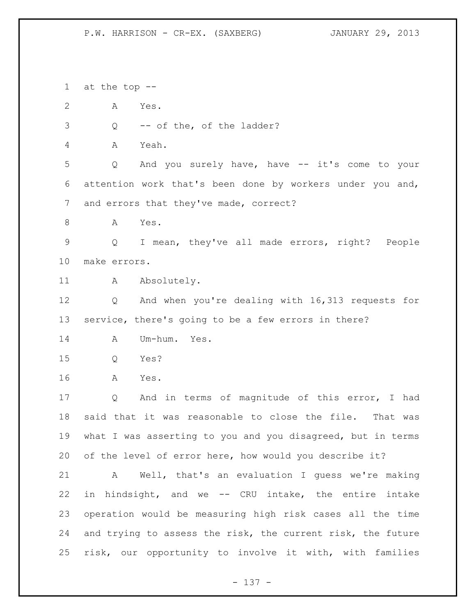at the top -- A Yes. Q -- of the, of the ladder? A Yeah. Q And you surely have, have -- it's come to your attention work that's been done by workers under you and, and errors that they've made, correct? A Yes. Q I mean, they've all made errors, right? People make errors. 11 A Absolutely. Q And when you're dealing with 16,313 requests for service, there's going to be a few errors in there? A Um-hum. Yes. Q Yes? A Yes. Q And in terms of magnitude of this error, I had said that it was reasonable to close the file. That was what I was asserting to you and you disagreed, but in terms of the level of error here, how would you describe it? A Well, that's an evaluation I guess we're making in hindsight, and we -- CRU intake, the entire intake operation would be measuring high risk cases all the time and trying to assess the risk, the current risk, the future risk, our opportunity to involve it with, with families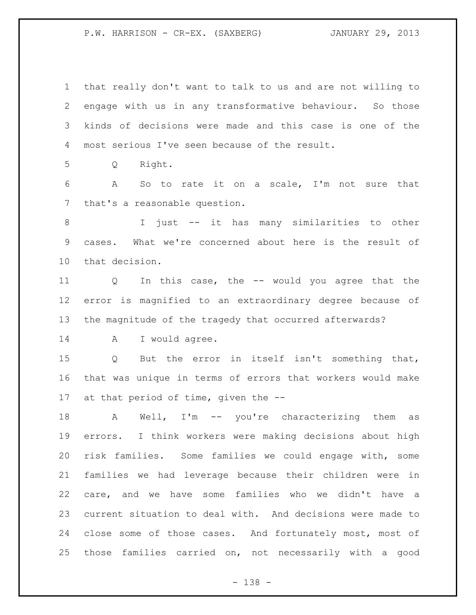that really don't want to talk to us and are not willing to engage with us in any transformative behaviour. So those kinds of decisions were made and this case is one of the most serious I've seen because of the result.

Q Right.

 A So to rate it on a scale, I'm not sure that that's a reasonable question.

 I just -- it has many similarities to other cases. What we're concerned about here is the result of that decision.

 Q In this case, the -- would you agree that the error is magnified to an extraordinary degree because of the magnitude of the tragedy that occurred afterwards?

A I would agree.

 Q But the error in itself isn't something that, that was unique in terms of errors that workers would make at that period of time, given the --

 A Well, I'm -- you're characterizing them as errors. I think workers were making decisions about high risk families. Some families we could engage with, some families we had leverage because their children were in care, and we have some families who we didn't have a current situation to deal with. And decisions were made to close some of those cases. And fortunately most, most of those families carried on, not necessarily with a good

- 138 -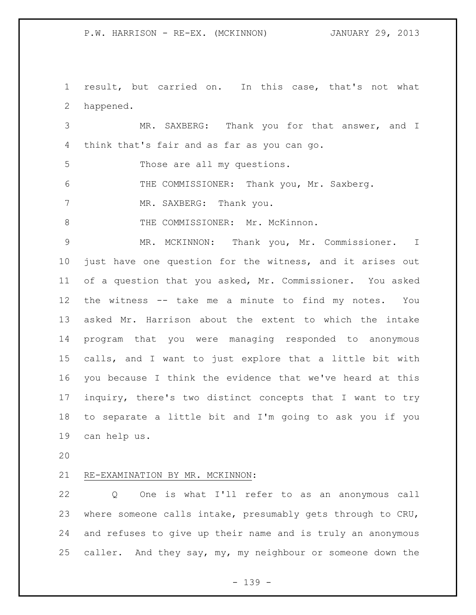result, but carried on. In this case, that's not what happened.

 MR. SAXBERG: Thank you for that answer, and I think that's fair and as far as you can go.

Those are all my questions.

6 THE COMMISSIONER: Thank you, Mr. Saxberg.

7 MR. SAXBERG: Thank you.

8 THE COMMISSIONER: Mr. McKinnon.

 MR. MCKINNON: Thank you, Mr. Commissioner. I just have one question for the witness, and it arises out of a question that you asked, Mr. Commissioner. You asked the witness -- take me a minute to find my notes. You asked Mr. Harrison about the extent to which the intake program that you were managing responded to anonymous calls, and I want to just explore that a little bit with you because I think the evidence that we've heard at this inquiry, there's two distinct concepts that I want to try to separate a little bit and I'm going to ask you if you can help us.

## RE-EXAMINATION BY MR. MCKINNON:

 Q One is what I'll refer to as an anonymous call where someone calls intake, presumably gets through to CRU, and refuses to give up their name and is truly an anonymous caller. And they say, my, my neighbour or someone down the

- 139 -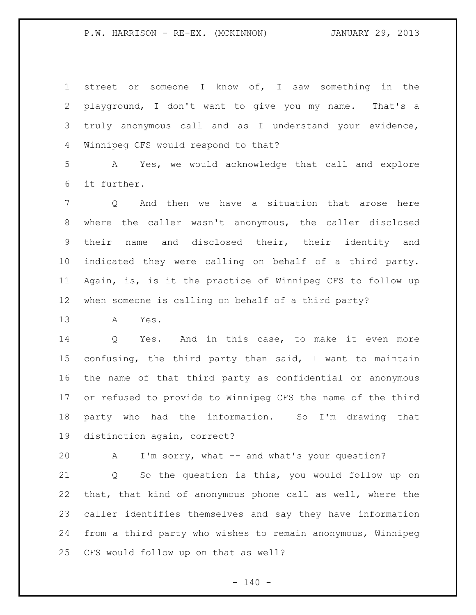P.W. HARRISON - RE-EX. (MCKINNON) JANUARY 29, 2013

 street or someone I know of, I saw something in the playground, I don't want to give you my name. That's a truly anonymous call and as I understand your evidence, Winnipeg CFS would respond to that?

 A Yes, we would acknowledge that call and explore it further.

 Q And then we have a situation that arose here where the caller wasn't anonymous, the caller disclosed their name and disclosed their, their identity and indicated they were calling on behalf of a third party. Again, is, is it the practice of Winnipeg CFS to follow up when someone is calling on behalf of a third party?

A Yes.

 Q Yes. And in this case, to make it even more confusing, the third party then said, I want to maintain the name of that third party as confidential or anonymous or refused to provide to Winnipeg CFS the name of the third party who had the information. So I'm drawing that distinction again, correct?

A I'm sorry, what -- and what's your question?

 Q So the question is this, you would follow up on that, that kind of anonymous phone call as well, where the caller identifies themselves and say they have information from a third party who wishes to remain anonymous, Winnipeg CFS would follow up on that as well?

 $- 140 -$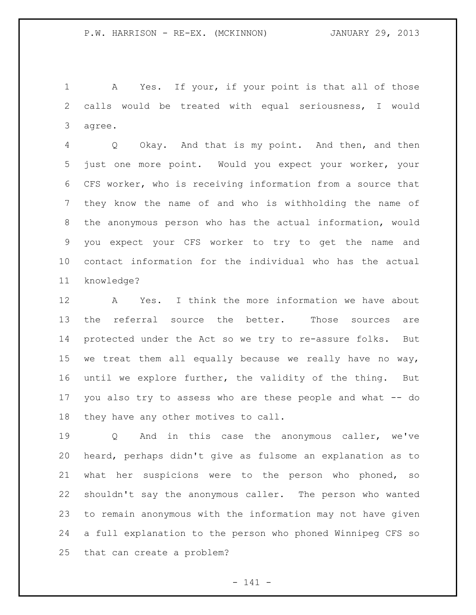A Yes. If your, if your point is that all of those calls would be treated with equal seriousness, I would agree.

 Q Okay. And that is my point. And then, and then just one more point. Would you expect your worker, your CFS worker, who is receiving information from a source that they know the name of and who is withholding the name of the anonymous person who has the actual information, would you expect your CFS worker to try to get the name and contact information for the individual who has the actual knowledge?

 A Yes. I think the more information we have about the referral source the better. Those sources are protected under the Act so we try to re-assure folks. But we treat them all equally because we really have no way, until we explore further, the validity of the thing. But you also try to assess who are these people and what -- do they have any other motives to call.

 Q And in this case the anonymous caller, we've heard, perhaps didn't give as fulsome an explanation as to what her suspicions were to the person who phoned, so shouldn't say the anonymous caller. The person who wanted to remain anonymous with the information may not have given a full explanation to the person who phoned Winnipeg CFS so that can create a problem?

- 141 -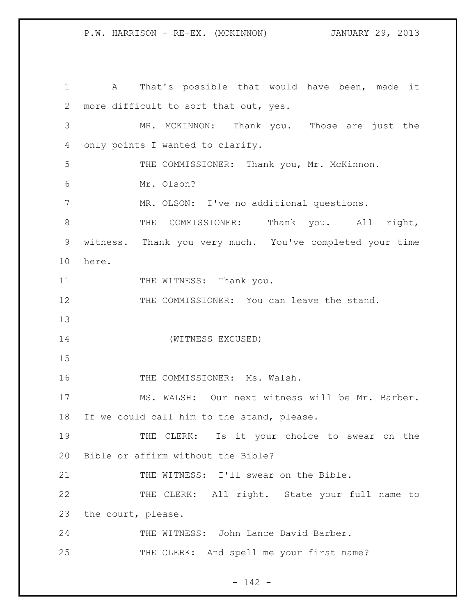A That's possible that would have been, made it more difficult to sort that out, yes. MR. MCKINNON: Thank you. Those are just the only points I wanted to clarify. THE COMMISSIONER: Thank you, Mr. McKinnon. Mr. Olson? MR. OLSON: I've no additional questions. 8 THE COMMISSIONER: Thank you. All right, witness. Thank you very much. You've completed your time here. 11 THE WITNESS: Thank you. 12 THE COMMISSIONER: You can leave the stand. (WITNESS EXCUSED) 16 THE COMMISSIONER: Ms. Walsh. MS. WALSH: Our next witness will be Mr. Barber. If we could call him to the stand, please. THE CLERK: Is it your choice to swear on the Bible or affirm without the Bible? THE WITNESS: I'll swear on the Bible. THE CLERK: All right. State your full name to the court, please. 24 THE WITNESS: John Lance David Barber. 25 THE CLERK: And spell me your first name?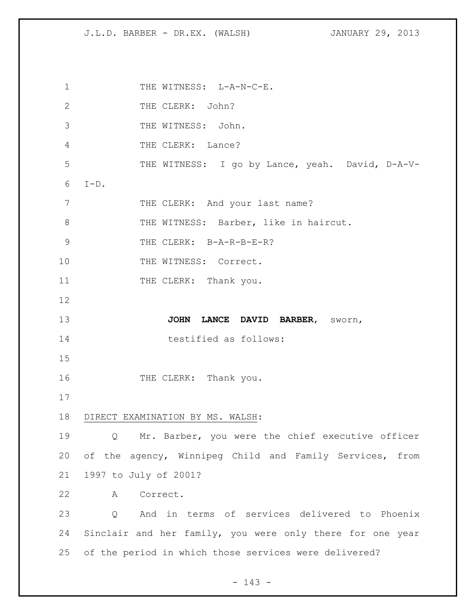1 THE WITNESS: L-A-N-C-E. 2 THE CLERK: John? 3 THE WITNESS: John. 4 THE CLERK: Lance? 5 THE WITNESS: I go by Lance, yeah. David, D-A-V-6 I-D. 7 THE CLERK: And your last name? 8 THE WITNESS: Barber, like in haircut. 9 THE CLERK: B-A-R-B-E-R? 10 THE WITNESS: Correct. 11 THE CLERK: Thank you. 12 13 **JOHN LANCE DAVID BARBER**, sworn, 14 testified as follows: 15 16 THE CLERK: Thank you. 17 18 DIRECT EXAMINATION BY MS. WALSH: 19 Q Mr. Barber, you were the chief executive officer 20 of the agency, Winnipeg Child and Family Services, from 21 1997 to July of 2001? 22 A Correct. 23 Q And in terms of services delivered to Phoenix 24 Sinclair and her family, you were only there for one year 25 of the period in which those services were delivered?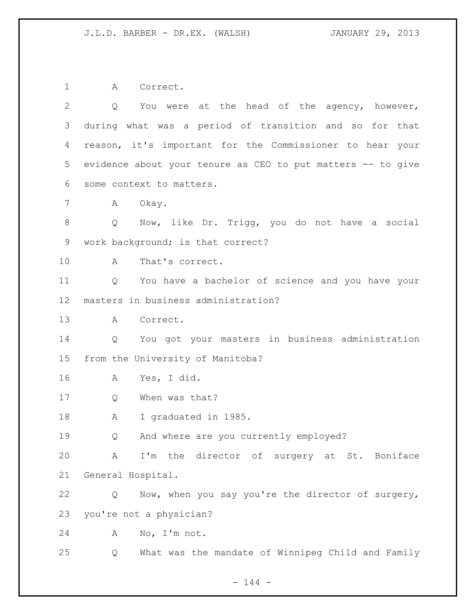A Correct. Q You were at the head of the agency, however, during what was a period of transition and so for that reason, it's important for the Commissioner to hear your evidence about your tenure as CEO to put matters -- to give some context to matters. 7 A Okay. Q Now, like Dr. Trigg, you do not have a social work background; is that correct? A That's correct. Q You have a bachelor of science and you have your masters in business administration? A Correct. Q You got your masters in business administration from the University of Manitoba? A Yes, I did. Q When was that? A I graduated in 1985. Q And where are you currently employed? A I'm the director of surgery at St. Boniface General Hospital. Q Now, when you say you're the director of surgery, you're not a physician? A No, I'm not. Q What was the mandate of Winnipeg Child and Family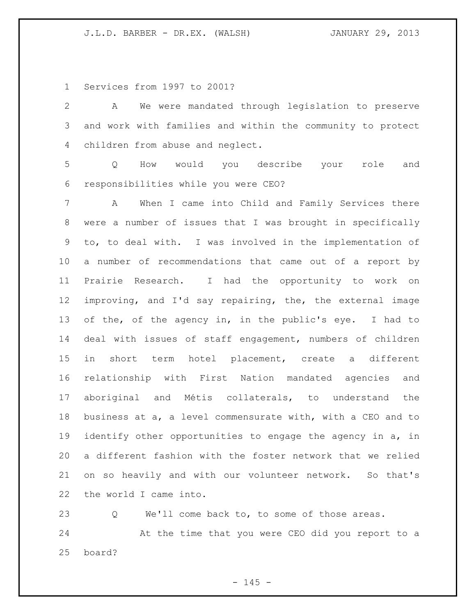Services from 1997 to 2001?

 A We were mandated through legislation to preserve and work with families and within the community to protect children from abuse and neglect. Q How would you describe your role and responsibilities while you were CEO? A When I came into Child and Family Services there were a number of issues that I was brought in specifically to, to deal with. I was involved in the implementation of a number of recommendations that came out of a report by Prairie Research. I had the opportunity to work on improving, and I'd say repairing, the, the external image of the, of the agency in, in the public's eye. I had to deal with issues of staff engagement, numbers of children in short term hotel placement, create a different relationship with First Nation mandated agencies and aboriginal and Métis collaterals, to understand the business at a, a level commensurate with, with a CEO and to 19 identify other opportunities to engage the agency in a, in a different fashion with the foster network that we relied on so heavily and with our volunteer network. So that's the world I came into.

 Q We'll come back to, to some of those areas. At the time that you were CEO did you report to a board?

 $- 145 -$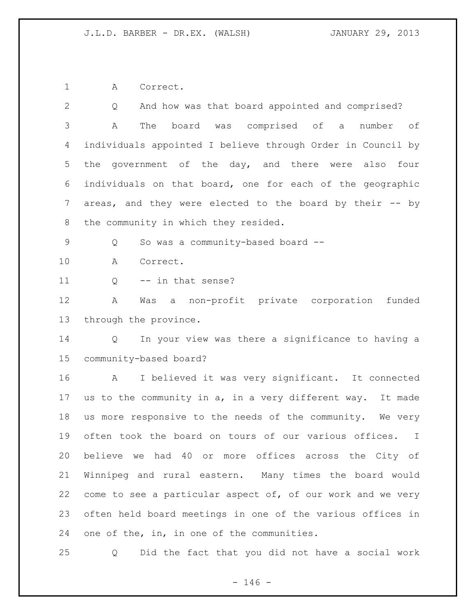A Correct.

| And how was that board appointed and comprised?<br>Q                   |
|------------------------------------------------------------------------|
| board was comprised of a<br>Α<br>The<br>number of                      |
| individuals appointed I believe through Order in Council by            |
| government of the day, and there were also four<br>the                 |
| individuals on that board, one for each of the geographic              |
| areas, and they were elected to the board by their -- by               |
| the community in which they resided.                                   |
| So was a community-based board --<br>Q                                 |
| Α<br>Correct.                                                          |
| -- in that sense?<br>Q                                                 |
| Α<br>Was a non-profit private corporation<br>funded                    |
| through the province.                                                  |
| In your view was there a significance to having a<br>$Q \qquad \qquad$ |
| community-based board?                                                 |
| I believed it was very significant. It connected<br>A                  |
| us to the community in a, in a very different way.<br>It made          |
| us more responsive to the needs of the community. We very              |
| often took the board on tours of our various offices.<br>$\perp$       |
| believe we had 40 or more offices across the City of                   |
| Winnipeg and rural eastern. Many times the board would                 |
| come to see a particular aspect of, of our work and we very            |
| often held board meetings in one of the various offices in             |
|                                                                        |
|                                                                        |

Q Did the fact that you did not have a social work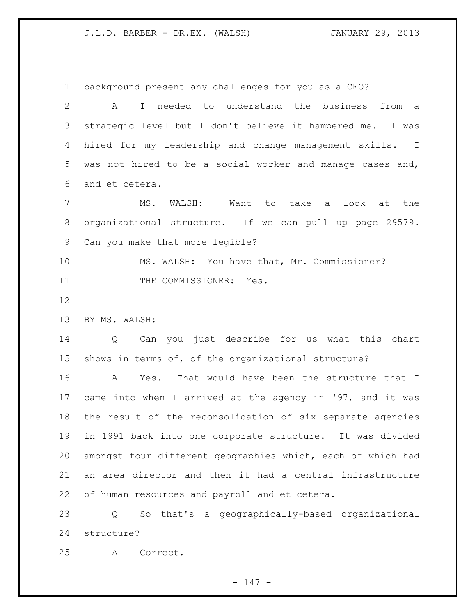background present any challenges for you as a CEO?

 A I needed to understand the business from a strategic level but I don't believe it hampered me. I was hired for my leadership and change management skills. I was not hired to be a social worker and manage cases and, and et cetera.

 MS. WALSH: Want to take a look at the organizational structure. If we can pull up page 29579. Can you make that more legible?

 MS. WALSH: You have that, Mr. Commissioner? 11 THE COMMISSIONER: Yes.

BY MS. WALSH:

 Q Can you just describe for us what this chart shows in terms of, of the organizational structure?

 A Yes. That would have been the structure that I came into when I arrived at the agency in '97, and it was the result of the reconsolidation of six separate agencies in 1991 back into one corporate structure. It was divided amongst four different geographies which, each of which had an area director and then it had a central infrastructure of human resources and payroll and et cetera.

 Q So that's a geographically-based organizational structure?

A Correct.

- 147 -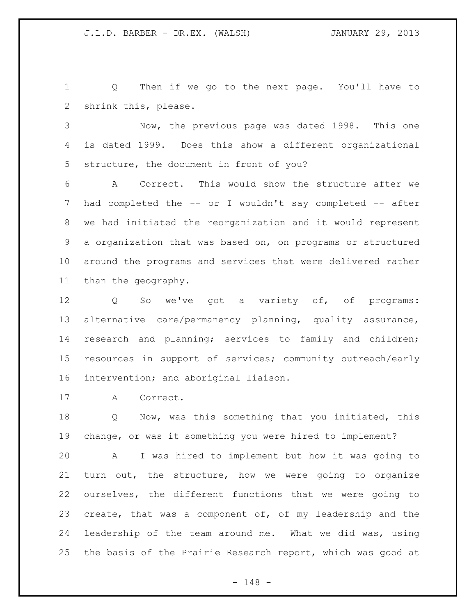Q Then if we go to the next page. You'll have to shrink this, please.

 Now, the previous page was dated 1998. This one is dated 1999. Does this show a different organizational structure, the document in front of you?

 A Correct. This would show the structure after we 7 had completed the -- or I wouldn't say completed -- after we had initiated the reorganization and it would represent a organization that was based on, on programs or structured around the programs and services that were delivered rather than the geography.

 Q So we've got a variety of, of programs: alternative care/permanency planning, quality assurance, research and planning; services to family and children; resources in support of services; community outreach/early intervention; and aboriginal liaison.

A Correct.

 Q Now, was this something that you initiated, this change, or was it something you were hired to implement?

 A I was hired to implement but how it was going to turn out, the structure, how we were going to organize ourselves, the different functions that we were going to create, that was a component of, of my leadership and the leadership of the team around me. What we did was, using the basis of the Prairie Research report, which was good at

- 148 -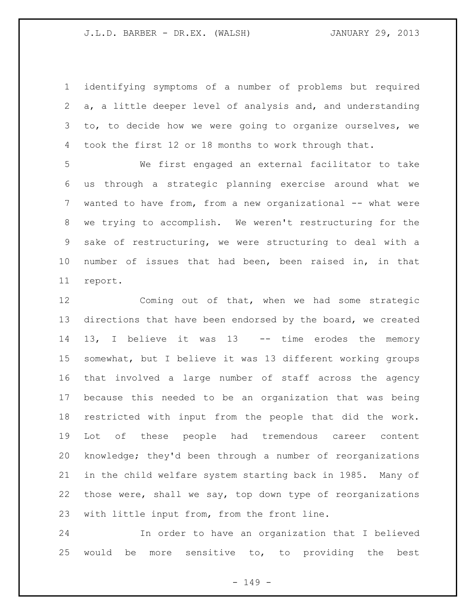identifying symptoms of a number of problems but required a, a little deeper level of analysis and, and understanding to, to decide how we were going to organize ourselves, we took the first 12 or 18 months to work through that.

 We first engaged an external facilitator to take us through a strategic planning exercise around what we 7 wanted to have from, from a new organizational -- what were we trying to accomplish. We weren't restructuring for the sake of restructuring, we were structuring to deal with a number of issues that had been, been raised in, in that report.

 Coming out of that, when we had some strategic directions that have been endorsed by the board, we created 13, I believe it was 13 -- time erodes the memory somewhat, but I believe it was 13 different working groups that involved a large number of staff across the agency because this needed to be an organization that was being restricted with input from the people that did the work. Lot of these people had tremendous career content knowledge; they'd been through a number of reorganizations in the child welfare system starting back in 1985. Many of those were, shall we say, top down type of reorganizations with little input from, from the front line.

 In order to have an organization that I believed would be more sensitive to, to providing the best

- 149 -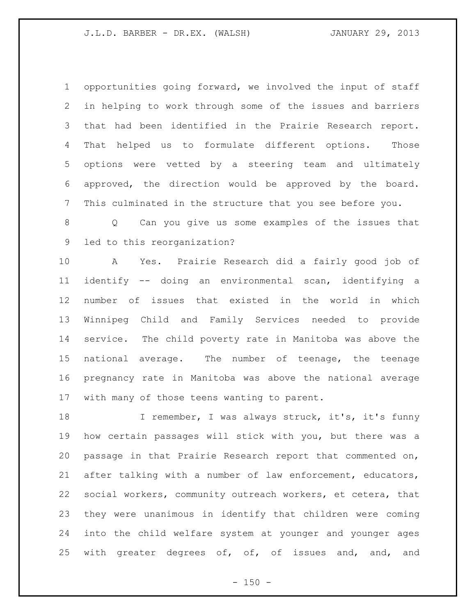opportunities going forward, we involved the input of staff in helping to work through some of the issues and barriers that had been identified in the Prairie Research report. That helped us to formulate different options. Those options were vetted by a steering team and ultimately approved, the direction would be approved by the board. This culminated in the structure that you see before you.

 Q Can you give us some examples of the issues that led to this reorganization?

 A Yes. Prairie Research did a fairly good job of identify -- doing an environmental scan, identifying a number of issues that existed in the world in which Winnipeg Child and Family Services needed to provide service. The child poverty rate in Manitoba was above the national average. The number of teenage, the teenage pregnancy rate in Manitoba was above the national average with many of those teens wanting to parent.

18 I remember, I was always struck, it's, it's funny how certain passages will stick with you, but there was a passage in that Prairie Research report that commented on, after talking with a number of law enforcement, educators, social workers, community outreach workers, et cetera, that they were unanimous in identify that children were coming into the child welfare system at younger and younger ages 25 with greater degrees of, of, of issues and, and, and

 $- 150 -$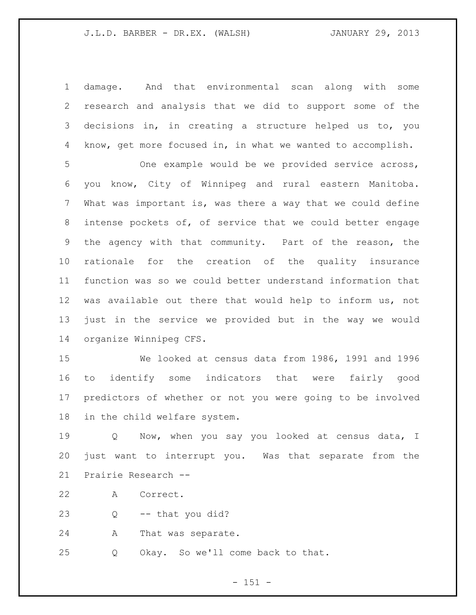damage. And that environmental scan along with some research and analysis that we did to support some of the decisions in, in creating a structure helped us to, you know, get more focused in, in what we wanted to accomplish.

 One example would be we provided service across, you know, City of Winnipeg and rural eastern Manitoba. What was important is, was there a way that we could define intense pockets of, of service that we could better engage the agency with that community. Part of the reason, the rationale for the creation of the quality insurance function was so we could better understand information that was available out there that would help to inform us, not just in the service we provided but in the way we would organize Winnipeg CFS.

 We looked at census data from 1986, 1991 and 1996 to identify some indicators that were fairly good predictors of whether or not you were going to be involved in the child welfare system.

 Q Now, when you say you looked at census data, I just want to interrupt you. Was that separate from the Prairie Research --

A Correct.

Q -- that you did?

A That was separate.

Q Okay. So we'll come back to that.

 $- 151 -$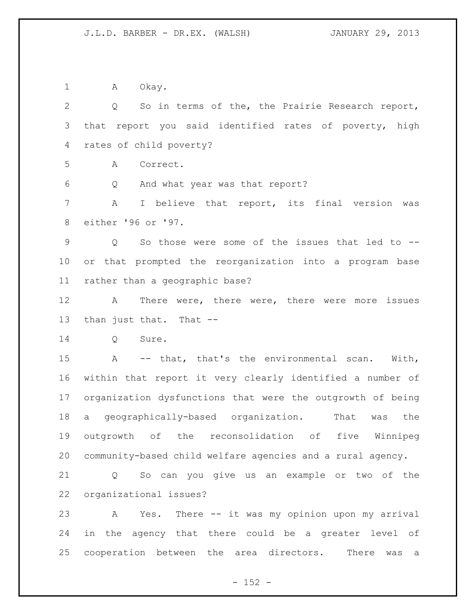1 A Okay. Q So in terms of the, the Prairie Research report, that report you said identified rates of poverty, high rates of child poverty? A Correct. Q And what year was that report? A I believe that report, its final version was either '96 or '97. Q So those were some of the issues that led to -- or that prompted the reorganization into a program base rather than a geographic base? A There were, there were, there were more issues than just that. That -- Q Sure. A -- that, that's the environmental scan. With, within that report it very clearly identified a number of organization dysfunctions that were the outgrowth of being a geographically-based organization. That was the outgrowth of the reconsolidation of five Winnipeg community-based child welfare agencies and a rural agency. Q So can you give us an example or two of the organizational issues? A Yes. There -- it was my opinion upon my arrival in the agency that there could be a greater level of cooperation between the area directors. There was a

 $- 152 -$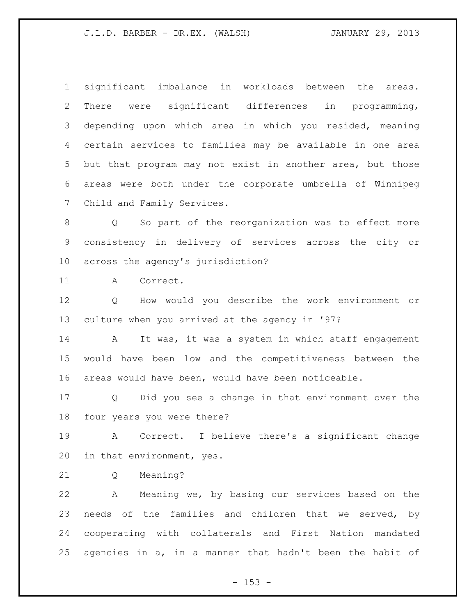significant imbalance in workloads between the areas. There were significant differences in programming, depending upon which area in which you resided, meaning certain services to families may be available in one area but that program may not exist in another area, but those areas were both under the corporate umbrella of Winnipeg Child and Family Services.

 Q So part of the reorganization was to effect more consistency in delivery of services across the city or across the agency's jurisdiction?

A Correct.

 Q How would you describe the work environment or culture when you arrived at the agency in '97?

14 A It was, it was a system in which staff engagement would have been low and the competitiveness between the areas would have been, would have been noticeable.

 Q Did you see a change in that environment over the four years you were there?

 A Correct. I believe there's a significant change in that environment, yes.

Q Meaning?

 A Meaning we, by basing our services based on the needs of the families and children that we served, by cooperating with collaterals and First Nation mandated agencies in a, in a manner that hadn't been the habit of

 $- 153 -$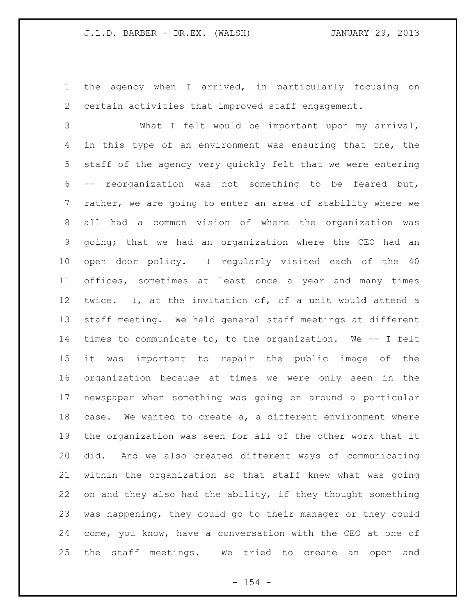the agency when I arrived, in particularly focusing on certain activities that improved staff engagement.

 What I felt would be important upon my arrival, in this type of an environment was ensuring that the, the staff of the agency very quickly felt that we were entering -- reorganization was not something to be feared but, rather, we are going to enter an area of stability where we all had a common vision of where the organization was going; that we had an organization where the CEO had an open door policy. I regularly visited each of the 40 offices, sometimes at least once a year and many times twice. I, at the invitation of, of a unit would attend a staff meeting. We held general staff meetings at different times to communicate to, to the organization. We -- I felt it was important to repair the public image of the organization because at times we were only seen in the newspaper when something was going on around a particular case. We wanted to create a, a different environment where the organization was seen for all of the other work that it did. And we also created different ways of communicating within the organization so that staff knew what was going on and they also had the ability, if they thought something was happening, they could go to their manager or they could come, you know, have a conversation with the CEO at one of the staff meetings. We tried to create an open and

 $- 154 -$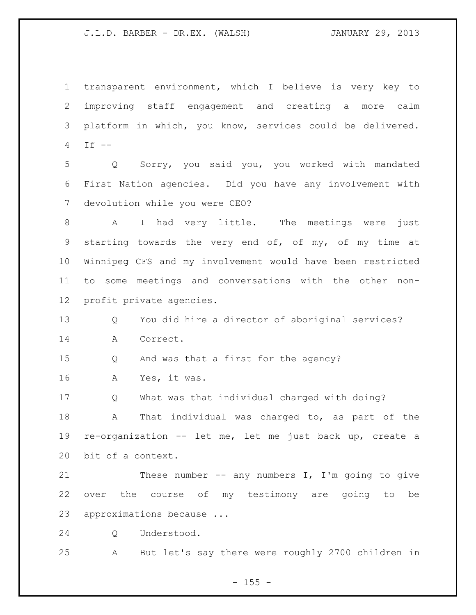transparent environment, which I believe is very key to improving staff engagement and creating a more calm platform in which, you know, services could be delivered. If -- Q Sorry, you said you, you worked with mandated First Nation agencies. Did you have any involvement with devolution while you were CEO? A I had very little. The meetings were just starting towards the very end of, of my, of my time at Winnipeg CFS and my involvement would have been restricted to some meetings and conversations with the other non- profit private agencies. Q You did hire a director of aboriginal services? A Correct. Q And was that a first for the agency? A Yes, it was. Q What was that individual charged with doing? A That individual was charged to, as part of the re-organization -- let me, let me just back up, create a bit of a context. 21 These number -- any numbers I, I'm going to give over the course of my testimony are going to be approximations because ... Q Understood. A But let's say there were roughly 2700 children in

 $- 155 -$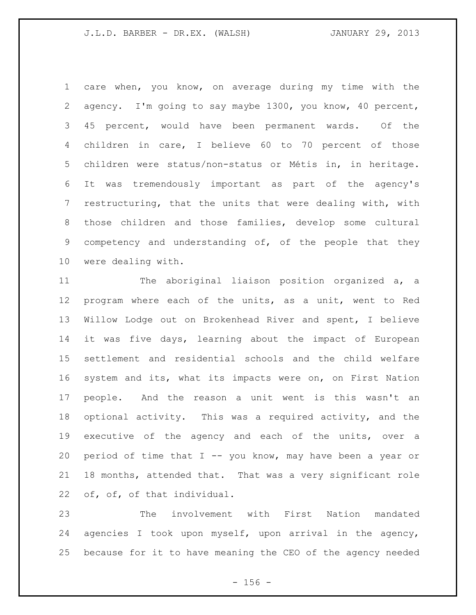care when, you know, on average during my time with the agency. I'm going to say maybe 1300, you know, 40 percent, 45 percent, would have been permanent wards. Of the children in care, I believe 60 to 70 percent of those children were status/non-status or Métis in, in heritage. It was tremendously important as part of the agency's restructuring, that the units that were dealing with, with those children and those families, develop some cultural competency and understanding of, of the people that they were dealing with.

 The aboriginal liaison position organized a, a program where each of the units, as a unit, went to Red Willow Lodge out on Brokenhead River and spent, I believe it was five days, learning about the impact of European settlement and residential schools and the child welfare system and its, what its impacts were on, on First Nation people. And the reason a unit went is this wasn't an optional activity. This was a required activity, and the executive of the agency and each of the units, over a 20 period of time that  $I$  -- you know, may have been a year or 18 months, attended that. That was a very significant role of, of, of that individual.

 The involvement with First Nation mandated agencies I took upon myself, upon arrival in the agency, because for it to have meaning the CEO of the agency needed

 $- 156 -$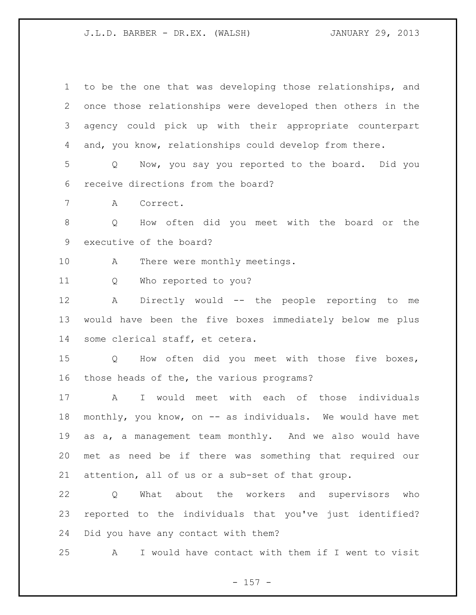to be the one that was developing those relationships, and once those relationships were developed then others in the agency could pick up with their appropriate counterpart and, you know, relationships could develop from there. Q Now, you say you reported to the board. Did you receive directions from the board? A Correct. Q How often did you meet with the board or the executive of the board? 10 A There were monthly meetings. Q Who reported to you? A Directly would -- the people reporting to me would have been the five boxes immediately below me plus some clerical staff, et cetera. Q How often did you meet with those five boxes, those heads of the, the various programs? A I would meet with each of those individuals 18 monthly, you know, on -- as individuals. We would have met as a, a management team monthly. And we also would have met as need be if there was something that required our attention, all of us or a sub-set of that group. Q What about the workers and supervisors who reported to the individuals that you've just identified? Did you have any contact with them? A I would have contact with them if I went to visit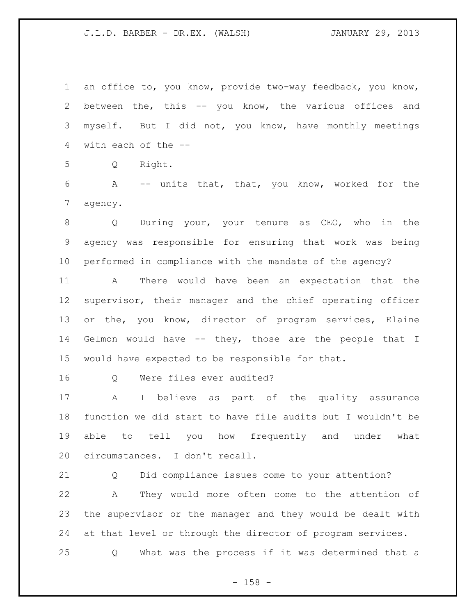an office to, you know, provide two-way feedback, you know, between the, this -- you know, the various offices and myself. But I did not, you know, have monthly meetings with each of the --

Q Right.

 A -- units that, that, you know, worked for the agency.

 Q During your, your tenure as CEO, who in the agency was responsible for ensuring that work was being performed in compliance with the mandate of the agency?

 A There would have been an expectation that the supervisor, their manager and the chief operating officer or the, you know, director of program services, Elaine Gelmon would have -- they, those are the people that I would have expected to be responsible for that.

16 0 Were files ever audited?

 A I believe as part of the quality assurance function we did start to have file audits but I wouldn't be able to tell you how frequently and under what circumstances. I don't recall.

 Q Did compliance issues come to your attention? A They would more often come to the attention of the supervisor or the manager and they would be dealt with at that level or through the director of program services. Q What was the process if it was determined that a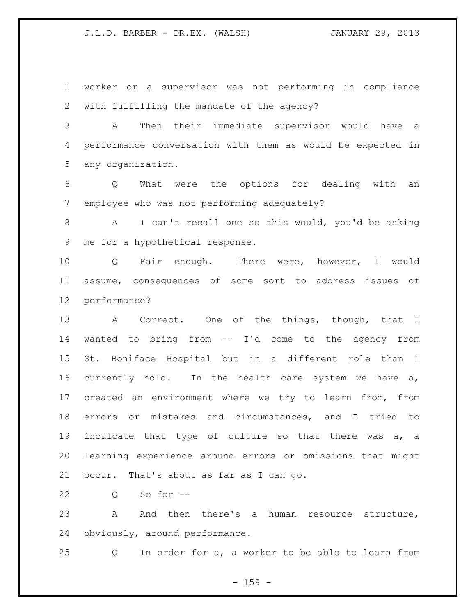worker or a supervisor was not performing in compliance with fulfilling the mandate of the agency?

 A Then their immediate supervisor would have a performance conversation with them as would be expected in any organization.

 Q What were the options for dealing with an employee who was not performing adequately?

 A I can't recall one so this would, you'd be asking me for a hypothetical response.

 Q Fair enough. There were, however, I would assume, consequences of some sort to address issues of performance?

 A Correct. One of the things, though, that I wanted to bring from -- I'd come to the agency from St. Boniface Hospital but in a different role than I currently hold. In the health care system we have a, created an environment where we try to learn from, from errors or mistakes and circumstances, and I tried to inculcate that type of culture so that there was a, a learning experience around errors or omissions that might occur. That's about as far as I can go.

Q So for --

23 A And then there's a human resource structure, obviously, around performance.

Q In order for a, a worker to be able to learn from

- 159 -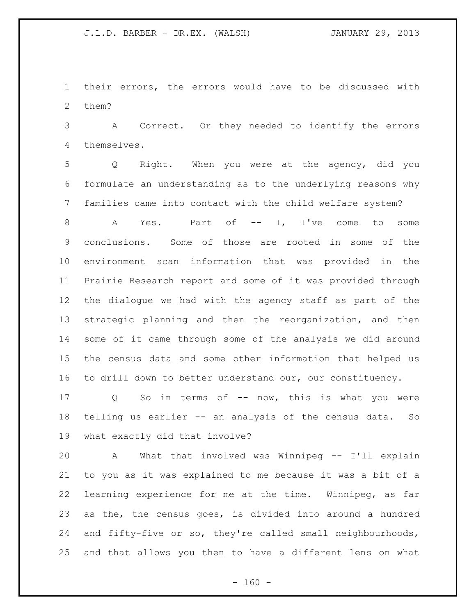their errors, the errors would have to be discussed with them?

 A Correct. Or they needed to identify the errors themselves.

 Q Right. When you were at the agency, did you formulate an understanding as to the underlying reasons why families came into contact with the child welfare system?

8 A Yes. Part of -- I, I've come to some conclusions. Some of those are rooted in some of the environment scan information that was provided in the Prairie Research report and some of it was provided through the dialogue we had with the agency staff as part of the strategic planning and then the reorganization, and then some of it came through some of the analysis we did around the census data and some other information that helped us to drill down to better understand our, our constituency.

17 Q So in terms of -- now, this is what you were telling us earlier -- an analysis of the census data. So what exactly did that involve?

 A What that involved was Winnipeg -- I'll explain to you as it was explained to me because it was a bit of a learning experience for me at the time. Winnipeg, as far as the, the census goes, is divided into around a hundred and fifty-five or so, they're called small neighbourhoods, and that allows you then to have a different lens on what

 $- 160 -$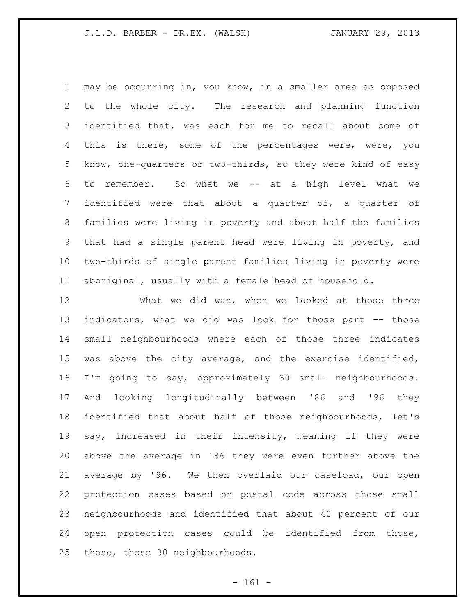may be occurring in, you know, in a smaller area as opposed to the whole city. The research and planning function identified that, was each for me to recall about some of 4 this is there, some of the percentages were, were, you know, one-quarters or two-thirds, so they were kind of easy to remember. So what we -- at a high level what we identified were that about a quarter of, a quarter of families were living in poverty and about half the families that had a single parent head were living in poverty, and two-thirds of single parent families living in poverty were aboriginal, usually with a female head of household.

 What we did was, when we looked at those three indicators, what we did was look for those part -- those small neighbourhoods where each of those three indicates was above the city average, and the exercise identified, I'm going to say, approximately 30 small neighbourhoods. And looking longitudinally between '86 and '96 they identified that about half of those neighbourhoods, let's say, increased in their intensity, meaning if they were above the average in '86 they were even further above the average by '96. We then overlaid our caseload, our open protection cases based on postal code across those small neighbourhoods and identified that about 40 percent of our open protection cases could be identified from those, those, those 30 neighbourhoods.

- 161 -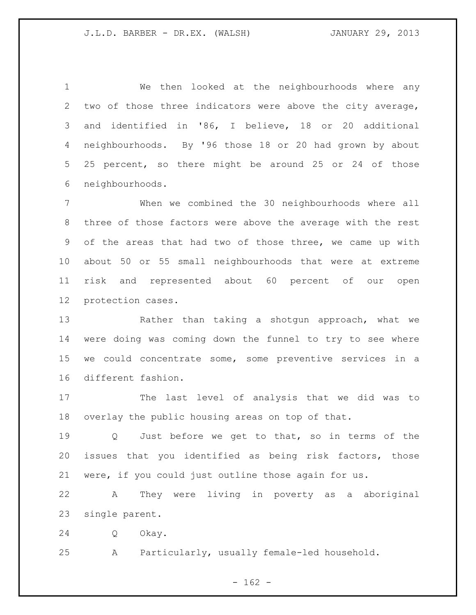We then looked at the neighbourhoods where any two of those three indicators were above the city average, and identified in '86, I believe, 18 or 20 additional neighbourhoods. By '96 those 18 or 20 had grown by about 25 percent, so there might be around 25 or 24 of those neighbourhoods.

 When we combined the 30 neighbourhoods where all three of those factors were above the average with the rest of the areas that had two of those three, we came up with about 50 or 55 small neighbourhoods that were at extreme risk and represented about 60 percent of our open protection cases.

 Rather than taking a shotgun approach, what we were doing was coming down the funnel to try to see where we could concentrate some, some preventive services in a different fashion.

 The last level of analysis that we did was to overlay the public housing areas on top of that.

 Q Just before we get to that, so in terms of the issues that you identified as being risk factors, those were, if you could just outline those again for us.

 A They were living in poverty as a aboriginal single parent.

Q Okay.

A Particularly, usually female-led household.

 $- 162 -$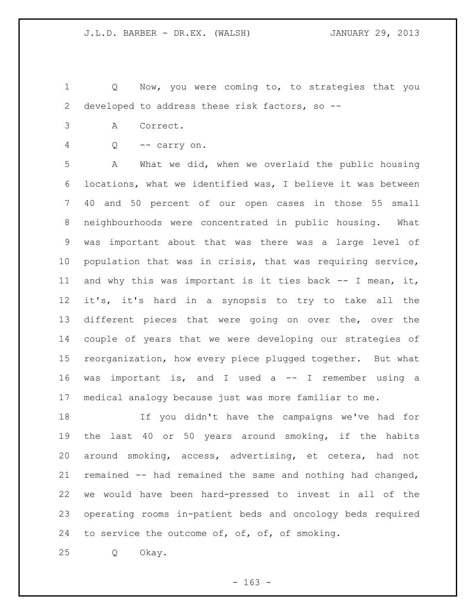Q Now, you were coming to, to strategies that you developed to address these risk factors, so --

- A Correct.
- Q -- carry on.

 A What we did, when we overlaid the public housing locations, what we identified was, I believe it was between 40 and 50 percent of our open cases in those 55 small neighbourhoods were concentrated in public housing. What was important about that was there was a large level of population that was in crisis, that was requiring service, and why this was important is it ties back -- I mean, it, it's, it's hard in a synopsis to try to take all the different pieces that were going on over the, over the couple of years that we were developing our strategies of reorganization, how every piece plugged together. But what was important is, and I used a -- I remember using a medical analogy because just was more familiar to me.

 If you didn't have the campaigns we've had for the last 40 or 50 years around smoking, if the habits around smoking, access, advertising, et cetera, had not remained -- had remained the same and nothing had changed, we would have been hard-pressed to invest in all of the operating rooms in-patient beds and oncology beds required 24 to service the outcome of, of, of, of smoking.

Q Okay.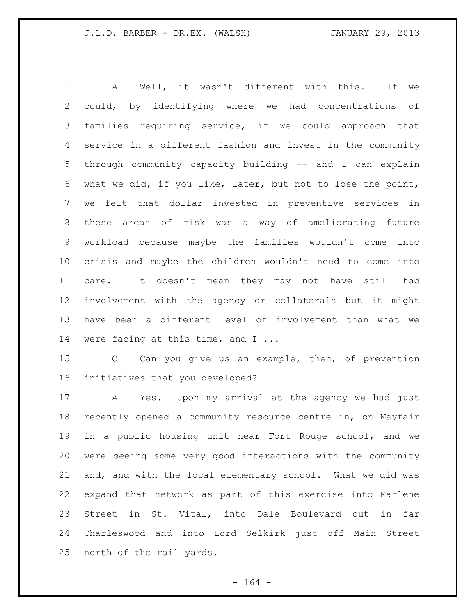A Well, it wasn't different with this. If we could, by identifying where we had concentrations of families requiring service, if we could approach that service in a different fashion and invest in the community through community capacity building -- and I can explain what we did, if you like, later, but not to lose the point, we felt that dollar invested in preventive services in these areas of risk was a way of ameliorating future workload because maybe the families wouldn't come into crisis and maybe the children wouldn't need to come into care. It doesn't mean they may not have still had involvement with the agency or collaterals but it might have been a different level of involvement than what we 14 were facing at this time, and I ...

 Q Can you give us an example, then, of prevention initiatives that you developed?

 A Yes. Upon my arrival at the agency we had just recently opened a community resource centre in, on Mayfair in a public housing unit near Fort Rouge school, and we were seeing some very good interactions with the community and, and with the local elementary school. What we did was expand that network as part of this exercise into Marlene Street in St. Vital, into Dale Boulevard out in far Charleswood and into Lord Selkirk just off Main Street north of the rail yards.

- 164 -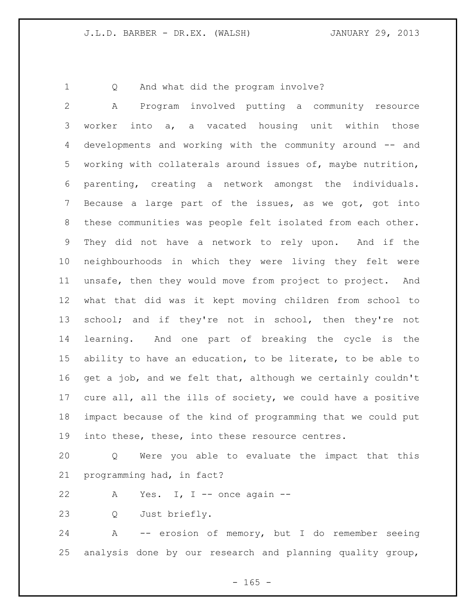Q And what did the program involve?

 A Program involved putting a community resource worker into a, a vacated housing unit within those developments and working with the community around -- and working with collaterals around issues of, maybe nutrition, parenting, creating a network amongst the individuals. Because a large part of the issues, as we got, got into these communities was people felt isolated from each other. They did not have a network to rely upon. And if the neighbourhoods in which they were living they felt were unsafe, then they would move from project to project. And what that did was it kept moving children from school to school; and if they're not in school, then they're not learning. And one part of breaking the cycle is the ability to have an education, to be literate, to be able to get a job, and we felt that, although we certainly couldn't cure all, all the ills of society, we could have a positive impact because of the kind of programming that we could put into these, these, into these resource centres.

 Q Were you able to evaluate the impact that this programming had, in fact?

22 A Yes. I, I -- once again --

Q Just briefly.

 A -- erosion of memory, but I do remember seeing analysis done by our research and planning quality group,

 $- 165 -$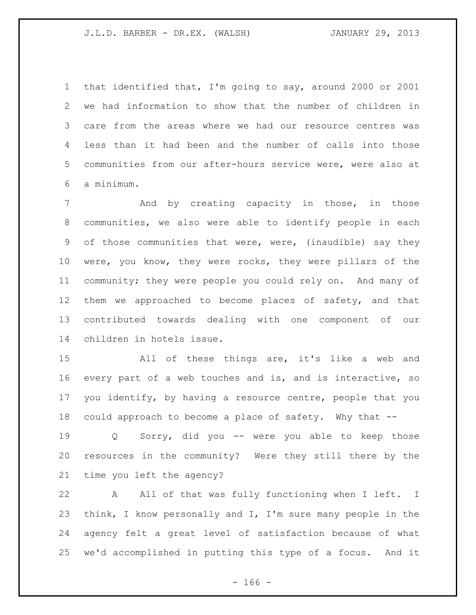that identified that, I'm going to say, around 2000 or 2001 we had information to show that the number of children in care from the areas where we had our resource centres was less than it had been and the number of calls into those communities from our after-hours service were, were also at a minimum.

7 and by creating capacity in those, in those communities, we also were able to identify people in each of those communities that were, were, (inaudible) say they were, you know, they were rocks, they were pillars of the community; they were people you could rely on. And many of them we approached to become places of safety, and that contributed towards dealing with one component of our children in hotels issue.

 All of these things are, it's like a web and every part of a web touches and is, and is interactive, so you identify, by having a resource centre, people that you could approach to become a place of safety. Why that --

 Q Sorry, did you -- were you able to keep those resources in the community? Were they still there by the time you left the agency?

 A All of that was fully functioning when I left. I think, I know personally and I, I'm sure many people in the agency felt a great level of satisfaction because of what we'd accomplished in putting this type of a focus. And it

 $- 166 -$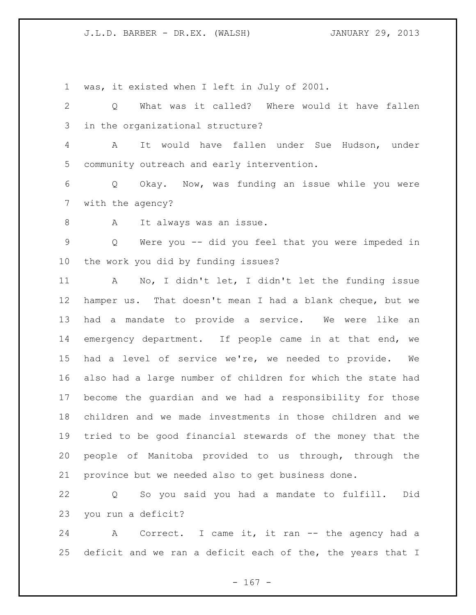was, it existed when I left in July of 2001.

 Q What was it called? Where would it have fallen in the organizational structure?

 A It would have fallen under Sue Hudson, under community outreach and early intervention.

 Q Okay. Now, was funding an issue while you were with the agency?

8 A It always was an issue.

 Q Were you -- did you feel that you were impeded in the work you did by funding issues?

 A No, I didn't let, I didn't let the funding issue hamper us. That doesn't mean I had a blank cheque, but we had a mandate to provide a service. We were like an emergency department. If people came in at that end, we had a level of service we're, we needed to provide. We also had a large number of children for which the state had become the guardian and we had a responsibility for those children and we made investments in those children and we tried to be good financial stewards of the money that the people of Manitoba provided to us through, through the province but we needed also to get business done.

 Q So you said you had a mandate to fulfill. Did you run a deficit?

24 A Correct. I came it, it ran -- the agency had a 25 deficit and we ran a deficit each of the, the years that I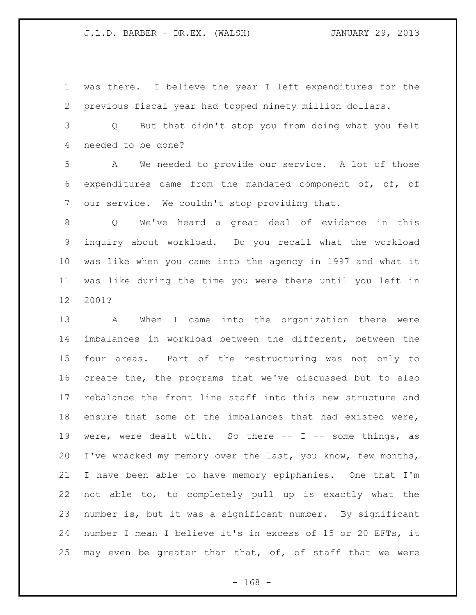was there. I believe the year I left expenditures for the previous fiscal year had topped ninety million dollars.

 Q But that didn't stop you from doing what you felt needed to be done?

 A We needed to provide our service. A lot of those expenditures came from the mandated component of, of, of our service. We couldn't stop providing that.

 Q We've heard a great deal of evidence in this inquiry about workload. Do you recall what the workload was like when you came into the agency in 1997 and what it was like during the time you were there until you left in 2001?

 A When I came into the organization there were imbalances in workload between the different, between the four areas. Part of the restructuring was not only to create the, the programs that we've discussed but to also rebalance the front line staff into this new structure and ensure that some of the imbalances that had existed were, 19 were, were dealt with. So there -- I -- some things, as I've wracked my memory over the last, you know, few months, I have been able to have memory epiphanies. One that I'm not able to, to completely pull up is exactly what the number is, but it was a significant number. By significant number I mean I believe it's in excess of 15 or 20 EFTs, it may even be greater than that, of, of staff that we were

- 168 -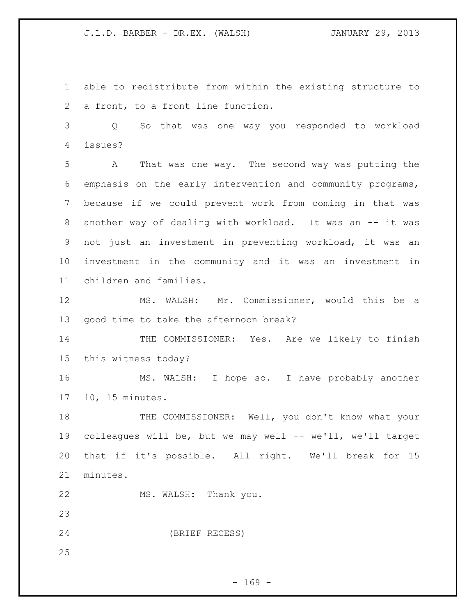able to redistribute from within the existing structure to a front, to a front line function.

 Q So that was one way you responded to workload issues?

 A That was one way. The second way was putting the emphasis on the early intervention and community programs, because if we could prevent work from coming in that was 8 another way of dealing with workload. It was an -- it was not just an investment in preventing workload, it was an investment in the community and it was an investment in children and families.

 MS. WALSH: Mr. Commissioner, would this be a good time to take the afternoon break?

14 THE COMMISSIONER: Yes. Are we likely to finish this witness today?

 MS. WALSH: I hope so. I have probably another 10, 15 minutes.

18 THE COMMISSIONER: Well, you don't know what your colleagues will be, but we may well -- we'll, we'll target that if it's possible. All right. We'll break for 15 minutes.

MS. WALSH: Thank you.

(BRIEF RECESS)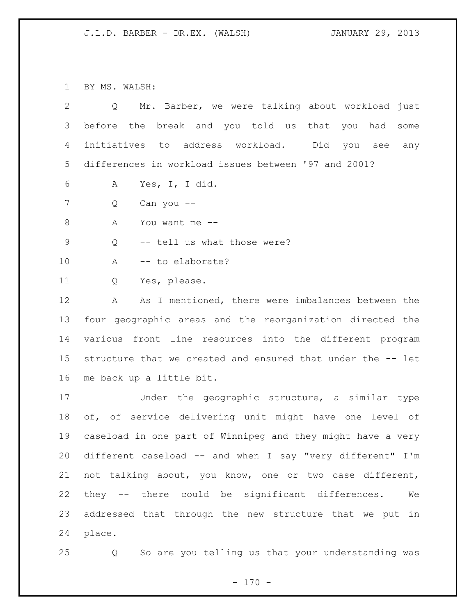BY MS. WALSH:

| $\overline{2}$ | Mr. Barber, we were talking about workload just<br>Q        |
|----------------|-------------------------------------------------------------|
| 3              | before the break and you told us that you had<br>some       |
| 4              | initiatives to address workload. Did you see<br>any         |
| 5              | differences in workload issues between '97 and 2001?        |
| 6              | Yes, I, I did.<br>A                                         |
| 7              | Q<br>Can you --                                             |
| $\,8\,$        | Α<br>You want me --                                         |
| $\mathsf 9$    | -- tell us what those were?<br>Q                            |
| 10             | -- to elaborate?<br>A                                       |
| 11             | Yes, please.<br>Q                                           |
| 12             | As I mentioned, there were imbalances between the<br>A      |
| 13             | four geographic areas and the reorganization directed the   |
| 14             | various front line resources into the different program     |
| 15             | structure that we created and ensured that under the -- let |
| 16             | me back up a little bit.                                    |
| 17             | Under the geographic structure, a similar type              |
| 18             | of, of service delivering unit might have one level of      |
| 19             | caseload in one part of Winnipeg and they might have a very |
| 20             | different caseload -- and when I say "very different" I'm   |
| 21             | not talking about, you know, one or two case different,     |
| 22             | they -- there could be significant differences.<br>We       |
| 23             | addressed that through the new structure that we put in     |
| 24             | place.                                                      |

Q So are you telling us that your understanding was

- 170 -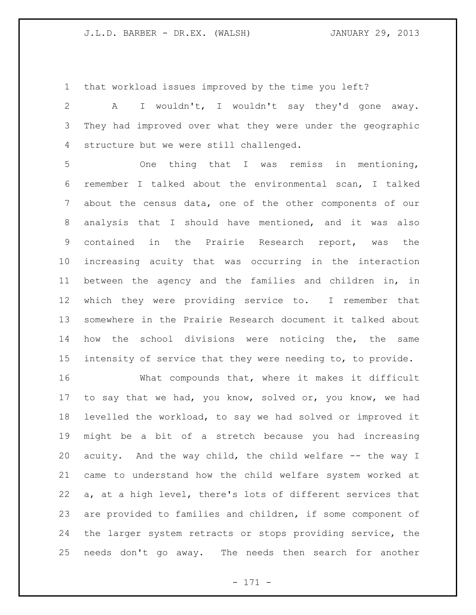that workload issues improved by the time you left?

 A I wouldn't, I wouldn't say they'd gone away. They had improved over what they were under the geographic structure but we were still challenged.

 One thing that I was remiss in mentioning, remember I talked about the environmental scan, I talked about the census data, one of the other components of our analysis that I should have mentioned, and it was also contained in the Prairie Research report, was the increasing acuity that was occurring in the interaction between the agency and the families and children in, in which they were providing service to. I remember that somewhere in the Prairie Research document it talked about how the school divisions were noticing the, the same intensity of service that they were needing to, to provide.

 What compounds that, where it makes it difficult to say that we had, you know, solved or, you know, we had levelled the workload, to say we had solved or improved it might be a bit of a stretch because you had increasing acuity. And the way child, the child welfare -- the way I came to understand how the child welfare system worked at a, at a high level, there's lots of different services that are provided to families and children, if some component of the larger system retracts or stops providing service, the needs don't go away. The needs then search for another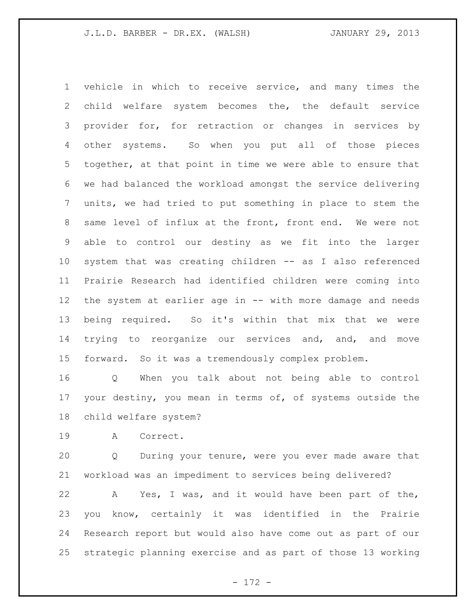vehicle in which to receive service, and many times the child welfare system becomes the, the default service provider for, for retraction or changes in services by other systems. So when you put all of those pieces together, at that point in time we were able to ensure that we had balanced the workload amongst the service delivering units, we had tried to put something in place to stem the same level of influx at the front, front end. We were not able to control our destiny as we fit into the larger system that was creating children -- as I also referenced Prairie Research had identified children were coming into the system at earlier age in -- with more damage and needs being required. So it's within that mix that we were 14 trying to reorganize our services and, and, and move forward. So it was a tremendously complex problem.

 Q When you talk about not being able to control your destiny, you mean in terms of, of systems outside the child welfare system?

A Correct.

 Q During your tenure, were you ever made aware that workload was an impediment to services being delivered?

 A Yes, I was, and it would have been part of the, you know, certainly it was identified in the Prairie Research report but would also have come out as part of our strategic planning exercise and as part of those 13 working

- 172 -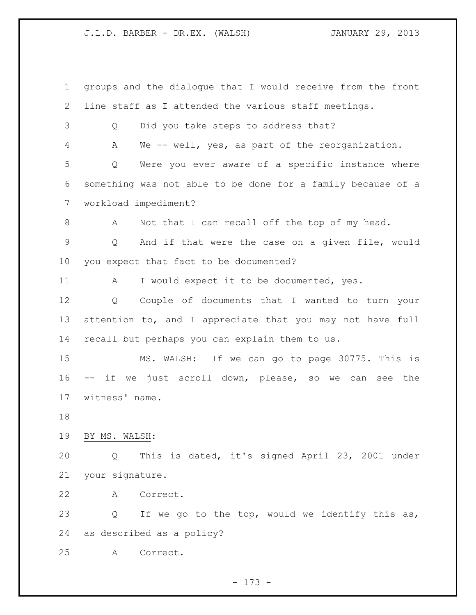groups and the dialogue that I would receive from the front line staff as I attended the various staff meetings. Q Did you take steps to address that? A We -- well, yes, as part of the reorganization. Q Were you ever aware of a specific instance where something was not able to be done for a family because of a workload impediment? A Not that I can recall off the top of my head. Q And if that were the case on a given file, would you expect that fact to be documented? 11 A I would expect it to be documented, yes. Q Couple of documents that I wanted to turn your 13 attention to, and I appreciate that you may not have full recall but perhaps you can explain them to us. MS. WALSH: If we can go to page 30775. This is -- if we just scroll down, please, so we can see the witness' name. BY MS. WALSH: Q This is dated, it's signed April 23, 2001 under your signature. A Correct. Q If we go to the top, would we identify this as, as described as a policy? A Correct.

- 173 -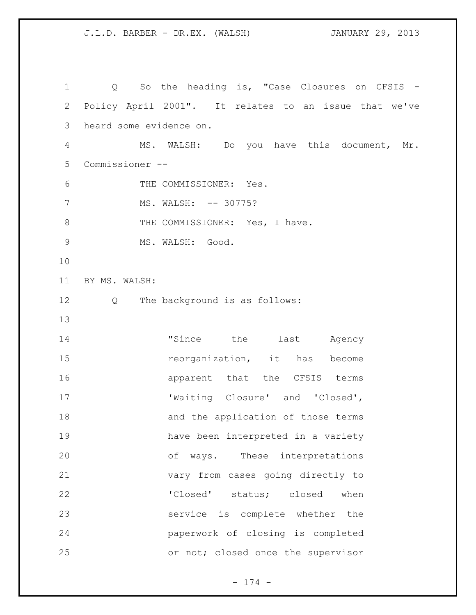Q So the heading is, "Case Closures on CFSIS - Policy April 2001". It relates to an issue that we've heard some evidence on. MS. WALSH: Do you have this document, Mr. Commissioner -- THE COMMISSIONER: Yes. 7 MS. WALSH: -- 30775? 8 THE COMMISSIONER: Yes, I have. MS. WALSH: Good. BY MS. WALSH: Q The background is as follows: "Since the last Agency **reorganization**, it has become **apparent** that the CFSIS terms 17 Waiting Closure' and 'Closed', 18 and the application of those terms have been interpreted in a variety of ways. These interpretations vary from cases going directly to 22 'Closed' status; closed when service is complete whether the paperwork of closing is completed or not; closed once the supervisor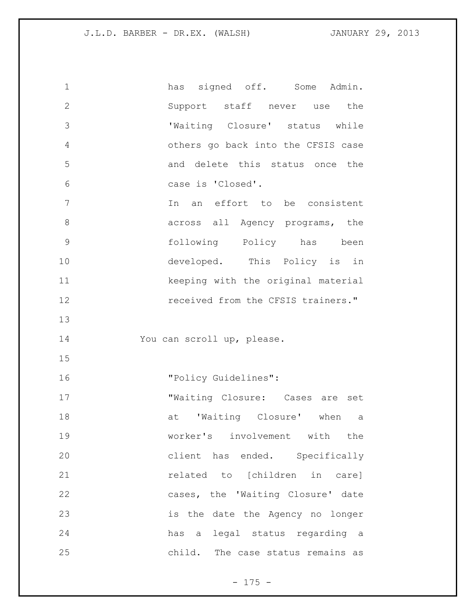| 1             | has signed off. Some Admin.        |
|---------------|------------------------------------|
| $\mathbf{2}$  | Support staff never use the        |
| 3             | 'Waiting Closure' status while     |
| 4             | others go back into the CFSIS case |
| 5             | and delete this status once the    |
| 6             | case is 'Closed'.                  |
| 7             | In an effort to be consistent      |
| 8             | across all Agency programs, the    |
| $\mathcal{G}$ | following Policy has been          |
| 10            | developed. This Policy is in       |
| 11            | keeping with the original material |
| 12            | received from the CFSIS trainers." |
| 13            |                                    |
| 14            | You can scroll up, please.         |
| 15            |                                    |
|               |                                    |
| 16            | "Policy Guidelines":               |
| 17            | "Waiting Closure: Cases are set    |
| 18            | 'Waiting Closure' when<br>at<br>a  |
| 19            | worker's involvement with the      |
| 20            | client has ended. Specifically     |
| 21            | related to [children in care]      |
| 22            | cases, the 'Waiting Closure' date  |
| 23            | is the date the Agency no longer   |
| 24            | has a legal status regarding a     |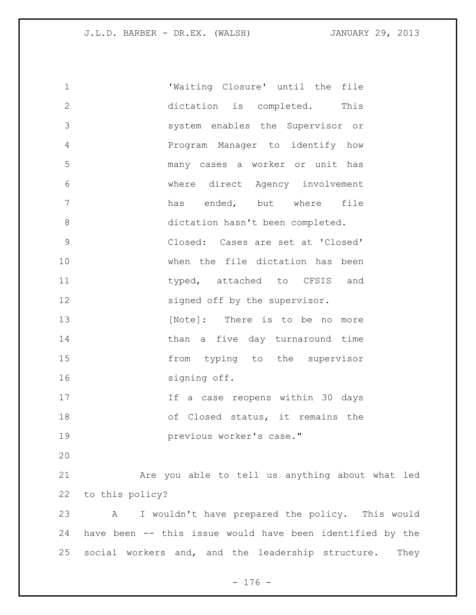'Waiting Closure' until the file dictation is completed. This system enables the Supervisor or Program Manager to identify how many cases a worker or unit has where direct Agency involvement 7 has ended, but where file dictation hasn't been completed. Closed: Cases are set at 'Closed' when the file dictation has been 11 typed, attached to CFSIS and 12 signed off by the supervisor. 13 [Note]: There is to be no more 14 than a five day turnaround time from typing to the supervisor 16 signing off. If a case reopens within 30 days of Closed status, it remains the previous worker's case." Are you able to tell us anything about what led to this policy? A I wouldn't have prepared the policy. This would have been -- this issue would have been identified by the social workers and, and the leadership structure. They

 $- 176 -$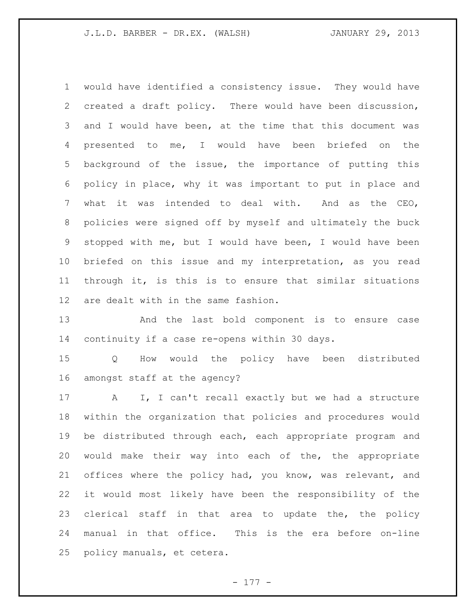would have identified a consistency issue. They would have created a draft policy. There would have been discussion, and I would have been, at the time that this document was presented to me, I would have been briefed on the background of the issue, the importance of putting this policy in place, why it was important to put in place and what it was intended to deal with. And as the CEO, policies were signed off by myself and ultimately the buck stopped with me, but I would have been, I would have been briefed on this issue and my interpretation, as you read through it, is this is to ensure that similar situations are dealt with in the same fashion.

 And the last bold component is to ensure case continuity if a case re-opens within 30 days.

 Q How would the policy have been distributed amongst staff at the agency?

 A I, I can't recall exactly but we had a structure within the organization that policies and procedures would be distributed through each, each appropriate program and would make their way into each of the, the appropriate offices where the policy had, you know, was relevant, and it would most likely have been the responsibility of the 23 clerical staff in that area to update the, the policy manual in that office. This is the era before on-line policy manuals, et cetera.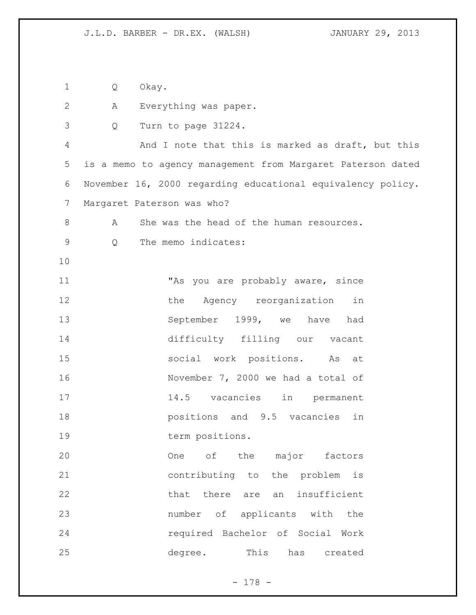Q Okay. A Everything was paper. Q Turn to page 31224. And I note that this is marked as draft, but this is a memo to agency management from Margaret Paterson dated November 16, 2000 regarding educational equivalency policy. Margaret Paterson was who? 8 A She was the head of the human resources. Q The memo indicates: 11 This you are probably aware, since 12 the Agency reorganization in September 1999, we have had difficulty filling our vacant social work positions. As at November 7, 2000 we had a total of 14.5 vacancies in permanent positions and 9.5 vacancies in 19 term positions. 20 One of the major factors contributing to the problem is that there are an insufficient number of applicants with the required Bachelor of Social Work degree. This has created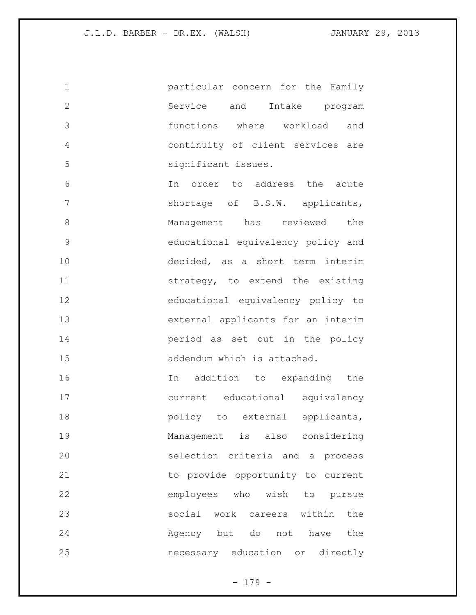particular concern for the Family Service and Intake program functions where workload and continuity of client services are significant issues. In order to address the acute 7 shortage of B.S.W. applicants, 8 Management has reviewed the educational equivalency policy and decided, as a short term interim strategy, to extend the existing educational equivalency policy to external applicants for an interim period as set out in the policy 15 addendum which is attached. In addition to expanding the current educational equivalency **policy** to external applicants, Management is also considering selection criteria and a process to provide opportunity to current employees who wish to pursue social work careers within the 24 Agency but do not have the necessary education or directly

- 179 -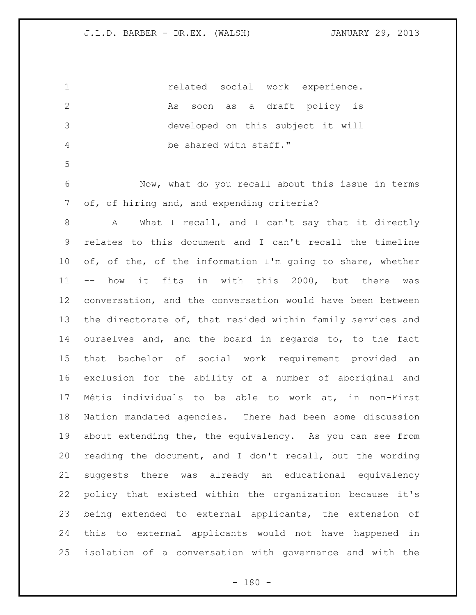| $\mathbf 1$    | related social work experience.                             |
|----------------|-------------------------------------------------------------|
| $\mathbf{2}$   | a draft policy is<br>soon as<br>As                          |
| 3              | developed on this subject it will                           |
| 4              | be shared with staff."                                      |
| 5              |                                                             |
| 6              | Now, what do you recall about this issue in terms           |
| $\overline{7}$ | of, of hiring and, and expending criteria?                  |
| 8              | What I recall, and I can't say that it directly<br>A        |
| 9              | relates to this document and I can't recall the timeline    |
| 10             | of, of the, of the information I'm going to share, whether  |
| 11             | -- how it fits in with this 2000, but there was             |
| 12             | conversation, and the conversation would have been between  |
| 13             | the directorate of, that resided within family services and |
| 14             | ourselves and, and the board in regards to, to the fact     |
| 15             | that bachelor of social work requirement provided an        |
| 16             | exclusion for the ability of a number of aboriginal and     |
| 17             | Métis individuals to be able to work at, in non-First       |
| 18             | Nation mandated agencies. There had been some discussion    |
| 19             | about extending the, the equivalency. As you can see from   |
| 20             | reading the document, and I don't recall, but the wording   |
| 21             | suggests there was already an educational equivalency       |
| 22             | policy that existed within the organization because it's    |
| 23             | being extended to external applicants, the extension of     |
| 24             | this to external applicants would not have happened in      |
| 25             | isolation of a conversation with governance and with the    |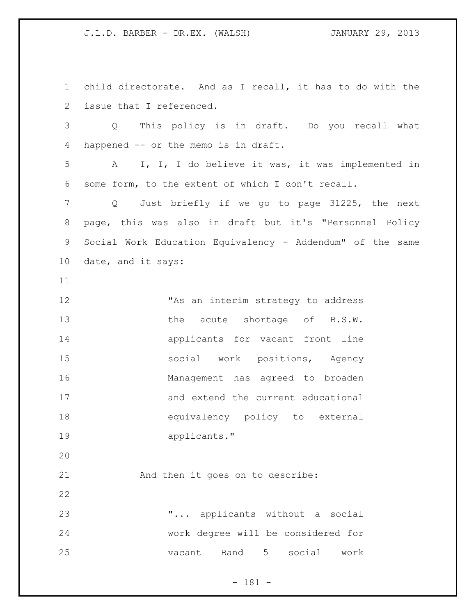child directorate. And as I recall, it has to do with the issue that I referenced. Q This policy is in draft. Do you recall what happened -- or the memo is in draft. A I, I, I do believe it was, it was implemented in some form, to the extent of which I don't recall. Q Just briefly if we go to page 31225, the next page, this was also in draft but it's "Personnel Policy Social Work Education Equivalency - Addendum" of the same date, and it says: "As an interim strategy to address 13 the acute shortage of B.S.W. applicants for vacant front line social work positions, Agency Management has agreed to broaden and extend the current educational equivalency policy to external applicants." And then it goes on to describe: "... applicants without a social work degree will be considered for vacant Band 5 social work

- 181 -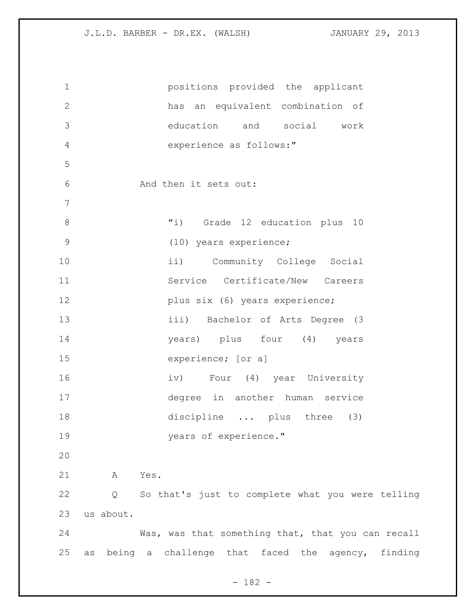| $\mathbf 1$   | positions provided the applicant                       |
|---------------|--------------------------------------------------------|
| $\mathbf 2$   | has an equivalent combination of                       |
| 3             | education and social work                              |
| $\sqrt{4}$    | experience as follows:"                                |
| 5             |                                                        |
| 6             | And then it sets out:                                  |
| 7             |                                                        |
| $\,8\,$       | "i) Grade 12 education plus 10                         |
| $\mathcal{G}$ | (10) years experience;                                 |
| 10            | ii) Community College Social                           |
| 11            | Service Certificate/New Careers                        |
| 12            | plus six (6) years experience;                         |
| 13            | iii) Bachelor of Arts Degree (3                        |
| 14            | years) plus four (4) years                             |
| 15            | experience; [or a]                                     |
| 16            | iv) Four (4) year University                           |
| 17            | degree in another human service                        |
| 18            | discipline  plus three (3)                             |
| 19            | years of experience."                                  |
| 20            |                                                        |
| 21            | Yes.<br>A                                              |
| 22            | So that's just to complete what you were telling<br>Q  |
| 23            | us about.                                              |
| 24            | Was, was that something that, that you can recall      |
| 25            | being a challenge that faced the agency, finding<br>as |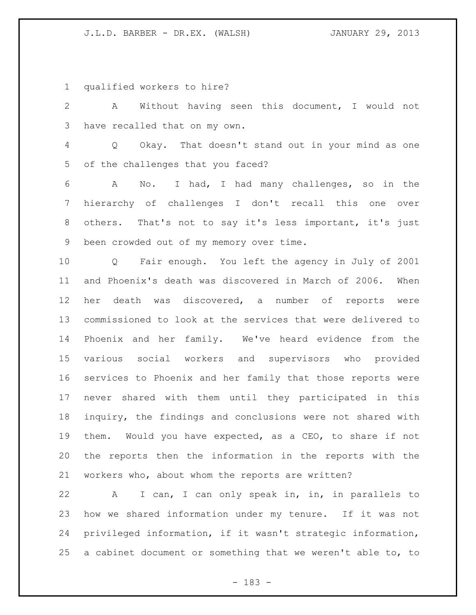qualified workers to hire?

 A Without having seen this document, I would not have recalled that on my own.

 Q Okay. That doesn't stand out in your mind as one of the challenges that you faced?

 A No. I had, I had many challenges, so in the hierarchy of challenges I don't recall this one over others. That's not to say it's less important, it's just been crowded out of my memory over time.

 Q Fair enough. You left the agency in July of 2001 and Phoenix's death was discovered in March of 2006. When her death was discovered, a number of reports were commissioned to look at the services that were delivered to Phoenix and her family. We've heard evidence from the various social workers and supervisors who provided services to Phoenix and her family that those reports were never shared with them until they participated in this inquiry, the findings and conclusions were not shared with them. Would you have expected, as a CEO, to share if not the reports then the information in the reports with the workers who, about whom the reports are written?

 A I can, I can only speak in, in, in parallels to how we shared information under my tenure. If it was not privileged information, if it wasn't strategic information, a cabinet document or something that we weren't able to, to

- 183 -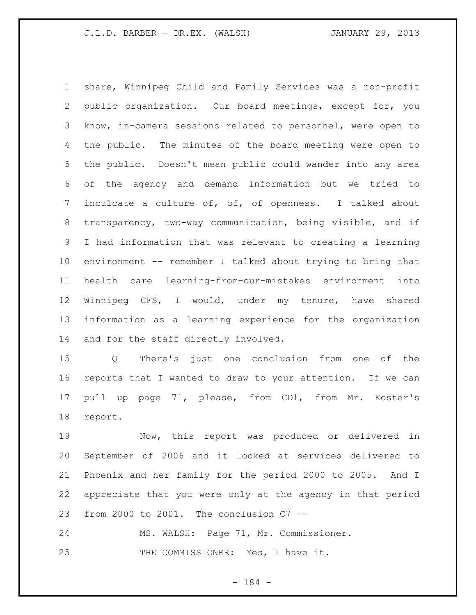share, Winnipeg Child and Family Services was a non-profit public organization. Our board meetings, except for, you know, in-camera sessions related to personnel, were open to the public. The minutes of the board meeting were open to the public. Doesn't mean public could wander into any area of the agency and demand information but we tried to inculcate a culture of, of, of openness. I talked about transparency, two-way communication, being visible, and if I had information that was relevant to creating a learning environment -- remember I talked about trying to bring that health care learning-from-our-mistakes environment into Winnipeg CFS, I would, under my tenure, have shared information as a learning experience for the organization and for the staff directly involved.

 Q There's just one conclusion from one of the reports that I wanted to draw to your attention. If we can pull up page 71, please, from CD1, from Mr. Koster's report.

 Now, this report was produced or delivered in September of 2006 and it looked at services delivered to Phoenix and her family for the period 2000 to 2005. And I appreciate that you were only at the agency in that period from 2000 to 2001. The conclusion C7 --

 MS. WALSH: Page 71, Mr. Commissioner. 25 THE COMMISSIONER: Yes, I have it.

- 184 -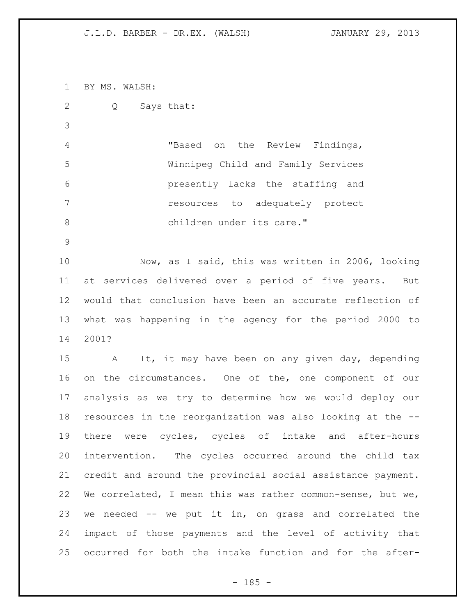BY MS. WALSH: Q Says that: "Based on the Review Findings, Winnipeg Child and Family Services presently lacks the staffing and resources to adequately protect 8 children under its care." Now, as I said, this was written in 2006, looking at services delivered over a period of five years. But would that conclusion have been an accurate reflection of what was happening in the agency for the period 2000 to 2001? A It, it may have been on any given day, depending

 on the circumstances. One of the, one component of our analysis as we try to determine how we would deploy our resources in the reorganization was also looking at the -- there were cycles, cycles of intake and after-hours intervention. The cycles occurred around the child tax credit and around the provincial social assistance payment. We correlated, I mean this was rather common-sense, but we, we needed -- we put it in, on grass and correlated the impact of those payments and the level of activity that occurred for both the intake function and for the after-

 $- 185 -$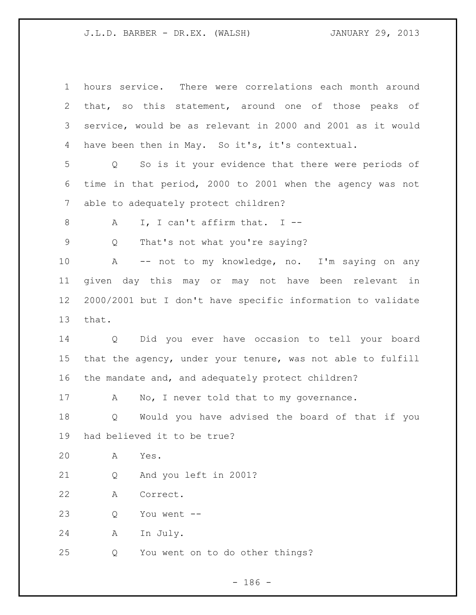| $\mathbf 1$     | hours service. There were correlations each month around               |
|-----------------|------------------------------------------------------------------------|
| 2               | that, so this statement, around one of those peaks of                  |
| 3               | service, would be as relevant in 2000 and 2001 as it would             |
| 4               | have been then in May. So it's, it's contextual.                       |
| 5               | So is it your evidence that there were periods of<br>$Q \qquad \qquad$ |
| 6               | time in that period, 2000 to 2001 when the agency was not              |
| 7               | able to adequately protect children?                                   |
| 8               | I, I can't affirm that. I $-$<br>A                                     |
| 9               | That's not what you're saying?<br>Q                                    |
| 10              | -- not to my knowledge, no. I'm saying on any<br>A                     |
| 11              | given day this may or may not have been relevant in                    |
| 12 <sup>°</sup> | 2000/2001 but I don't have specific information to validate            |
| 13              | that.                                                                  |
| 14              | Q Did you ever have occasion to tell your board                        |
| 15              | that the agency, under your tenure, was not able to fulfill            |
| 16              | the mandate and, and adequately protect children?                      |
| 17              | No, I never told that to my governance.<br>A                           |
| 18              | Would you have advised the board of that if you<br>Q                   |
| 19              | had believed it to be true?                                            |
| 20              | Yes.<br>Α                                                              |
| 21              | And you left in 2001?<br>Q                                             |
|                 |                                                                        |
| 22              | Correct.<br>Α                                                          |
| 23              | You went --<br>Q                                                       |
| 24              | In July.<br>A                                                          |

- 186 -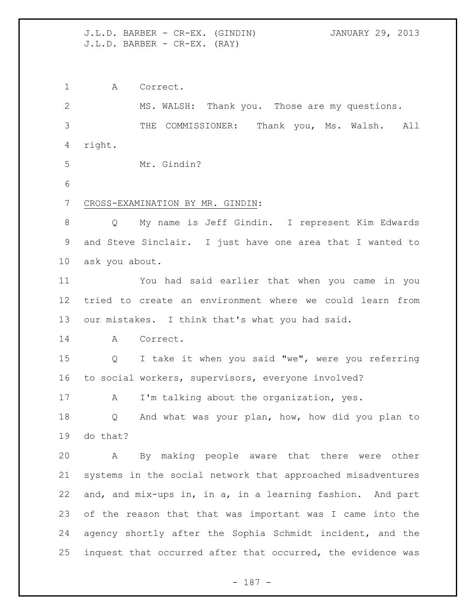J.L.D. BARBER - CR-EX. (GINDIN) JANUARY 29, 2013 J.L.D. BARBER - CR-EX. (RAY)

A Correct.

 MS. WALSH: Thank you. Those are my questions. THE COMMISSIONER: Thank you, Ms. Walsh. All right. Mr. Gindin? CROSS-EXAMINATION BY MR. GINDIN: Q My name is Jeff Gindin. I represent Kim Edwards and Steve Sinclair. I just have one area that I wanted to ask you about. You had said earlier that when you came in you tried to create an environment where we could learn from our mistakes. I think that's what you had said. A Correct. Q I take it when you said "we", were you referring to social workers, supervisors, everyone involved? 17 A I'm talking about the organization, yes. Q And what was your plan, how, how did you plan to do that? A By making people aware that there were other systems in the social network that approached misadventures and, and mix-ups in, in a, in a learning fashion. And part of the reason that that was important was I came into the agency shortly after the Sophia Schmidt incident, and the inquest that occurred after that occurred, the evidence was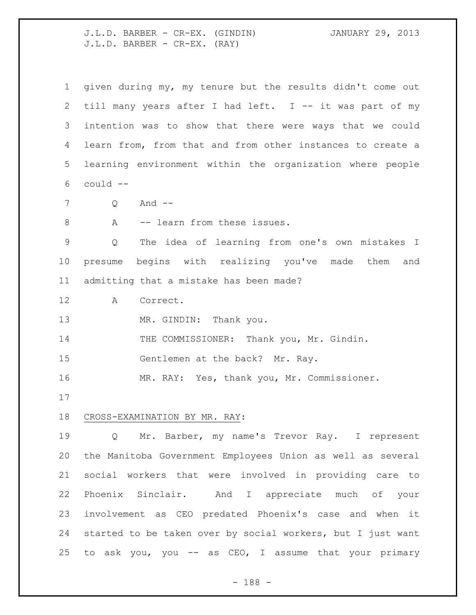J.L.D. BARBER - CR-EX. (GINDIN) JANUARY 29, 2013 J.L.D. BARBER - CR-EX. (RAY)

| $\mathbf 1$ | given during my, my tenure but the results didn't come out  |
|-------------|-------------------------------------------------------------|
| 2           | till many years after I had left. I -- it was part of my    |
| 3           | intention was to show that there were ways that we could    |
| 4           | learn from, from that and from other instances to create a  |
| 5           | learning environment within the organization where people   |
| 6           | could --                                                    |
| 7           | And $--$<br>Q                                               |
| $8\,$       | -- learn from these issues.<br>A                            |
| 9           | The idea of learning from one's own mistakes I<br>Q         |
| 10          | presume begins with realizing you've made them<br>and       |
| 11          | admitting that a mistake has been made?                     |
| 12          | Α<br>Correct.                                               |
| 13          | MR. GINDIN: Thank you.                                      |
| 14          | THE COMMISSIONER: Thank you, Mr. Gindin.                    |
| 15          | Gentlemen at the back? Mr. Ray.                             |
| 16          | MR. RAY: Yes, thank you, Mr. Commissioner.                  |
| 17          |                                                             |
| 18          | CROSS-EXAMINATION BY MR. RAY:                               |
| 19          | Mr. Barber, my name's Trevor Ray. I represent<br>Q          |
| 20          | the Manitoba Government Employees Union as well as several  |
| 21          | social workers that were involved in providing care to      |
| 22          | Phoenix Sinclair. And I appreciate much of your             |
| 23          | involvement as CEO predated Phoenix's case and when it      |
| 24          | started to be taken over by social workers, but I just want |
| 25          | to ask you, you -- as CEO, I assume that your primary       |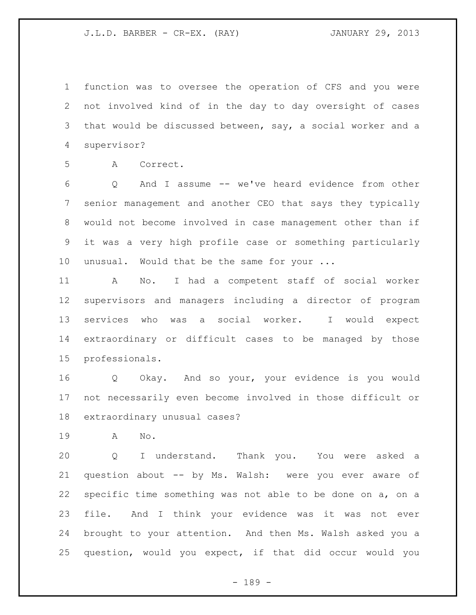function was to oversee the operation of CFS and you were not involved kind of in the day to day oversight of cases that would be discussed between, say, a social worker and a supervisor?

A Correct.

 Q And I assume -- we've heard evidence from other senior management and another CEO that says they typically would not become involved in case management other than if it was a very high profile case or something particularly unusual. Would that be the same for your ...

 A No. I had a competent staff of social worker supervisors and managers including a director of program services who was a social worker. I would expect extraordinary or difficult cases to be managed by those professionals.

 Q Okay. And so your, your evidence is you would not necessarily even become involved in those difficult or extraordinary unusual cases?

A No.

 Q I understand. Thank you. You were asked a question about -- by Ms. Walsh: were you ever aware of specific time something was not able to be done on a, on a file. And I think your evidence was it was not ever brought to your attention. And then Ms. Walsh asked you a question, would you expect, if that did occur would you

- 189 -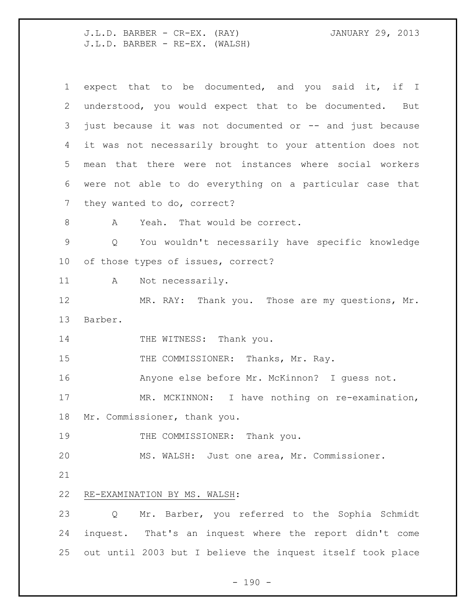J.L.D. BARBER - CR-EX. (RAY) JANUARY 29, 2013 J.L.D. BARBER - RE-EX. (WALSH)

| $\mathbf 1$  | expect that to be documented, and you said it, if I                   |
|--------------|-----------------------------------------------------------------------|
| $\mathbf{2}$ | understood, you would expect that to be documented. But               |
| 3            | just because it was not documented or -- and just because             |
| 4            | it was not necessarily brought to your attention does not             |
| 5            | mean that there were not instances where social workers               |
| 6            | were not able to do everything on a particular case that              |
| 7            | they wanted to do, correct?                                           |
| 8            | Yeah. That would be correct.<br>A                                     |
| 9            | You wouldn't necessarily have specific knowledge<br>$Q \qquad \qquad$ |
| 10           | of those types of issues, correct?                                    |
| 11           | Not necessarily.<br>$\mathbb A$                                       |
| 12           | MR. RAY: Thank you. Those are my questions, Mr.                       |
| 13           | Barber.                                                               |
| 14           | THE WITNESS: Thank you.                                               |
| 15           | THE COMMISSIONER: Thanks, Mr. Ray.                                    |
| 16           | Anyone else before Mr. McKinnon? I guess not.                         |
| 17           | MR. MCKINNON: I have nothing on re-examination,                       |
| 18           | Mr. Commissioner, thank you.                                          |
| 19           | THE COMMISSIONER: Thank you.                                          |
| 20           | MS. WALSH: Just one area, Mr. Commissioner.                           |
| 21           |                                                                       |
| 22           | RE-EXAMINATION BY MS. WALSH:                                          |
| 23           | Mr. Barber, you referred to the Sophia Schmidt<br>Q                   |
| 24           | inquest. That's an inquest where the report didn't come               |
| 25           | out until 2003 but I believe the inquest itself took place            |
|              |                                                                       |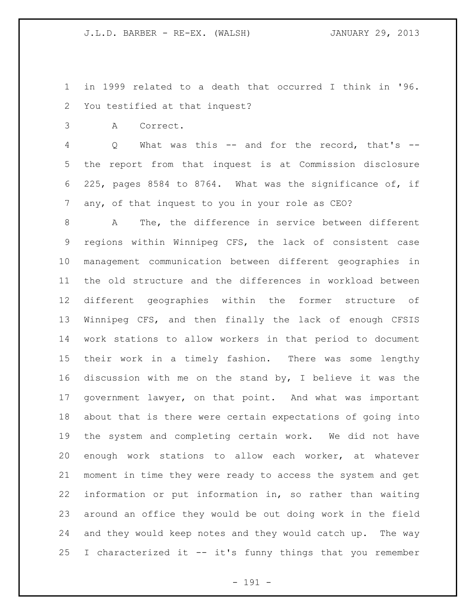in 1999 related to a death that occurred I think in '96. You testified at that inquest?

A Correct.

 Q What was this -- and for the record, that's -- the report from that inquest is at Commission disclosure 225, pages 8584 to 8764. What was the significance of, if any, of that inquest to you in your role as CEO?

 A The, the difference in service between different regions within Winnipeg CFS, the lack of consistent case management communication between different geographies in the old structure and the differences in workload between different geographies within the former structure of Winnipeg CFS, and then finally the lack of enough CFSIS work stations to allow workers in that period to document their work in a timely fashion. There was some lengthy discussion with me on the stand by, I believe it was the government lawyer, on that point. And what was important about that is there were certain expectations of going into the system and completing certain work. We did not have enough work stations to allow each worker, at whatever moment in time they were ready to access the system and get information or put information in, so rather than waiting around an office they would be out doing work in the field and they would keep notes and they would catch up. The way I characterized it -- it's funny things that you remember

- 191 -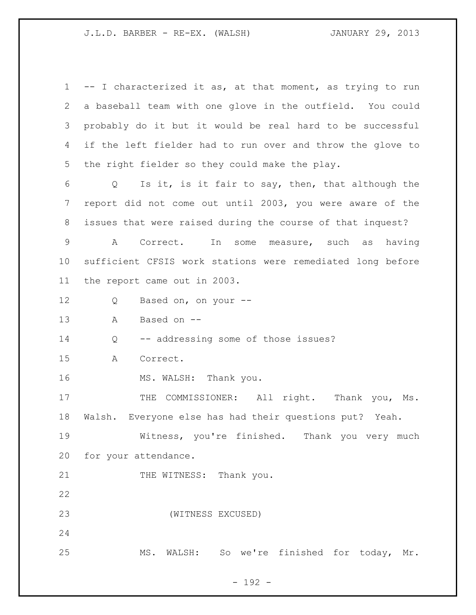-- I characterized it as, at that moment, as trying to run a baseball team with one glove in the outfield. You could probably do it but it would be real hard to be successful if the left fielder had to run over and throw the glove to the right fielder so they could make the play. Q Is it, is it fair to say, then, that although the report did not come out until 2003, you were aware of the issues that were raised during the course of that inquest? A Correct. In some measure, such as having sufficient CFSIS work stations were remediated long before the report came out in 2003. Q Based on, on your -- A Based on -- Q -- addressing some of those issues? A Correct. 16 MS. WALSH: Thank you. 17 THE COMMISSIONER: All right. Thank you, Ms. Walsh. Everyone else has had their questions put? Yeah. Witness, you're finished. Thank you very much for your attendance. 21 THE WITNESS: Thank you. (WITNESS EXCUSED) MS. WALSH: So we're finished for today, Mr.